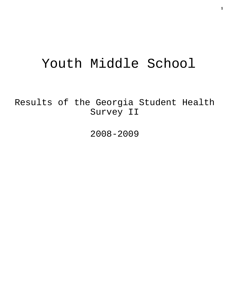# Youth Middle School

Results of the Georgia Student Health Survey II

2008-2009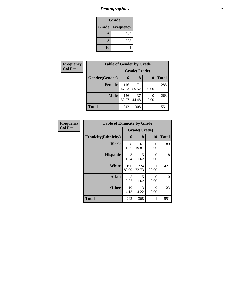# *Demographics* **2**

| <b>Grade</b>             |     |  |  |  |  |
|--------------------------|-----|--|--|--|--|
| <b>Grade   Frequency</b> |     |  |  |  |  |
| 6                        | 242 |  |  |  |  |
| 8                        | 308 |  |  |  |  |
| 10                       |     |  |  |  |  |

| Frequency      | <b>Table of Gender by Grade</b> |              |              |           |              |  |
|----------------|---------------------------------|--------------|--------------|-----------|--------------|--|
| <b>Col Pct</b> |                                 | Grade(Grade) |              |           |              |  |
|                | Gender(Gender)                  | 6            | 8            | <b>10</b> | <b>Total</b> |  |
|                | <b>Female</b>                   | 116<br>47.93 | 171<br>55.52 | 100.00    | 288          |  |
|                | <b>Male</b>                     | 126<br>52.07 | 137<br>44.48 | 0<br>0.00 | 263          |  |
|                | <b>Total</b>                    | 242          | 308          |           | 551          |  |

| Frequency      | <b>Table of Ethnicity by Grade</b> |              |              |                  |              |
|----------------|------------------------------------|--------------|--------------|------------------|--------------|
| <b>Col Pct</b> |                                    | Grade(Grade) |              |                  |              |
|                | <b>Ethnicity</b> (Ethnicity)       | 6            | 8            | 10               | <b>Total</b> |
|                | <b>Black</b>                       | 28<br>11.57  | 61<br>19.81  | 0<br>0.00        | 89           |
|                | <b>Hispanic</b>                    | 3<br>1.24    | 5<br>1.62    | 0<br>0.00        | 8            |
|                | <b>White</b>                       | 196<br>80.99 | 224<br>72.73 | 100.00           | 421          |
|                | Asian                              | 5<br>2.07    | 5<br>1.62    | $\Omega$<br>0.00 | 10           |
|                | <b>Other</b>                       | 10<br>4.13   | 13<br>4.22   | $\theta$<br>0.00 | 23           |
|                | <b>Total</b>                       | 242          | 308          |                  | 551          |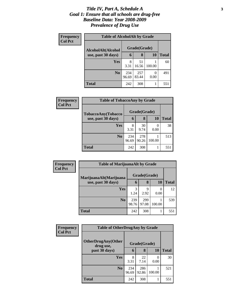#### *Title IV, Part A, Schedule A* **3** *Goal 1: Ensure that all schools are drug-free Baseline Data: Year 2008-2009 Prevalence of Drug Use*

| Frequency      | <b>Table of AlcoholAlt by Grade</b> |              |              |           |       |  |
|----------------|-------------------------------------|--------------|--------------|-----------|-------|--|
| <b>Col Pct</b> | AlcoholAlt(Alcohol                  |              | Grade(Grade) |           |       |  |
|                | use, past 30 days)                  | 6            | 8            | <b>10</b> | Total |  |
|                | <b>Yes</b>                          | 8<br>3.31    | 51<br>16.56  | 100.00    | 60    |  |
|                | N <sub>0</sub>                      | 234<br>96.69 | 257<br>83.44 | 0<br>0.00 | 491   |  |
|                | <b>Total</b>                        | 242          | 308          |           | 551   |  |

| Frequency<br><b>Col Pct</b> | <b>Table of TobaccoAny by Grade</b> |              |              |           |              |
|-----------------------------|-------------------------------------|--------------|--------------|-----------|--------------|
|                             | TobaccoAny(Tobacco                  |              | Grade(Grade) |           |              |
|                             | use, past 30 days)                  | 6            | 8            | <b>10</b> | <b>Total</b> |
|                             | Yes                                 | 8<br>3.31    | 30<br>9.74   | 0.00      | 38           |
|                             | N <sub>0</sub>                      | 234<br>96.69 | 278<br>90.26 | 100.00    | 513          |
|                             | <b>Total</b>                        | 242          | 308          |           | 551          |

| <b>Frequency</b><br><b>Col Pct</b> | <b>Table of MarijuanaAlt by Grade</b> |              |              |           |              |
|------------------------------------|---------------------------------------|--------------|--------------|-----------|--------------|
|                                    | MarijuanaAlt(Marijuana                | Grade(Grade) |              |           |              |
|                                    | use, past 30 days)                    | 6            | 8            | <b>10</b> | <b>Total</b> |
|                                    | <b>Yes</b>                            | 1.24         | 9<br>2.92    | 0.00      | 12           |
|                                    | N <sub>o</sub>                        | 239<br>98.76 | 299<br>97.08 | 100.00    | 539          |
|                                    | <b>Total</b>                          | 242          | 308          |           | 551          |

| Frequency      | <b>Table of OtherDrugAny by Grade</b> |              |              |                  |              |
|----------------|---------------------------------------|--------------|--------------|------------------|--------------|
| <b>Col Pct</b> | OtherDrugAny(Other<br>drug use,       |              | Grade(Grade) |                  |              |
|                | past 30 days)                         | 6            | 8            | 10               | <b>Total</b> |
|                | Yes                                   | 8<br>3.31    | 22<br>7.14   | $\theta$<br>0.00 | 30           |
|                | N <sub>0</sub>                        | 234<br>96.69 | 286<br>92.86 | 100.00           | 521          |
|                | <b>Total</b>                          | 242          | 308          | 1                | 551          |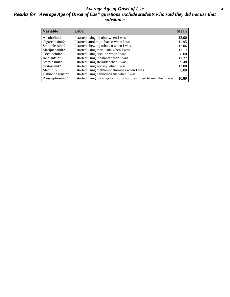#### *Average Age of Onset of Use* **4** *Results for "Average Age of Onset of Use" questions exclude students who said they did not use that substance*

| <b>Variable</b>    | Label                                                              | <b>Mean</b> |
|--------------------|--------------------------------------------------------------------|-------------|
| Alcoholinit2       | I started using alcohol when I was                                 | 12.00       |
| Cigarettesinit2    | I started smoking tobacco when I was                               | 11.95       |
| Smokelessinit2     | I started chewing tobacco when I was                               | 12.06       |
| Marijuanainit2     | I started using marijuana when I was                               | 12.17       |
| Cocaineinit2       | I started using cocaine when I was                                 | 8.00        |
| Inhalantsinit2     | I started using inhalants when I was                               | 12.27       |
| Steroidsinit2      | I started using steroids when I was                                | 9.40        |
| Ecstasyinit2       | I started using ecstasy when I was                                 | 12.00       |
| Methinit2          | I started using methamphetamines when I was                        | 8.00        |
| Hallucinogensinit2 | I started using hallucinogens when I was                           |             |
| Prescriptioninit2  | I started using prescription drugs not prescribed to me when I was | 10.89       |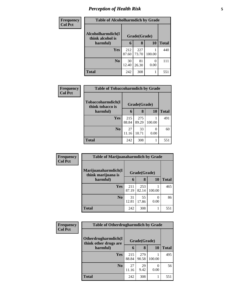# *Perception of Health Risk* **5**

| <b>Frequency</b> | <b>Table of Alcoholharmdich by Grade</b> |              |              |           |              |
|------------------|------------------------------------------|--------------|--------------|-----------|--------------|
| <b>Col Pct</b>   | Alcoholharmdich(I<br>think alcohol is    | Grade(Grade) |              |           |              |
|                  | harmful)                                 | 6            | 8            | 10        | <b>Total</b> |
|                  | Yes                                      | 212<br>87.60 | 227<br>73.70 | 100.00    | 440          |
|                  | N <sub>0</sub>                           | 30<br>12.40  | 81<br>26.30  | 0<br>0.00 | 111          |
|                  | <b>Total</b>                             | 242          | 308          |           | 551          |

| Frequency      | <b>Table of Tobaccoharmdich by Grade</b> |              |              |        |              |
|----------------|------------------------------------------|--------------|--------------|--------|--------------|
| <b>Col Pct</b> | Tobaccoharmdich(I<br>think tobacco is    | Grade(Grade) |              |        |              |
|                | harmful)                                 | 6            | 8            | 10     | <b>Total</b> |
|                | <b>Yes</b>                               | 215<br>88.84 | 275<br>89.29 | 100.00 | 491          |
|                | N <sub>0</sub>                           | 27<br>11.16  | 33<br>10.71  | 0.00   | 60           |
|                | <b>Total</b>                             | 242          | 308          |        | 551          |

| Frequency      | <b>Table of Marijuanaharmdich by Grade</b> |              |              |        |              |
|----------------|--------------------------------------------|--------------|--------------|--------|--------------|
| <b>Col Pct</b> | Marijuanaharmdich(I<br>think marijuana is  | Grade(Grade) |              |        |              |
|                | harmful)                                   | 6            | 8            | 10     | <b>Total</b> |
|                | <b>Yes</b>                                 | 211<br>87.19 | 253<br>82.14 | 100.00 | 465          |
|                | N <sub>0</sub>                             | 31<br>12.81  | 55<br>17.86  | 0.00   | 86           |
|                | <b>Total</b>                               | 242          | 308          |        | 551          |

| Frequency      | <b>Table of Otherdrugharmdich by Grade</b>   |              |              |                       |              |
|----------------|----------------------------------------------|--------------|--------------|-----------------------|--------------|
| <b>Col Pct</b> | Otherdrugharmdich(I<br>think other drugs are | Grade(Grade) |              |                       |              |
|                | harmful)                                     | 6            | 8            | <b>10</b>             | <b>Total</b> |
|                | <b>Yes</b>                                   | 215<br>88.84 | 279<br>90.58 | 100.00                | 495          |
|                | N <sub>0</sub>                               | 27<br>11.16  | 29<br>9.42   | $\mathcal{O}$<br>0.00 | 56           |
|                | <b>Total</b>                                 | 242          | 308          |                       | 551          |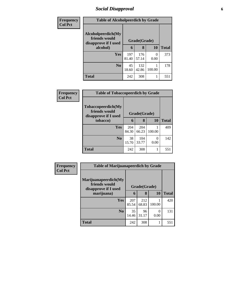### *Social Disapproval* **6**

| Frequency      | <b>Table of Alcoholpeerdich by Grade</b>                    |              |              |           |              |  |
|----------------|-------------------------------------------------------------|--------------|--------------|-----------|--------------|--|
| <b>Col Pct</b> | Alcoholpeerdich(My<br>friends would<br>disapprove if I used | Grade(Grade) |              |           |              |  |
|                | alcohol)                                                    | 6            | 8            | 10        | <b>Total</b> |  |
|                | <b>Yes</b>                                                  | 197<br>81.40 | 176<br>57.14 | 0<br>0.00 | 373          |  |
|                | N <sub>0</sub>                                              | 45<br>18.60  | 132<br>42.86 | 100.00    | 178          |  |
|                | <b>Total</b>                                                | 242          | 308          |           | 551          |  |

| Frequency<br><b>Col Pct</b> | <b>Table of Tobaccopeerdich by Grade</b>                            |              |              |           |              |  |  |
|-----------------------------|---------------------------------------------------------------------|--------------|--------------|-----------|--------------|--|--|
|                             | <b>Tobaccopeerdich</b> (My<br>friends would<br>disapprove if I used | Grade(Grade) |              |           |              |  |  |
|                             | tobacco)                                                            | 6            | 8            | 10        | <b>Total</b> |  |  |
|                             | <b>Yes</b>                                                          | 204<br>84.30 | 204<br>66.23 | 100.00    | 409          |  |  |
|                             | N <sub>0</sub>                                                      | 38<br>15.70  | 104<br>33.77 | 0<br>0.00 | 142          |  |  |
|                             | <b>Total</b>                                                        | 242          | 308          |           | 551          |  |  |

| <b>Frequency</b><br><b>Col Pct</b> | <b>Table of Marijuanapeerdich by Grade</b>                    |              |              |           |              |  |  |
|------------------------------------|---------------------------------------------------------------|--------------|--------------|-----------|--------------|--|--|
|                                    | Marijuanapeerdich(My<br>friends would<br>disapprove if I used | Grade(Grade) |              |           |              |  |  |
|                                    | marijuana)                                                    | 6            | 8            | 10        | <b>Total</b> |  |  |
|                                    | Yes                                                           | 207<br>85.54 | 212<br>68.83 | 100.00    | 420          |  |  |
|                                    | N <sub>0</sub>                                                | 35<br>14.46  | 96<br>31.17  | 0<br>0.00 | 131          |  |  |
|                                    | <b>Total</b>                                                  | 242          | 308          | 1         | 551          |  |  |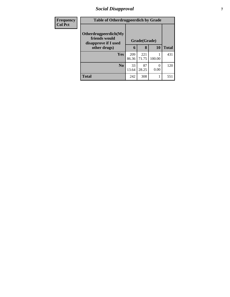### *Social Disapproval* **7**

| <b>Frequency</b> | <b>Table of Otherdrugpeerdich by Grade</b>                    |              |              |                  |              |
|------------------|---------------------------------------------------------------|--------------|--------------|------------------|--------------|
| <b>Col Pct</b>   | Otherdrugpeerdich(My<br>friends would<br>disapprove if I used | Grade(Grade) |              |                  |              |
|                  | other drugs)                                                  | 6            | 8            | 10               | <b>Total</b> |
|                  | Yes                                                           | 209<br>86.36 | 221<br>71.75 | 100.00           | 431          |
|                  | $\bf N_0$                                                     | 33<br>13.64  | 87<br>28.25  | $\Omega$<br>0.00 | 120          |
|                  | <b>Total</b>                                                  | 242          | 308          |                  | 551          |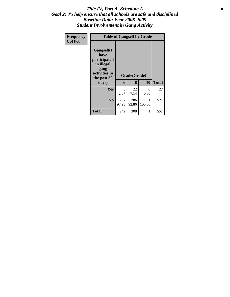#### Title IV, Part A, Schedule A **8** *Goal 2: To help ensure that all schools are safe and disciplined Baseline Data: Year 2008-2009 Student Involvement in Gang Activity*

| Frequency      | <b>Table of Gangself by Grade</b>                                                                 |              |                   |           |              |
|----------------|---------------------------------------------------------------------------------------------------|--------------|-------------------|-----------|--------------|
| <b>Col Pct</b> | Gangself(I<br>have<br>participated<br>in illegal<br>gang<br>activities in<br>the past 30<br>days) | 6            | Grade(Grade)<br>8 | 10        | <b>Total</b> |
|                | Yes                                                                                               | 5<br>2.07    | 22<br>7.14        | 0<br>0.00 | 27           |
|                | N <sub>0</sub>                                                                                    | 237<br>97.93 | 286<br>92.86      | 100.00    | 524          |
|                | <b>Total</b>                                                                                      | 242          | 308               | 1         | 551          |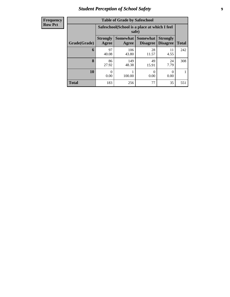### *Student Perception of School Safety* **9**

| <b>Frequency</b> |
|------------------|
| <b>Row Pct</b>   |

| <b>Table of Grade by Safeschool</b> |                          |                                                        |                                    |                                    |              |  |  |  |  |
|-------------------------------------|--------------------------|--------------------------------------------------------|------------------------------------|------------------------------------|--------------|--|--|--|--|
|                                     |                          | Safeschool (School is a place at which I feel<br>safe) |                                    |                                    |              |  |  |  |  |
| Grade(Grade)                        | <b>Strongly</b><br>Agree | <b>Somewhat</b><br>Agree                               | <b>Somewhat</b><br><b>Disagree</b> | <b>Strongly</b><br><b>Disagree</b> | <b>Total</b> |  |  |  |  |
| 6                                   | 97<br>40.08              | 106<br>43.80                                           | 28<br>11.57                        | 11<br>4.55                         | 242          |  |  |  |  |
| 8                                   | 86<br>27.92              | 149<br>48.38                                           | 49<br>15.91                        | 24<br>7.79                         | 308          |  |  |  |  |
| 10                                  | 0<br>0.00                | 100.00                                                 | 0<br>0.00                          | 0<br>0.00                          |              |  |  |  |  |
| <b>Total</b>                        | 183                      | 256                                                    | 77                                 | 35                                 | 551          |  |  |  |  |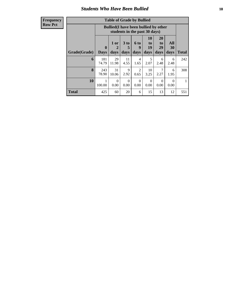#### *Students Who Have Been Bullied* **10**

**Frequency Row Pct**

| <b>Table of Grade by Bullied</b> |                         |                                                                               |                              |                          |                               |                               |                          |              |  |
|----------------------------------|-------------------------|-------------------------------------------------------------------------------|------------------------------|--------------------------|-------------------------------|-------------------------------|--------------------------|--------------|--|
|                                  |                         | <b>Bullied</b> (I have been bullied by other<br>students in the past 30 days) |                              |                          |                               |                               |                          |              |  |
| Grade(Grade)                     | $\bf{0}$<br><b>Days</b> | 1 or<br>2<br>days                                                             | 3 <sub>to</sub><br>5<br>days | <b>6 to</b><br>9<br>days | <b>10</b><br>to<br>19<br>days | <b>20</b><br>to<br>29<br>days | All<br><b>30</b><br>days | <b>Total</b> |  |
| 6                                | 181<br>74.79            | 29<br>11.98                                                                   | 11<br>4.55                   | $\overline{4}$<br>1.65   | 5<br>2.07                     | 6<br>2.48                     | 6<br>2.48                | 242          |  |
| 8                                | 243<br>78.90            | 31<br>10.06                                                                   | 9<br>2.92                    | $\overline{2}$<br>0.65   | 10<br>3.25                    | 7<br>2.27                     | 6<br>1.95                | 308          |  |
| 10                               | 100.00                  | 0<br>0.00                                                                     | $\Omega$<br>0.00             | $\Omega$<br>0.00         | $\Omega$<br>0.00              | $\Omega$<br>0.00              | 0<br>0.00                |              |  |
| <b>Total</b>                     | 425                     | 60                                                                            | 20                           | 6                        | 15                            | 13                            | 12                       | 551          |  |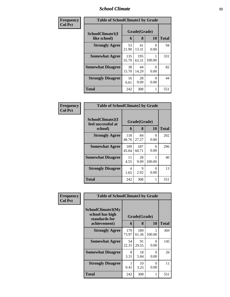#### *School Climate* **11**

| Frequency      | <b>Table of SchoolClimate1 by Grade</b> |                   |              |           |     |  |
|----------------|-----------------------------------------|-------------------|--------------|-----------|-----|--|
| <b>Col Pct</b> | SchoolClimate1(I<br>like school)        | Grade(Grade)<br>6 | Total        |           |     |  |
|                |                                         |                   | 8            | 10        |     |  |
|                | <b>Strongly Agree</b>                   | 53<br>21.90       | 41<br>13.31  | 0<br>0.00 | 94  |  |
|                | <b>Somewhat Agree</b>                   | 135<br>55.79      | 195<br>63.31 | 100.00    | 331 |  |
|                | <b>Somewhat Disagree</b>                | 38<br>15.70       | 44<br>14.29  | 0<br>0.00 | 82  |  |
|                | <b>Strongly Disagree</b>                | 16<br>6.61        | 28<br>9.09   | 0<br>0.00 | 44  |  |
|                | <b>Total</b>                            | 242               | 308          |           | 551 |  |

| Frequency      | <b>Table of SchoolClimate2 by Grade</b>           |                        |                   |           |              |
|----------------|---------------------------------------------------|------------------------|-------------------|-----------|--------------|
| <b>Col Pct</b> | SchoolClimate2(I<br>feel successful at<br>school) | 6                      | Grade(Grade)<br>8 | <b>10</b> | <b>Total</b> |
|                | <b>Strongly Agree</b>                             | 118<br>48.76           | 84<br>27.27       | 0<br>0.00 | 202          |
|                | <b>Somewhat Agree</b>                             | 109<br>45.04           | 187<br>60.71      | 0<br>0.00 | 296          |
|                | <b>Somewhat Disagree</b>                          | 11<br>4.55             | 28<br>9.09        | 100.00    | 40           |
|                | <b>Strongly Disagree</b>                          | $\overline{4}$<br>1.65 | 9<br>2.92         | 0<br>0.00 | 13           |
|                | <b>Total</b>                                      | 242                    | 308               |           | 551          |

| Frequency<br><b>Col Pct</b> | <b>Table of SchoolClimate3 by Grade</b>                               |              |                   |           |              |
|-----------------------------|-----------------------------------------------------------------------|--------------|-------------------|-----------|--------------|
|                             | SchoolClimate3(My<br>school has high<br>standards for<br>achievement) | 6            | Grade(Grade)<br>8 | 10        | <b>Total</b> |
|                             | <b>Strongly Agree</b>                                                 | 179<br>73.97 | 189<br>61.36      | 100.00    | 369          |
|                             | <b>Somewhat Agree</b>                                                 | 54<br>22.31  | 91<br>29.55       | 0<br>0.00 | 145          |
|                             | <b>Somewhat Disagree</b>                                              | 8<br>3.31    | 18<br>5.84        | 0<br>0.00 | 26           |
|                             | <b>Strongly Disagree</b>                                              | 0.41         | 10<br>3.25        | 0<br>0.00 | 11           |
|                             | <b>Total</b>                                                          | 242          | 308               | 1         | 551          |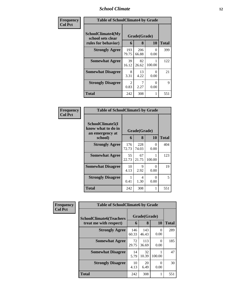# *School Climate* **12**

| Frequency      | <b>Table of SchoolClimate4 by Grade</b>                       |                        |                   |           |              |  |
|----------------|---------------------------------------------------------------|------------------------|-------------------|-----------|--------------|--|
| <b>Col Pct</b> | SchoolClimate4(My<br>school sets clear<br>rules for behavior) | 6                      | Grade(Grade)<br>8 | <b>10</b> | <b>Total</b> |  |
|                | <b>Strongly Agree</b>                                         | 193<br>79.75           | 206<br>66.88      | 0<br>0.00 | 399          |  |
|                | <b>Somewhat Agree</b>                                         | 39<br>16.12            | 82<br>26.62       | 100.00    | 122          |  |
|                | <b>Somewhat Disagree</b>                                      | 8<br>3.31              | 13<br>4.22        | 0<br>0.00 | 21           |  |
|                | <b>Strongly Disagree</b>                                      | $\mathfrak{D}$<br>0.83 | 2.27              | 0<br>0.00 | 9            |  |
|                | <b>Total</b>                                                  | 242                    | 308               | 1         | 551          |  |

| <b>Frequency</b><br>Col Pct |
|-----------------------------|

| <b>Table of SchoolClimate5 by Grade</b>                   |              |              |             |       |  |  |  |
|-----------------------------------------------------------|--------------|--------------|-------------|-------|--|--|--|
| SchoolClimate5(I<br>know what to do in<br>an emergency at | Grade(Grade) |              |             |       |  |  |  |
| school)                                                   | 6            | 8            | 10          | Total |  |  |  |
| <b>Strongly Agree</b>                                     | 176<br>72.73 | 228<br>74.03 | 0<br>0.00   | 404   |  |  |  |
| <b>Somewhat Agree</b>                                     | 55<br>22.73  | 67<br>21.75  | 1<br>100.00 | 123   |  |  |  |
| <b>Somewhat Disagree</b>                                  | 10<br>4.13   | 9<br>2.92    | 0<br>0.00   | 19    |  |  |  |
| <b>Strongly Disagree</b>                                  | 1<br>0.41    | 4<br>1.30    | 0<br>0.00   | 5     |  |  |  |
| Total                                                     | 242          | 308          | 1           | 551   |  |  |  |

| Frequency      | <b>Table of SchoolClimate6 by Grade</b>                  |              |                   |                           |              |  |
|----------------|----------------------------------------------------------|--------------|-------------------|---------------------------|--------------|--|
| <b>Col Pct</b> | <b>SchoolClimate6(Teachers</b><br>treat me with respect) | 6            | Grade(Grade)<br>8 | <b>10</b>                 | <b>Total</b> |  |
|                | <b>Strongly Agree</b>                                    | 146<br>60.33 | 143<br>46.43      | $\mathbf{\Omega}$<br>0.00 | 289          |  |
|                | <b>Somewhat Agree</b>                                    | 72<br>29.75  | 113<br>36.69      | $\mathbf{\Omega}$<br>0.00 | 185          |  |
|                | <b>Somewhat Disagree</b>                                 | 14<br>5.79   | 32<br>10.39       | 100.00                    | 47           |  |
|                | <b>Strongly Disagree</b>                                 | 10<br>4.13   | 20<br>6.49        | ∩<br>0.00                 | 30           |  |
|                | <b>Total</b>                                             | 242          | 308               |                           | 551          |  |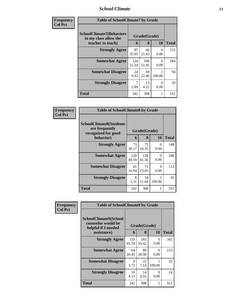#### *School Climate* **13**

| Frequency<br><b>Col Pct</b> | <b>Table of SchoolClimate7 by Grade</b>                                       |              |                   |                  |              |
|-----------------------------|-------------------------------------------------------------------------------|--------------|-------------------|------------------|--------------|
|                             | <b>SchoolClimate7(Behaviors</b><br>in my class allow the<br>teacher to teach) | 6            | Grade(Grade)<br>8 | <b>10</b>        | <b>Total</b> |
|                             | <b>Strongly Agree</b>                                                         | 87<br>35.95  | 66<br>21.43       | 0<br>0.00        | 153          |
|                             | <b>Somewhat Agree</b>                                                         | 124<br>51.24 | 160<br>51.95      | $\Omega$<br>0.00 | 284          |
|                             | <b>Somewhat Disagree</b>                                                      | 24<br>9.92   | 69<br>22.40       | 100.00           | 94           |
|                             | <b>Strongly Disagree</b>                                                      | 7<br>2.89    | 13<br>4.22        | 0<br>0.00        | 20           |
|                             | <b>Total</b>                                                                  | 242          | 308               |                  | 551          |

| Frequency      | <b>Table of SchoolClimate8 by Grade</b>                                              |              |                   |           |              |
|----------------|--------------------------------------------------------------------------------------|--------------|-------------------|-----------|--------------|
| <b>Col Pct</b> | <b>SchoolClimate8(Students</b><br>are frequently<br>recognized for good<br>behavior) | 6            | Grade(Grade)<br>8 | <b>10</b> | <b>Total</b> |
|                | <b>Strongly Agree</b>                                                                | 73<br>30.17  | 75<br>24.35       | 0<br>0.00 | 148          |
|                | <b>Somewhat Agree</b>                                                                | 120<br>49.59 | 128<br>41.56      | 0<br>0.00 | 248          |
|                | <b>Somewhat Disagree</b>                                                             | 41<br>16.94  | 71<br>23.05       | 0<br>0.00 | 112          |
|                | <b>Strongly Disagree</b>                                                             | 8<br>3.31    | 34<br>11.04       | 100.00    | 43           |
|                | Total                                                                                | 242          | 308               |           | 551          |

| Frequency      | <b>Table of SchoolClimate9 by Grade</b>                                           |              |                   |                  |              |
|----------------|-----------------------------------------------------------------------------------|--------------|-------------------|------------------|--------------|
| <b>Col Pct</b> | SchoolClimate9(School<br>counselor would be<br>helpful if I needed<br>assistance) | 6            | Grade(Grade)<br>8 | <b>10</b>        | <b>Total</b> |
|                | <b>Strongly Agree</b>                                                             | 159<br>65.70 | 183<br>59.42      | 0<br>0.00        | 342          |
|                | <b>Somewhat Agree</b>                                                             | 64<br>26.45  | 89<br>28.90       | $\Omega$<br>0.00 | 153          |
|                | <b>Somewhat Disagree</b>                                                          | 9<br>3.72    | 22<br>7.14        | 100.00           | 32           |
|                | <b>Strongly Disagree</b>                                                          | 10<br>4.13   | 14<br>4.55        | 0<br>0.00        | 24           |
|                | Total                                                                             | 242          | 308               |                  | 551          |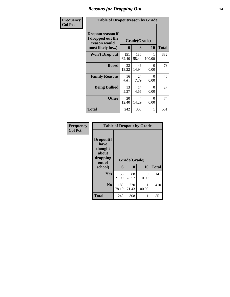### *Reasons for Dropping Out* **14**

| <b>Frequency</b> | <b>Table of Dropoutreason by Grade</b>                                   |              |                   |                  |              |
|------------------|--------------------------------------------------------------------------|--------------|-------------------|------------------|--------------|
| <b>Col Pct</b>   | Dropoutreason(If<br>I dropped out the<br>reason would<br>most likely be) | 6            | Grade(Grade)<br>8 | <b>10</b>        | <b>Total</b> |
|                  | <b>Won't Drop out</b>                                                    | 151<br>62.40 | 180<br>58.44      | 1<br>100.00      | 332          |
|                  | <b>Bored</b>                                                             | 32<br>13.22  | 46<br>14.94       | $\Omega$<br>0.00 | 78           |
|                  | <b>Family Reasons</b>                                                    | 16<br>6.61   | 24<br>7.79        | 0<br>0.00        | 40           |
|                  | <b>Being Bullied</b>                                                     | 13<br>5.37   | 14<br>4.55        | $\Omega$<br>0.00 | 27           |
|                  | <b>Other</b>                                                             | 30<br>12.40  | 44<br>14.29       | $\Omega$<br>0.00 | 74           |
|                  | Total                                                                    | 242          | 308               | 1                | 551          |

| Frequency      | <b>Table of Dropout by Grade</b>                            |              |              |           |              |  |  |
|----------------|-------------------------------------------------------------|--------------|--------------|-----------|--------------|--|--|
| <b>Col Pct</b> | Dropout(I<br>have<br>thought<br>about<br>dropping<br>out of | Grade(Grade) |              |           |              |  |  |
|                | school)                                                     | 6            | 8            | 10        | <b>Total</b> |  |  |
|                | Yes                                                         | 53<br>21.90  | 88<br>28.57  | 0<br>0.00 | 141          |  |  |
|                | N <sub>0</sub>                                              | 189<br>78.10 | 220<br>71.43 | 100.00    | 410          |  |  |
|                | <b>Total</b>                                                | 242          | 308          | 1         | 551          |  |  |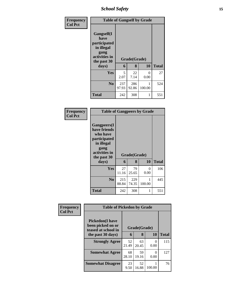*School Safety* **15**

| <b>Frequency</b> | <b>Table of Gangself by Grade</b>                                                                 |              |                   |           |              |  |  |
|------------------|---------------------------------------------------------------------------------------------------|--------------|-------------------|-----------|--------------|--|--|
| <b>Col Pct</b>   | Gangself(I<br>have<br>participated<br>in illegal<br>gang<br>activities in<br>the past 30<br>days) | 6            | Grade(Grade)<br>8 | 10        | <b>Total</b> |  |  |
|                  |                                                                                                   |              |                   |           |              |  |  |
|                  | Yes                                                                                               | 5<br>2.07    | 22<br>7.14        | 0<br>0.00 | 27           |  |  |
|                  | N <sub>0</sub>                                                                                    | 237<br>97.93 | 286<br>92.86      | 100.00    | 524          |  |  |
|                  | <b>Total</b>                                                                                      | 242          | 308               | 1         | 551          |  |  |

#### **Frequency Col Pct**

| <b>Table of Gangpeers by Grade</b>                                                                     |              |                   |             |              |  |  |  |
|--------------------------------------------------------------------------------------------------------|--------------|-------------------|-------------|--------------|--|--|--|
| <b>Gangpeers</b> (I<br>have friends<br>who have<br>participated<br>in illegal<br>gang<br>activities in |              |                   |             |              |  |  |  |
| the past 30                                                                                            | 6            | Grade(Grade)<br>8 |             | <b>Total</b> |  |  |  |
| days)                                                                                                  |              |                   | 10          |              |  |  |  |
| Yes                                                                                                    | 27<br>11.16  | 79<br>25.65       | 0<br>0.00   | 106          |  |  |  |
| N <sub>0</sub>                                                                                         | 215<br>88.84 | 229<br>74.35      | 1<br>100.00 | 445          |  |  |  |

| Frequency<br><b>Col Pct</b> | <b>Table of Pickedon by Grade</b>                                   |             |              |                           |              |
|-----------------------------|---------------------------------------------------------------------|-------------|--------------|---------------------------|--------------|
|                             | <b>Pickedon</b> (I have<br>been picked on or<br>teased at school in |             | Grade(Grade) |                           |              |
|                             | the past 30 days)                                                   | 6           | 8            | 10                        | <b>Total</b> |
|                             | <b>Strongly Agree</b>                                               | 52<br>21.49 | 63<br>20.45  | $\mathbf{\Omega}$<br>0.00 | 115          |
|                             | <b>Somewhat Agree</b>                                               | 68<br>28.10 | 59<br>19.16  | 0<br>0.00                 | 127          |
|                             | <b>Somewhat Disagree</b>                                            | 23<br>9.50  | 52<br>16.88  | 100.00                    | 76           |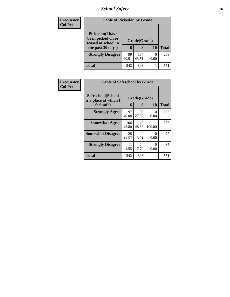# *School Safety* **16**

| <b>Frequency</b> | <b>Table of Pickedon by Grade</b>                                                        |             |                   |           |              |
|------------------|------------------------------------------------------------------------------------------|-------------|-------------------|-----------|--------------|
| <b>Col Pct</b>   | <b>Pickedon</b> (I have<br>been picked on or<br>teased at school in<br>the past 30 days) | 6           | Grade(Grade)<br>8 | <b>10</b> | <b>Total</b> |
|                  | <b>Strongly Disagree</b>                                                                 | 99<br>40.91 | 134<br>43.51      | 0<br>0.00 | 233          |
|                  | <b>Total</b>                                                                             | 242         | 308               | 1         | 551          |

| <b>Frequency</b> | <b>Table of Safeschool by Grade</b>                      |              |                   |                  |              |  |  |  |  |
|------------------|----------------------------------------------------------|--------------|-------------------|------------------|--------------|--|--|--|--|
| <b>Col Pct</b>   | Safeschool(School<br>is a place at which I<br>feel safe) | 6            | Grade(Grade)<br>8 | <b>10</b>        | <b>Total</b> |  |  |  |  |
|                  | <b>Strongly Agree</b>                                    | 97<br>40.08  | 86<br>27.92       | 0<br>0.00        | 183          |  |  |  |  |
|                  | <b>Somewhat Agree</b>                                    | 106<br>43.80 | 149<br>48.38      | 100.00           | 256          |  |  |  |  |
|                  | <b>Somewhat Disagree</b>                                 | 28<br>11.57  | 49<br>15.91       | $\Omega$<br>0.00 | 77           |  |  |  |  |
|                  | <b>Strongly Disagree</b>                                 | 11<br>4.55   | 24<br>7.79        | 0<br>0.00        | 35           |  |  |  |  |
|                  | <b>Total</b>                                             | 242          | 308               | 1                | 551          |  |  |  |  |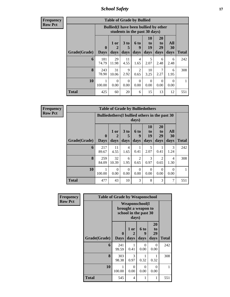*School Safety* **17**

**Frequency Row Pct**

| <b>Table of Grade by Bullied</b> |                         |                                                                               |                              |                          |                        |                        |                   |              |  |  |  |
|----------------------------------|-------------------------|-------------------------------------------------------------------------------|------------------------------|--------------------------|------------------------|------------------------|-------------------|--------------|--|--|--|
|                                  |                         | <b>Bullied</b> (I have been bullied by other<br>students in the past 30 days) |                              |                          |                        |                        |                   |              |  |  |  |
| Grade(Grade)                     | $\bf{0}$<br><b>Days</b> | 1 or<br>2<br>days                                                             | 3 <sub>to</sub><br>5<br>days | <b>6 to</b><br>9<br>days | 10<br>to<br>19<br>days | 20<br>to<br>29<br>days | All<br>30<br>days | <b>Total</b> |  |  |  |
| 6                                | 181<br>74.79            | 29<br>11.98                                                                   | 11<br>4.55                   | $\overline{4}$<br>1.65   | 5<br>2.07              | 6<br>2.48              | 6<br>2.48         | 242          |  |  |  |
| 8                                | 243<br>78.90            | 31<br>10.06                                                                   | 9<br>2.92                    | $\overline{2}$<br>0.65   | 10<br>3.25             | 7<br>2.27              | 6<br>1.95         | 308          |  |  |  |
| 10                               | 100.00                  | 0<br>0.00                                                                     | $\Omega$<br>0.00             | $\Omega$<br>0.00         | 0<br>0.00              | $\Omega$<br>0.00       | 0<br>0.00         |              |  |  |  |
| <b>Total</b>                     | 425                     | 60                                                                            | 20                           | 6                        | 15                     | 13                     | 12                | 551          |  |  |  |

**Frequency Row Pct**

г

| <b>Table of Grade by Bulliedothers</b> |                             |                                                         |                   |                   |                        |                        |                          |              |  |  |
|----------------------------------------|-----------------------------|---------------------------------------------------------|-------------------|-------------------|------------------------|------------------------|--------------------------|--------------|--|--|
|                                        |                             | Bulliedothers (I bullied others in the past 30<br>days) |                   |                   |                        |                        |                          |              |  |  |
| Grade(Grade)                           | $\mathbf{0}$<br><b>Days</b> | 1 or<br>2<br>days                                       | 3 to<br>5<br>days | 6 to<br>9<br>days | 10<br>to<br>19<br>days | 20<br>to<br>29<br>days | All<br><b>30</b><br>days | <b>Total</b> |  |  |
| 6                                      | 217<br>89.67                | 11<br>4.55                                              | 4<br>1.65         | 0.41              | 5<br>2.07              | 0.41                   | 3<br>1.24                | 242          |  |  |
| 8                                      | 259<br>84.09                | 32<br>10.39                                             | 6<br>1.95         | 2<br>0.65         | 3<br>0.97              | $\mathfrak{D}$<br>0.65 | 4<br>1.30                | 308          |  |  |
| 10                                     | 100.00                      | $\Omega$<br>0.00                                        | $\Omega$<br>0.00  | $\Omega$<br>0.00  | $\Omega$<br>0.00       | $\Omega$<br>0.00       | $\Omega$<br>0.00         |              |  |  |
| <b>Total</b>                           | 477                         | 43                                                      | 10                | 3                 | 8                      | 3                      | 7                        | 551          |  |  |

| <b>Frequency</b> | <b>Table of Grade by Weaponschool</b> |                                                                |                   |                   |                               |       |  |  |  |  |  |
|------------------|---------------------------------------|----------------------------------------------------------------|-------------------|-------------------|-------------------------------|-------|--|--|--|--|--|
| <b>Row Pct</b>   |                                       | Weaponschool(I<br>brought a weapon to<br>school in the past 30 |                   |                   |                               |       |  |  |  |  |  |
|                  | Grade(Grade)                          | 0<br><b>Days</b>                                               | 1 or<br>2<br>days | 6 to<br>9<br>days | <b>20</b><br>to<br>29<br>days | Total |  |  |  |  |  |
|                  | 6                                     | 241<br>99.59                                                   | 1<br>0.41         | $\Omega$<br>0.00  | $\Omega$<br>0.00              | 242   |  |  |  |  |  |
|                  | 8                                     | 303<br>98.38                                                   | 3<br>0.97         | 0.32              | 0.32                          | 308   |  |  |  |  |  |
|                  | 10                                    | 1<br>100.00                                                    | $\Omega$<br>0.00  | 0<br>0.00         | $\Omega$<br>0.00              | 1     |  |  |  |  |  |
|                  | <b>Total</b>                          | 545                                                            | 4                 | 1                 | 1                             | 551   |  |  |  |  |  |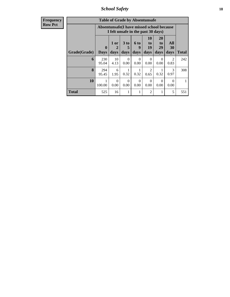*School Safety* **18**

| <b>Frequency</b> |
|------------------|
| <b>Row Pct</b>   |

| <b>Table of Grade by Absentunsafe</b> |                  |                                                                                 |                  |                   |                        |                        |                        |       |  |  |  |
|---------------------------------------|------------------|---------------------------------------------------------------------------------|------------------|-------------------|------------------------|------------------------|------------------------|-------|--|--|--|
|                                       |                  | Absentunsafe(I have missed school because<br>I felt unsafe in the past 30 days) |                  |                   |                        |                        |                        |       |  |  |  |
| Grade(Grade)                          | 0<br><b>Days</b> | 1 or<br>2<br>days                                                               | 3 to<br>days     | 6 to<br>9<br>days | 10<br>to<br>19<br>days | 20<br>to<br>29<br>days | All<br>30<br>days      | Total |  |  |  |
| 6                                     | 230<br>95.04     | 10<br>4.13                                                                      | $\Omega$<br>0.00 | 0<br>0.00         | 0<br>0.00              | $\Omega$<br>0.00       | $\mathfrak{D}$<br>0.83 | 242   |  |  |  |
| 8                                     | 294<br>95.45     | 6<br>1.95                                                                       | 0.32             | 0.32              | $\mathfrak{D}$<br>0.65 | 0.32                   | $\mathcal{R}$<br>0.97  | 308   |  |  |  |
| 10                                    | 100.00           | $\Omega$<br>0.00                                                                | $\Omega$<br>0.00 | 0<br>0.00         | 0<br>0.00              | 0<br>0.00              | 0<br>0.00              |       |  |  |  |
| <b>Total</b>                          | 525              | 16                                                                              |                  |                   | 2                      |                        | 5                      | 551   |  |  |  |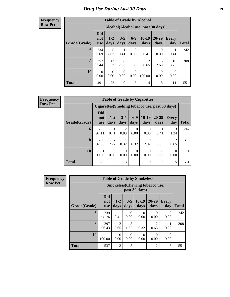### *Drug Use During Last 30 Days* **19**

**Frequency Row Pct**

| <b>Table of Grade by Alcohol</b> |                                 |                                     |                  |                  |                        |                  |                  |       |  |  |  |
|----------------------------------|---------------------------------|-------------------------------------|------------------|------------------|------------------------|------------------|------------------|-------|--|--|--|
|                                  |                                 | Alcohol (Alcohol use, past 30 days) |                  |                  |                        |                  |                  |       |  |  |  |
| Grade(Grade)                     | <b>Did</b><br>not<br><b>use</b> | $1 - 2$<br>days                     | $3 - 5$<br>days  | $6-9$<br>days    | 10-19<br>days          | 20-29<br>days    | Every<br>day     | Total |  |  |  |
| 6                                | 234<br>96.69                    | 5<br>2.07                           | 0.41             | 0<br>0.00        | 0.41                   | $\Omega$<br>0.00 | 0.41             | 242   |  |  |  |
| 8                                | 257<br>83.44                    | 17<br>5.52                          | 8<br>2.60        | 6<br>1.95        | $\overline{2}$<br>0.65 | 8<br>2.60        | 10<br>3.25       | 308   |  |  |  |
| 10                               | $\Omega$<br>0.00                | $\Omega$<br>0.00                    | $\Omega$<br>0.00 | $\Omega$<br>0.00 | 100.00                 | $\Omega$<br>0.00 | $\Omega$<br>0.00 |       |  |  |  |
| <b>Total</b>                     | 491                             | 22                                  | 9                | 6                | $\overline{4}$         | 8                | 11               | 551   |  |  |  |

**Frequency Row Pct**

| <b>Table of Grade by Cigarettes</b> |                          |                  |                        |                  |                                                |                        |                                     |              |  |  |
|-------------------------------------|--------------------------|------------------|------------------------|------------------|------------------------------------------------|------------------------|-------------------------------------|--------------|--|--|
|                                     |                          |                  |                        |                  | Cigarettes (Smoking tobacco use, past 30 days) |                        |                                     |              |  |  |
| Grade(Grade)                        | Did<br>not<br><b>use</b> | $1 - 2$<br>days  | $3 - 5$<br>days        | $6-9$<br>days    | $10-19$<br>days                                | $20 - 29$<br>days      | <b>Every</b><br>day                 | <b>Total</b> |  |  |
| 6                                   | 235<br>97.11             | 0.41             | $\mathfrak{D}$<br>0.83 | $\Omega$<br>0.00 | 0<br>0.00                                      | 0.41                   | 3<br>1.24                           | 242          |  |  |
| 8                                   | 286<br>92.86             | 7<br>2.27        | 0.32                   | 0.32             | Q<br>2.92                                      | $\mathfrak{D}$<br>0.65 | $\mathcal{D}_{\mathcal{A}}$<br>0.65 | 308          |  |  |
| 10                                  | 100.00                   | $\theta$<br>0.00 | 0.00                   | 0<br>0.00        | 0<br>0.00                                      | 0<br>0.00              | $\Omega$<br>0.00                    |              |  |  |
| <b>Total</b>                        | 522                      | 8                | 3                      |                  | 9                                              | 3                      | 5                                   | 551          |  |  |

| Frequency      |              | <b>Table of Grade by Smokeless</b>    |                        |                  |                  |                        |                     |              |  |  |  |
|----------------|--------------|---------------------------------------|------------------------|------------------|------------------|------------------------|---------------------|--------------|--|--|--|
| <b>Row Pct</b> |              | <b>Smokeless</b> (Chewing tobaccouse, |                        |                  |                  |                        |                     |              |  |  |  |
|                | Grade(Grade) | <b>Did</b><br>not<br>use              | $1-2$<br>days          | $3 - 5$<br>days  | $10-19$<br>days  | $20 - 29$<br>days      | <b>Every</b><br>day | <b>Total</b> |  |  |  |
|                | 6            | 239<br>98.76                          | 0.41                   | 0<br>0.00        | 0<br>0.00        | $\Omega$<br>0.00       | 2<br>0.83           | 242          |  |  |  |
|                | 8            | 297<br>96.43                          | $\overline{2}$<br>0.65 | 5<br>1.62        | 0.32             | $\overline{2}$<br>0.65 | 0.32                | 308          |  |  |  |
|                | 10           | 100.00                                | $\Omega$<br>0.00       | $\Omega$<br>0.00 | $\Omega$<br>0.00 | $\Omega$<br>0.00       | $\Omega$<br>0.00    |              |  |  |  |
|                | <b>Total</b> | 537                                   | 3                      | 5                |                  | $\overline{2}$         | 3                   | 551          |  |  |  |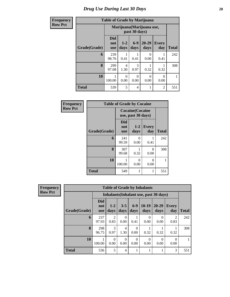#### **Row P**

| <b>Table of Grade by Marijuana</b> |
|------------------------------------|
|                                    |

| <b>Frequency</b> | <b>Table of Grade by Marijuana</b> |                                            |                  |                  |                   |                     |              |  |  |  |  |
|------------------|------------------------------------|--------------------------------------------|------------------|------------------|-------------------|---------------------|--------------|--|--|--|--|
| <b>Row Pct</b>   |                                    | Marijuana (Marijuana use,<br>past 30 days) |                  |                  |                   |                     |              |  |  |  |  |
|                  | Grade(Grade)                       | <b>Did</b><br>not<br><b>use</b>            | $1 - 2$<br>days  | $6-9$<br>days    | $20 - 29$<br>days | <b>Every</b><br>day | <b>Total</b> |  |  |  |  |
|                  | 6                                  | 239<br>98.76                               | 0.41             | 0.41             | 0<br>0.00         | 0.41                | 242          |  |  |  |  |
|                  | 8                                  | 299<br>97.08                               | 4<br>1.30        | 3<br>0.97        | 0.32              | 0.32                | 308          |  |  |  |  |
|                  | 10                                 | 100.00                                     | $\Omega$<br>0.00 | $\Omega$<br>0.00 | $\Omega$<br>0.00  | $\Omega$<br>0.00    |              |  |  |  |  |
|                  | <b>Total</b>                       | 539                                        | 5                | 4                |                   | $\overline{2}$      | 551          |  |  |  |  |

| Frequency      | <b>Table of Grade by Cocaine</b> |                          |                                               |                     |              |  |  |  |  |  |
|----------------|----------------------------------|--------------------------|-----------------------------------------------|---------------------|--------------|--|--|--|--|--|
| <b>Row Pct</b> |                                  |                          | <b>Cocaine</b> (Cocaine<br>use, past 30 days) |                     |              |  |  |  |  |  |
|                | Grade(Grade)                     | Did<br>not<br><b>use</b> | $1 - 2$<br>days                               | <b>Every</b><br>day | <b>Total</b> |  |  |  |  |  |
|                | 6                                | 241<br>99.59             | $\Omega$<br>0.00                              | 0.41                | 242          |  |  |  |  |  |
|                | 8                                | 307<br>99.68             | 0.32                                          | 0<br>0.00           | 308          |  |  |  |  |  |
|                | 10                               | 100.00                   | 0<br>0.00                                     | 0<br>0.00           | 1            |  |  |  |  |  |
|                | <b>Total</b>                     | 549                      |                                               |                     | 551          |  |  |  |  |  |

| Frequency      | <b>Table of Grade by Inhalants</b> |                                 |                        |                  |                  |                  |                                        |                        |              |
|----------------|------------------------------------|---------------------------------|------------------------|------------------|------------------|------------------|----------------------------------------|------------------------|--------------|
| <b>Row Pct</b> |                                    |                                 |                        |                  |                  |                  | Inhalants (Inhalant use, past 30 days) |                        |              |
|                | Grade(Grade)                       | <b>Did</b><br>not<br><b>use</b> | $1-2$<br>days          | $3 - 5$<br>days  | $6-9$<br>days    | $10-19$<br>days  | $20 - 29$<br>days                      | Every<br>day           | <b>Total</b> |
|                | 6                                  | 237<br>97.93                    | $\mathfrak{D}$<br>0.83 | $\Omega$<br>0.00 | 0.41             | $\theta$<br>0.00 | $\Omega$<br>0.00                       | $\mathfrak{D}$<br>0.83 | 242          |
|                | 8                                  | 298<br>96.75                    | 3<br>0.97              | 4<br>1.30        | 0<br>0.00        | 0.32             | 0.32                                   | 0.32                   | 308          |
|                | 10                                 | 100.00                          | $\Omega$<br>0.00       | $\Omega$<br>0.00 | $\Omega$<br>0.00 | $\Omega$<br>0.00 | $\Omega$<br>0.00                       | 0<br>0.00              |              |
|                | <b>Total</b>                       | 536                             | 5                      | 4                |                  | 1                |                                        | 3                      | 551          |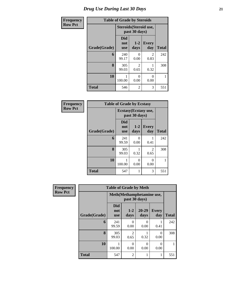# *Drug Use During Last 30 Days* **21**

| Frequency      | <b>Table of Grade by Steroids</b> |                          |                        |                        |              |  |  |  |
|----------------|-----------------------------------|--------------------------|------------------------|------------------------|--------------|--|--|--|
| <b>Row Pct</b> |                                   |                          | past 30 days)          | Steroids (Steroid use, |              |  |  |  |
|                | Grade(Grade)                      | Did<br>not<br><b>use</b> | $1 - 2$<br>days        | <b>Every</b><br>day    | <b>Total</b> |  |  |  |
|                | 6                                 | 240<br>99.17             | 0.00                   | 2<br>0.83              | 242          |  |  |  |
|                | 8                                 | 305<br>99.03             | $\mathfrak{D}$<br>0.65 | 0.32                   | 308          |  |  |  |
|                | 10                                | 100.00                   | 0.00                   | 0<br>0.00              | 1            |  |  |  |
|                | <b>Total</b>                      | 546                      | 2                      | 3                      | 551          |  |  |  |

| Frequency      | <b>Table of Grade by Ecstasy</b> |                          |                                       |                        |              |  |  |
|----------------|----------------------------------|--------------------------|---------------------------------------|------------------------|--------------|--|--|
| <b>Row Pct</b> |                                  |                          | Ecstasy(Ecstasy use,<br>past 30 days) |                        |              |  |  |
|                | Grade(Grade)                     | Did<br>not<br><b>use</b> | $1-2$<br>days                         | <b>Every</b><br>day    | <b>Total</b> |  |  |
|                | 6                                | 241<br>99.59             | 0<br>0.00                             | 0.41                   | 242          |  |  |
|                | 8                                | 305<br>99.03             | 0.32                                  | $\mathfrak{D}$<br>0.65 | 308          |  |  |
|                | 10                               | 100.00                   | 0<br>0.00                             | 0<br>0.00              |              |  |  |
|                | <b>Total</b>                     | 547                      |                                       | 3                      | 551          |  |  |

| <b>Frequency</b> | <b>Table of Grade by Meth</b> |                                             |                |                   |                     |              |  |
|------------------|-------------------------------|---------------------------------------------|----------------|-------------------|---------------------|--------------|--|
| <b>Row Pct</b>   |                               | Meth (Methamphetamine use,<br>past 30 days) |                |                   |                     |              |  |
|                  | Grade(Grade)                  | <b>Did</b><br>not<br><b>use</b>             | $1-2$<br>days  | $20 - 29$<br>days | <b>Every</b><br>day | <b>Total</b> |  |
|                  | 6                             | 241<br>99.59                                | 0<br>0.00      | 0<br>0.00         | 0.41                | 242          |  |
|                  | 8                             | 305<br>99.03                                | 2<br>0.65      | 0.32              | 0<br>0.00           | 308          |  |
|                  | 10                            | 100.00                                      | 0<br>0.00      | 0<br>0.00         | 0<br>0.00           |              |  |
|                  | <b>Total</b>                  | 547                                         | $\overline{2}$ |                   | 1                   | 551          |  |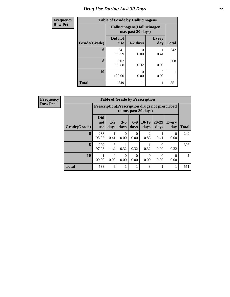### *Drug Use During Last 30 Days* **22**

| <b>Frequency</b> |              | <b>Table of Grade by Hallucinogens</b>            |            |                     |              |
|------------------|--------------|---------------------------------------------------|------------|---------------------|--------------|
| <b>Row Pct</b>   |              | Hallucinogens (Hallucinogen<br>use, past 30 days) |            |                     |              |
|                  | Grade(Grade) | Did not<br><b>use</b>                             | $1-2$ days | <b>Every</b><br>day | <b>Total</b> |
|                  | 6            | 241<br>99.59                                      | 0.00       | 0.41                | 242          |
|                  | 8            | 307<br>99.68                                      | 0.32       | 0<br>0.00           | 308          |
|                  | 10           | 100.00                                            | 0<br>0.00  | 0.00                |              |
|                  | <b>Total</b> | 549                                               |            |                     | 551          |

| Frequency      | <b>Table of Grade by Prescription</b> |                                 |                                                                                |                  |               |                        |                   |                     |              |
|----------------|---------------------------------------|---------------------------------|--------------------------------------------------------------------------------|------------------|---------------|------------------------|-------------------|---------------------|--------------|
| <b>Row Pct</b> |                                       |                                 | <b>Prescription</b> (Prescription drugs not prescribed<br>to me, past 30 days) |                  |               |                        |                   |                     |              |
|                | Grade(Grade)                          | <b>Did</b><br>not<br><b>use</b> | $1-2$<br>days                                                                  | $3 - 5$<br>days  | $6-9$<br>days | $10-19$<br>days        | $20 - 29$<br>days | <b>Every</b><br>day | <b>Total</b> |
|                | 6                                     | 238<br>98.35                    | 0.41                                                                           | 0<br>0.00        | 0.00          | $\mathfrak{D}$<br>0.83 | 0.41              | $\theta$<br>0.00    | 242          |
|                | 8                                     | 299<br>97.08                    | 5<br>1.62                                                                      | 0.32             | 0.32          | 0.32                   | 0<br>0.00         | 0.32                | 308          |
|                | 10                                    | 100.00                          | $\Omega$<br>0.00                                                               | $\Omega$<br>0.00 | 0<br>0.00     | 0<br>0.00              | ∩<br>0.00         | 0.00                |              |
|                | <b>Total</b>                          | 538                             | 6                                                                              |                  |               | 3                      |                   |                     | 551          |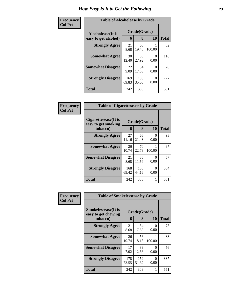| <b>Frequency</b> | <b>Table of Alcoholease by Grade</b>      |                   |              |           |     |  |
|------------------|-------------------------------------------|-------------------|--------------|-----------|-----|--|
| <b>Col Pct</b>   | Alcoholease(It is<br>easy to get alcohol) | Grade(Grade)<br>6 | <b>Total</b> |           |     |  |
|                  | <b>Strongly Agree</b>                     | 21<br>8.68        | 60<br>19.48  | 100.00    | 82  |  |
|                  | <b>Somewhat Agree</b>                     | 30<br>12.40       | 86<br>27.92  | 0<br>0.00 | 116 |  |
|                  | <b>Somewhat Disagree</b>                  | 22<br>9.09        | 54<br>17.53  | 0<br>0.00 | 76  |  |
|                  | <b>Strongly Disagree</b>                  | 169<br>69.83      | 108<br>35.06 | 0<br>0.00 | 277 |  |
|                  | <b>Total</b>                              | 242               | 308          | 1         | 551 |  |

| Frequency      | <b>Table of Cigarettesease by Grade</b>                 |              |                   |           |              |
|----------------|---------------------------------------------------------|--------------|-------------------|-----------|--------------|
| <b>Col Pct</b> | Cigarettesease(It is<br>easy to get smoking<br>tobacco) | 6            | Grade(Grade)<br>8 | 10        | <b>Total</b> |
|                | <b>Strongly Agree</b>                                   | 27<br>11.16  | 66<br>21.43       | 0<br>0.00 | 93           |
|                | <b>Somewhat Agree</b>                                   | 26<br>10.74  | 70<br>22.73       | 100.00    | 97           |
|                | <b>Somewhat Disagree</b>                                | 21<br>8.68   | 36<br>11.69       | 0<br>0.00 | 57           |
|                | <b>Strongly Disagree</b>                                | 168<br>69.42 | 136<br>44.16      | 0<br>0.00 | 304          |
|                | <b>Total</b>                                            | 242          | 308               |           | 551          |

| Frequency      | <b>Table of Smokelessease by Grade</b>                         |              |                   |           |              |
|----------------|----------------------------------------------------------------|--------------|-------------------|-----------|--------------|
| <b>Col Pct</b> | <b>Smokelessease</b> (It is<br>easy to get chewing<br>tobacco) | 6            | Grade(Grade)<br>8 | <b>10</b> | <b>Total</b> |
|                | <b>Strongly Agree</b>                                          | 21<br>8.68   | 54<br>17.53       | 0<br>0.00 | 75           |
|                | <b>Somewhat Agree</b>                                          | 26<br>10.74  | 56<br>18.18       | 100.00    | 83           |
|                | <b>Somewhat Disagree</b>                                       | 17<br>7.02   | 39<br>12.66       | 0<br>0.00 | 56           |
|                | <b>Strongly Disagree</b>                                       | 178<br>73.55 | 159<br>51.62      | 0<br>0.00 | 337          |
|                | Total                                                          | 242          | 308               | 1         | 551          |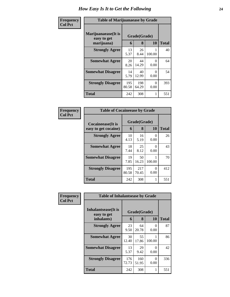| Frequency      | <b>Table of Marijuanaease by Grade</b> |              |              |           |              |  |
|----------------|----------------------------------------|--------------|--------------|-----------|--------------|--|
| <b>Col Pct</b> | Marijuanaease(It is<br>easy to get     | Grade(Grade) |              |           |              |  |
|                | marijuana)                             | 6            | 8            | 10        | <b>Total</b> |  |
|                | <b>Strongly Agree</b>                  | 13<br>5.37   | 26<br>8.44   | 100.00    | 40           |  |
|                | <b>Somewhat Agree</b>                  | 20<br>8.26   | 44<br>14.29  | 0<br>0.00 | 64           |  |
|                | <b>Somewhat Disagree</b>               | 14<br>5.79   | 40<br>12.99  | 0<br>0.00 | 54           |  |
|                | <b>Strongly Disagree</b>               | 195<br>80.58 | 198<br>64.29 | 0<br>0.00 | 393          |  |
|                | <b>Total</b>                           | 242          | 308          |           | 551          |  |

| Frequency      | <b>Table of Cocaineease by Grade</b>      |              |                   |                  |              |
|----------------|-------------------------------------------|--------------|-------------------|------------------|--------------|
| <b>Col Pct</b> | Cocaineease(It is<br>easy to get cocaine) | 6            | Grade(Grade)<br>8 | <b>10</b>        | <b>Total</b> |
|                | <b>Strongly Agree</b>                     | 10<br>4.13   | 16<br>5.19        | $\theta$<br>0.00 | 26           |
|                | <b>Somewhat Agree</b>                     | 18<br>7.44   | 25<br>8.12        | $\Omega$<br>0.00 | 43           |
|                | <b>Somewhat Disagree</b>                  | 19<br>7.85   | 50<br>16.23       | 100.00           | 70           |
|                | <b>Strongly Disagree</b>                  | 195<br>80.58 | 217<br>70.45      | 0<br>0.00        | 412          |
|                | <b>Total</b>                              | 242          | 308               | 1                | 551          |

| Frequency      | <b>Table of Inhalantsease by Grade</b> |              |              |                  |              |
|----------------|----------------------------------------|--------------|--------------|------------------|--------------|
| <b>Col Pct</b> | Inhalantsease(It is<br>easy to get     |              | Grade(Grade) |                  |              |
|                | inhalants)                             | 6            | 8            | 10               | <b>Total</b> |
|                | <b>Strongly Agree</b>                  | 23<br>9.50   | 64<br>20.78  | 0<br>0.00        | 87           |
|                | <b>Somewhat Agree</b>                  | 30<br>12.40  | 55<br>17.86  | 100.00           | 86           |
|                | <b>Somewhat Disagree</b>               | 13<br>5.37   | 29<br>9.42   | $\theta$<br>0.00 | 42           |
|                | <b>Strongly Disagree</b>               | 176<br>72.73 | 160<br>51.95 | 0<br>0.00        | 336          |
|                | <b>Total</b>                           | 242          | 308          | 1                | 551          |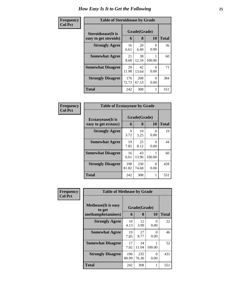| Frequency      | <b>Table of Steroidsease by Grade</b>       |              |                   |           |              |  |  |
|----------------|---------------------------------------------|--------------|-------------------|-----------|--------------|--|--|
| <b>Col Pct</b> | Steroidsease(It is<br>easy to get steroids) | 6            | Grade(Grade)<br>8 | <b>10</b> | <b>Total</b> |  |  |
|                | <b>Strongly Agree</b>                       | 16<br>6.61   | 20<br>6.49        | 0<br>0.00 | 36           |  |  |
|                | <b>Somewhat Agree</b>                       | 21<br>8.68   | 38<br>12.34       | 100.00    | 60           |  |  |
|                | <b>Somewhat Disagree</b>                    | 29<br>11.98  | 42<br>13.64       | 0<br>0.00 | 71           |  |  |
|                | <b>Strongly Disagree</b>                    | 176<br>72.73 | 208<br>67.53      | 0<br>0.00 | 384          |  |  |
|                | <b>Total</b>                                | 242          | 308               |           | 551          |  |  |

| Frequency      | <b>Table of Ecstasyease by Grade</b>              |                   |              |                  |     |
|----------------|---------------------------------------------------|-------------------|--------------|------------------|-----|
| <b>Col Pct</b> | <b>Ecstasyease</b> (It is<br>easy to get ecstasy) | Grade(Grade)<br>6 | <b>Total</b> |                  |     |
|                | <b>Strongly Agree</b>                             | 9<br>3.72         | 10<br>3.25   | $\theta$<br>0.00 | 19  |
|                | <b>Somewhat Agree</b>                             | 19<br>7.85        | 25<br>8.12   | 0<br>0.00        | 44  |
|                | <b>Somewhat Disagree</b>                          | 16<br>6.61        | 43<br>13.96  | 100.00           | 60  |
|                | <b>Strongly Disagree</b>                          | 198<br>81.82      | 230<br>74.68 | 0<br>0.00        | 428 |
|                | <b>Total</b>                                      | 242               | 308          | 1                | 551 |

| Frequency      |                                                            | <b>Table of Methease by Grade</b> |                   |           |              |  |  |  |
|----------------|------------------------------------------------------------|-----------------------------------|-------------------|-----------|--------------|--|--|--|
| <b>Col Pct</b> | <b>Methease</b> (It is easy<br>to get<br>methamphetamines) | 6                                 | Grade(Grade)<br>8 | 10        | <b>Total</b> |  |  |  |
|                | <b>Strongly Agree</b>                                      | 10<br>4.13                        | 12<br>3.90        | 0<br>0.00 | 22           |  |  |  |
|                | <b>Somewhat Agree</b>                                      | 19<br>7.85                        | 27<br>8.77        | 0<br>0.00 | 46           |  |  |  |
|                | <b>Somewhat Disagree</b>                                   | 17<br>7.02                        | 34<br>11.04       | 100.00    | 52           |  |  |  |
|                | <b>Strongly Disagree</b>                                   | 196<br>80.99                      | 235<br>76.30      | 0<br>0.00 | 431          |  |  |  |
|                | <b>Total</b>                                               | 242                               | 308               | 1         | 551          |  |  |  |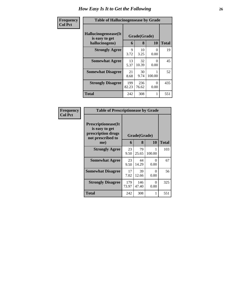| Frequency      | <b>Table of Hallucinogensease by Grade</b>               |              |                   |           |              |  |
|----------------|----------------------------------------------------------|--------------|-------------------|-----------|--------------|--|
| <b>Col Pct</b> | Hallucinogensease(It<br>is easy to get<br>hallucinogens) | 6            | Grade(Grade)<br>8 | 10        | <b>Total</b> |  |
|                | <b>Strongly Agree</b>                                    | 9<br>3.72    | 10<br>3.25        | 0<br>0.00 | 19           |  |
|                | <b>Somewhat Agree</b>                                    | 13<br>5.37   | 32<br>10.39       | 0<br>0.00 | 45           |  |
|                | <b>Somewhat Disagree</b>                                 | 21<br>8.68   | 30<br>9.74        | 100.00    | 52           |  |
|                | <b>Strongly Disagree</b>                                 | 199<br>82.23 | 236<br>76.62      | 0<br>0.00 | 435          |  |
|                | <b>Total</b>                                             | 242          | 308               |           | 551          |  |

| Frequency<br><b>Table of Prescriptionease by Grade</b> |                                                                                          |              |              |                  |              |
|--------------------------------------------------------|------------------------------------------------------------------------------------------|--------------|--------------|------------------|--------------|
| <b>Col Pct</b>                                         | <b>Prescriptionease</b> (It<br>is easy to get<br>prescription drugs<br>not prescribed to |              | Grade(Grade) |                  |              |
|                                                        | me)                                                                                      | 6            | 8            | 10               | <b>Total</b> |
|                                                        | <b>Strongly Agree</b>                                                                    | 23<br>9.50   | 79<br>25.65  | 100.00           | 103          |
|                                                        | <b>Somewhat Agree</b>                                                                    | 23<br>9.50   | 44<br>14.29  | 0<br>0.00        | 67           |
|                                                        | <b>Somewhat Disagree</b>                                                                 | 17<br>7.02   | 39<br>12.66  | $\Omega$<br>0.00 | 56           |
|                                                        | <b>Strongly Disagree</b>                                                                 | 179<br>73.97 | 146<br>47.40 | $\Omega$<br>0.00 | 325          |
|                                                        | Total                                                                                    | 242          | 308          |                  | 551          |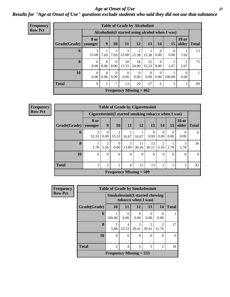#### *Age at Onset of Use* **27** *Results for "Age at Onset of Use" questions exclude students who said they did not use that substance*

| <b>Frequency</b> |              |                  |                  |                  |                  |                                | <b>Table of Grade by Alcoholinit</b> |                  |                                                  |                       |              |
|------------------|--------------|------------------|------------------|------------------|------------------|--------------------------------|--------------------------------------|------------------|--------------------------------------------------|-----------------------|--------------|
| <b>Row Pct</b>   |              |                  |                  |                  |                  |                                |                                      |                  | Alcoholinit (I started using alcohol when I was) |                       |              |
|                  | Grade(Grade) | 8 or<br>younger  | 9                | 10               | 11               | 12                             | 13                                   | 14               | <b>15</b>                                        | <b>18 or</b><br>older | <b>Total</b> |
|                  | 6            | 3<br>23.08       | 7.69             | 7.69             | 3<br>23.08       | 15.38                          | 2<br>15.38                           | $\Omega$<br>0.00 | $\left($<br>0.00                                 | 7.69                  | 13           |
|                  | 8            | 6<br>8.00        | $\Omega$<br>0.00 | 6<br>8.00        | 10<br>13.33      | 18<br>24.00                    | 25<br>33.33                          | 6<br>8.00        | 2.67                                             | $\mathcal{D}$<br>2.67 | 75           |
|                  | 10           | $\Omega$<br>0.00 | $\Omega$<br>0.00 | $\Omega$<br>0.00 | $\Omega$<br>0.00 | $\Omega$<br>0.00               | $\Omega$<br>$0.00\,$                 | $\Omega$<br>0.00 | 100.00                                           | $\Omega$<br>0.00      | $\mathbf{1}$ |
|                  | <b>Total</b> | 9                |                  | 7                | 13               | 20                             | 27                                   | 6                | 3                                                | 3                     | 89           |
|                  |              |                  |                  |                  |                  | <b>Frequency Missing = 462</b> |                                      |                  |                                                  |                       |              |

| <b>Frequency</b> |              |                                                      |                  |                         |            | <b>Table of Grade by Cigarettesinit</b>     |                  |                  |                  |                       |              |
|------------------|--------------|------------------------------------------------------|------------------|-------------------------|------------|---------------------------------------------|------------------|------------------|------------------|-----------------------|--------------|
| <b>Row Pct</b>   |              | Cigarettesinit(I started smoking tobacco when I was) |                  |                         |            |                                             |                  |                  |                  |                       |              |
|                  | Grade(Grade) | <b>8 or</b><br>younger                               | 9                | 10                      | <b>11</b>  | 12                                          | 13               | 14               | 15               | <b>18 or</b><br>older | <b>Total</b> |
|                  | 6            | $\mathfrak{D}$<br>33.33                              | $\Omega$<br>0.00 | $\overline{2}$<br>33.33 | 16.67      | 16.67                                       | $\Omega$<br>0.00 | $\Omega$<br>0.00 | $\Omega$<br>0.00 | $\Omega$<br>0.00      | 6            |
|                  | 8            | 2.78                                                 | 5.56             | $\Omega$<br>0.00        | 5<br>13.89 | 11<br>30.56                                 | 13<br>36.11      | 2<br>5.56        | 2.78             | 2.78                  | 36           |
|                  | 10           | $\Omega$                                             | $\Omega$<br>٠    | $\Omega$                | $\theta$   | $\Omega$                                    | $\theta$<br>٠    | $\theta$         | $\Omega$         | $\Omega$              | $\theta$     |
|                  | <b>Total</b> | 3                                                    | 2                | $\overline{2}$          | 6          | 12                                          | 13               | $\overline{2}$   |                  |                       | 42           |
|                  |              |                                                      |                  |                         |            | <b>Frequency Missing <math>= 509</math></b> |                  |                  |                  |                       |              |

| Frequency      | <b>Table of Grade by Smokelessinit</b> |                                        |                     |                  |                  |                      |              |
|----------------|----------------------------------------|----------------------------------------|---------------------|------------------|------------------|----------------------|--------------|
| <b>Row Pct</b> |                                        | <b>Smokelessinit(I started chewing</b> | tobacco when I was) |                  |                  |                      |              |
|                | Grade(Grade)                           | <b>10</b>                              | 11                  | 12               | 13               | 14                   | <b>Total</b> |
|                | 6                                      | 100.00                                 | 0<br>0.00           | $\Omega$<br>0.00 | $\Omega$<br>0.00 | $\mathbf{0}$<br>0.00 |              |
|                | 8                                      | 5.88                                   | 4<br>23.53          | 29.41            | 5<br>29.41       | 2<br>11.76           | 17           |
|                | 10                                     | $\theta$                               | $\theta$            | 0                | $\Omega$         | 0                    |              |
|                | <b>Total</b>                           | 2                                      | 4                   | 5                | 5                | 2                    | 18           |
|                |                                        | Frequency Missing $= 533$              |                     |                  |                  |                      |              |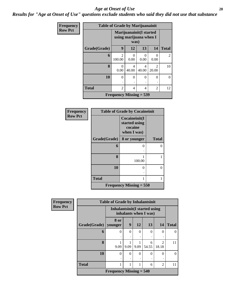#### *Age at Onset of Use* **28**

*Results for "Age at Onset of Use" questions exclude students who said they did not use that substance*

| <b>Frequency</b> | <b>Table of Grade by Marijuanainit</b> |                           |                                                            |                |                         |              |  |  |  |
|------------------|----------------------------------------|---------------------------|------------------------------------------------------------|----------------|-------------------------|--------------|--|--|--|
| <b>Row Pct</b>   |                                        |                           | Marijuanainit (I started<br>using marijuana when I<br>was) |                |                         |              |  |  |  |
|                  | Grade(Grade)                           | 9                         | 12                                                         | 13             | 14                      | <b>Total</b> |  |  |  |
|                  | 6                                      | $\overline{c}$<br>100.00  | 0<br>0.00                                                  | 0<br>0.00      | $\Omega$<br>0.00        | 2            |  |  |  |
|                  | 8                                      | 0<br>0.00                 | $\overline{\mathcal{A}}$<br>40.00                          | 4<br>40.00     | $\mathfrak{D}$<br>20.00 | 10           |  |  |  |
|                  | 10                                     | $\theta$                  | $\Omega$                                                   | $\Omega$       | $\Omega$                | $\Omega$     |  |  |  |
|                  | <b>Total</b>                           | $\overline{c}$            | 4                                                          | $\overline{4}$ | $\overline{2}$          | 12           |  |  |  |
|                  |                                        | Frequency Missing $=$ 539 |                                                            |                |                         |              |  |  |  |

| <b>Frequency</b> | <b>Table of Grade by Cocaineinit</b> |                                                          |              |  |  |  |  |
|------------------|--------------------------------------|----------------------------------------------------------|--------------|--|--|--|--|
| <b>Row Pct</b>   |                                      | Cocaineinit(I<br>started using<br>cocaine<br>when I was) |              |  |  |  |  |
|                  | Grade(Grade)                         | 8 or younger                                             | <b>Total</b> |  |  |  |  |
|                  | 6                                    | 0                                                        | 0            |  |  |  |  |
|                  |                                      |                                                          |              |  |  |  |  |
|                  | 8                                    | 100.00                                                   |              |  |  |  |  |
|                  | 10                                   | $\theta$                                                 | 0            |  |  |  |  |
|                  |                                      |                                                          |              |  |  |  |  |
|                  | <b>Total</b>                         | 1                                                        |              |  |  |  |  |
|                  |                                      | Frequency Missing $= 550$                                |              |  |  |  |  |

| <b>Frequency</b> |              | <b>Table of Grade by Inhalantsinit</b>                        |          |               |            |                                      |              |
|------------------|--------------|---------------------------------------------------------------|----------|---------------|------------|--------------------------------------|--------------|
| <b>Row Pct</b>   |              | <b>Inhalantsinit(I started using</b><br>inhalants when I was) |          |               |            |                                      |              |
|                  | Grade(Grade) | 8 or<br>younger                                               | 9        | 12            | 13         | 14                                   | <b>Total</b> |
|                  | 6            | $\theta$                                                      | $\Omega$ | $\Omega$<br>٠ | $\Omega$   | 0                                    | $\Omega$     |
|                  | 8            | 9.09                                                          | 9.09     | 9.09          | 6<br>54.55 | $\mathcal{D}_{\mathcal{L}}$<br>18.18 | 11           |
|                  | 10           | $\Omega$                                                      | $\Omega$ | $\Omega$<br>٠ | $\Omega$   | $\Omega$                             | $\Omega$     |
|                  | <b>Total</b> | 1                                                             | 1        | 1             | 6          | $\overline{c}$                       | 11           |
|                  |              | <b>Frequency Missing = <math>540</math></b>                   |          |               |            |                                      |              |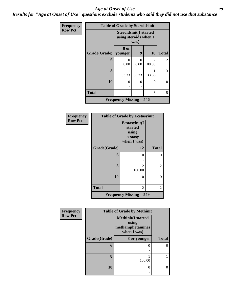#### *Age at Onset of Use* **29**

*Results for "Age at Onset of Use" questions exclude students who said they did not use that substance*

| Frequency      |                        | <b>Table of Grade by Steroidsinit</b> |                                                                |             |              |  |  |
|----------------|------------------------|---------------------------------------|----------------------------------------------------------------|-------------|--------------|--|--|
| <b>Row Pct</b> |                        |                                       | <b>Steroidsinit(I started</b><br>using steroids when I<br>was) |             |              |  |  |
|                | Grade(Grade)   younger | 8 or                                  | 9                                                              | 10          | <b>Total</b> |  |  |
|                | 6                      | 0.00                                  | 0<br>0.00                                                      | 2<br>100.00 | 2            |  |  |
|                | 8                      | 1<br>33.33                            | 33.33                                                          | 33.33       | 3            |  |  |
|                | 10                     | 0                                     | 0                                                              | 0<br>٠      | $\theta$     |  |  |
|                | <b>Total</b>           | 1                                     | 1                                                              | 3           | 5            |  |  |
|                |                        | Frequency Missing $= 546$             |                                                                |             |              |  |  |

| Frequency      | <b>Table of Grade by Ecstasyinit</b> |                                                             |                |  |  |
|----------------|--------------------------------------|-------------------------------------------------------------|----------------|--|--|
| <b>Row Pct</b> |                                      | Ecstasyinit(I<br>started<br>using<br>ecstasy<br>when I was) |                |  |  |
|                | Grade(Grade)                         | 12                                                          | <b>Total</b>   |  |  |
|                | 6                                    | 0                                                           | 0              |  |  |
|                |                                      |                                                             |                |  |  |
|                | 8                                    | $\mathfrak{D}$<br>100.00                                    | $\overline{2}$ |  |  |
|                | 10                                   | 0                                                           | 0              |  |  |
|                |                                      |                                                             |                |  |  |
|                | <b>Total</b>                         | 2                                                           | 2              |  |  |
|                |                                      | Frequency Missing $= 549$                                   |                |  |  |

| Frequency      | <b>Table of Grade by Methinit</b> |                                                                        |              |  |  |  |
|----------------|-----------------------------------|------------------------------------------------------------------------|--------------|--|--|--|
| <b>Row Pct</b> |                                   | <b>Methinit</b> (I started<br>using<br>methamphetamines<br>when I was) |              |  |  |  |
|                | Grade(Grade)                      | 8 or younger                                                           | <b>Total</b> |  |  |  |
|                | 6                                 | 0                                                                      |              |  |  |  |
|                | 8                                 | 100.00                                                                 |              |  |  |  |
|                | 10                                | 0                                                                      | 0            |  |  |  |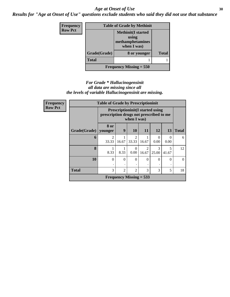#### Age at Onset of Use **30**

*Results for "Age at Onset of Use" questions exclude students who said they did not use that substance*

| <b>Frequency</b> | <b>Table of Grade by Methinit</b> |                                                                       |              |  |  |  |
|------------------|-----------------------------------|-----------------------------------------------------------------------|--------------|--|--|--|
| <b>Row Pct</b>   |                                   | <b>Methinit(I started</b><br>using<br>methamphetamines<br>when I was) |              |  |  |  |
|                  | Grade(Grade)                      | 8 or younger                                                          | <b>Total</b> |  |  |  |
|                  | <b>Total</b>                      |                                                                       |              |  |  |  |
|                  | Frequency Missing $= 550$         |                                                                       |              |  |  |  |

#### *For Grade \* Hallucinogensinit all data are missing since all the levels of variable Hallucinogensinit are missing.*

| Frequency      | <b>Table of Grade by Prescriptioninit</b> |                                                                                                   |                |                                      |                         |            |           |              |
|----------------|-------------------------------------------|---------------------------------------------------------------------------------------------------|----------------|--------------------------------------|-------------------------|------------|-----------|--------------|
| <b>Row Pct</b> |                                           | <b>Prescriptioninit(I started using</b><br>prescription drugs not prescribed to me<br>when I was) |                |                                      |                         |            |           |              |
|                | Grade(Grade)   younger                    | 8 or                                                                                              | 9              | 10                                   | <b>11</b>               | 12         | 13        | <b>Total</b> |
|                | 6                                         | $\mathfrak{D}$<br>33.33                                                                           | 16.67          | $\mathcal{D}_{\mathcal{L}}$<br>33.33 | 16.67                   | 0<br>0.00  | 0<br>0.00 | 6            |
|                | 8                                         | 8.33                                                                                              | 8.33           | 0.00                                 | $\mathfrak{D}$<br>16.67 | 3<br>25.00 | 41.67     | 12           |
|                | 10                                        | $\Omega$                                                                                          | $\Omega$       | $\theta$                             | 0                       | $\Omega$   | $\Omega$  | $\theta$     |
|                | <b>Total</b>                              | 3                                                                                                 | $\mathfrak{D}$ | $\mathfrak{D}$                       | 3                       | 3          | 5         | 18           |
|                |                                           |                                                                                                   |                | Frequency Missing $= 533$            |                         |            |           |              |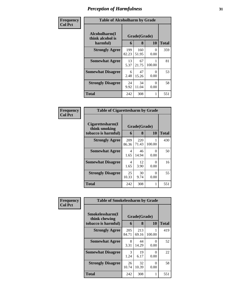| Frequency      | <b>Table of Alcoholharm by Grade</b>          |              |                         |           |     |  |
|----------------|-----------------------------------------------|--------------|-------------------------|-----------|-----|--|
| <b>Col Pct</b> | Alcoholharm(I<br>think alcohol is<br>harmful) | 6            | Grade(Grade)<br>10<br>8 |           |     |  |
|                | <b>Strongly Agree</b>                         | 199<br>82.23 | 160<br>51.95            | 0<br>0.00 | 359 |  |
|                | <b>Somewhat Agree</b>                         | 13<br>5.37   | 67<br>21.75             | 100.00    | 81  |  |
|                | <b>Somewhat Disagree</b>                      | 6<br>2.48    | 47<br>15.26             | 0<br>0.00 | 53  |  |
|                | <b>Strongly Disagree</b>                      | 24<br>9.92   | 34<br>11.04             | 0<br>0.00 | 58  |  |
|                | <b>Total</b>                                  | 242          | 308                     | 1         | 551 |  |

| <b>Frequency<br/>Col Pct</b> |
|------------------------------|
|                              |

| <b>Table of Cigarettesharm by Grade</b>                  |                   |              |             |     |  |  |  |
|----------------------------------------------------------|-------------------|--------------|-------------|-----|--|--|--|
| Cigarettesharm(I<br>think smoking<br>tobacco is harmful) | Grade(Grade)<br>6 | <b>Total</b> |             |     |  |  |  |
| <b>Strongly Agree</b>                                    | 209<br>86.36      | 220<br>71.43 | 1<br>100.00 | 430 |  |  |  |
| <b>Somewhat Agree</b>                                    | 4<br>1.65         | 46<br>14.94  | 0<br>0.00   | 50  |  |  |  |
| <b>Somewhat Disagree</b>                                 | 4<br>1.65         | 12<br>3.90   | 0<br>0.00   | 16  |  |  |  |
| <b>Strongly Disagree</b>                                 | 25<br>10.33       | 30<br>9.74   | 0<br>0.00   | 55  |  |  |  |
| <b>Total</b>                                             | 242               | 308          | 1           | 551 |  |  |  |

| Frequency      | <b>Table of Smokelessharm by Grade</b> |              |              |                           |              |
|----------------|----------------------------------------|--------------|--------------|---------------------------|--------------|
| <b>Col Pct</b> | Smokelessharm(I<br>think chewing       | Grade(Grade) |              |                           |              |
|                | tobacco is harmful)                    | 6            | 8            | 10                        | <b>Total</b> |
|                | <b>Strongly Agree</b>                  | 205<br>84.71 | 213<br>69.16 | 100.00                    | 419          |
|                | <b>Somewhat Agree</b>                  | 8<br>3.31    | 44<br>14.29  | $\mathbf{\Omega}$<br>0.00 | 52           |
|                | <b>Somewhat Disagree</b>               | 3<br>1.24    | 19<br>6.17   | $\mathbf{\Omega}$<br>0.00 | 22           |
|                | <b>Strongly Disagree</b>               | 26<br>10.74  | 32<br>10.39  | 0<br>0.00                 | 58           |
|                | <b>Total</b>                           | 242          | 308          | 1                         | 551          |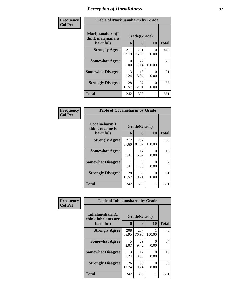| Frequency      | <b>Table of Marijuanaharm by Grade</b>            |              |                         |                  |     |  |
|----------------|---------------------------------------------------|--------------|-------------------------|------------------|-----|--|
| <b>Col Pct</b> | Marijuanaharm(I<br>think marijuana is<br>harmful) | 6            | Grade(Grade)<br>10<br>8 |                  |     |  |
|                | <b>Strongly Agree</b>                             | 211<br>87.19 | 231<br>75.00            | $\Omega$<br>0.00 | 442 |  |
|                | <b>Somewhat Agree</b>                             | 0<br>0.00    | 22<br>7.14              | 100.00           | 23  |  |
|                | <b>Somewhat Disagree</b>                          | 3<br>1.24    | 18<br>5.84              | 0<br>0.00        | 21  |  |
|                | <b>Strongly Disagree</b>                          | 28<br>11.57  | 37<br>12.01             | 0<br>0.00        | 65  |  |
|                | <b>Total</b>                                      | 242          | 308                     |                  | 551 |  |

| Frequency<br>Col Pct |
|----------------------|
|                      |

| <b>Table of Cocaineharm by Grade</b>          |                   |              |             |     |  |  |  |
|-----------------------------------------------|-------------------|--------------|-------------|-----|--|--|--|
| Cocaineharm(I<br>think cocaine is<br>harmful) | Grade(Grade)<br>6 | <b>Total</b> |             |     |  |  |  |
| <b>Strongly Agree</b>                         | 212<br>87.60      | 252<br>81.82 | 1<br>100.00 | 465 |  |  |  |
| <b>Somewhat Agree</b>                         | 1<br>0.41         | 17<br>5.52   | 0<br>0.00   | 18  |  |  |  |
| <b>Somewhat Disagree</b>                      | 1<br>0.41         | 6<br>1.95    | 0<br>0.00   |     |  |  |  |
| <b>Strongly Disagree</b>                      | 28<br>11.57       | 33<br>10.71  | 0<br>0.00   | 61  |  |  |  |
| <b>Total</b>                                  | 242               | 308          | 1           | 551 |  |  |  |

| Frequency<br><b>Col Pct</b> | <b>Table of Inhalantsharm by Grade</b>  |              |              |                  |              |
|-----------------------------|-----------------------------------------|--------------|--------------|------------------|--------------|
|                             | Inhalantsharm(I)<br>think inhalants are | Grade(Grade) |              |                  |              |
|                             | harmful)                                | 6            | 8            | <b>10</b>        | <b>Total</b> |
|                             | <b>Strongly Agree</b>                   | 208<br>85.95 | 237<br>76.95 | 100.00           | 446          |
|                             | <b>Somewhat Agree</b>                   | 5<br>2.07    | 29<br>9.42   | $\Omega$<br>0.00 | 34           |
|                             | <b>Somewhat Disagree</b>                | 3<br>1.24    | 12<br>3.90   | 0<br>0.00        | 15           |
|                             | <b>Strongly Disagree</b>                | 26<br>10.74  | 30<br>9.74   | $\Omega$<br>0.00 | 56           |
|                             | <b>Total</b>                            | 242          | 308          | 1                | 551          |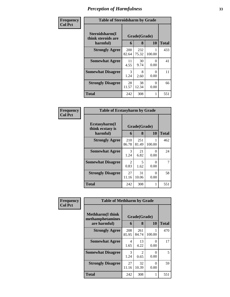| Frequency      | <b>Table of Steroidsharm by Grade</b>            |                       |                   |           |              |  |
|----------------|--------------------------------------------------|-----------------------|-------------------|-----------|--------------|--|
| <b>Col Pct</b> | Steroidsharm(I<br>think steroids are<br>harmful) | 6                     | Grade(Grade)<br>8 | 10        | <b>Total</b> |  |
|                | <b>Strongly Agree</b>                            | 200<br>82.64          | 232<br>75.32      | 100.00    | 433          |  |
|                | <b>Somewhat Agree</b>                            | 11<br>4.55            | 30<br>9.74        | 0<br>0.00 | 41           |  |
|                | <b>Somewhat Disagree</b>                         | $\mathcal{F}$<br>1.24 | 8<br>2.60         | 0<br>0.00 | 11           |  |
|                | <b>Strongly Disagree</b>                         | 28<br>11.57           | 38<br>12.34       | 0<br>0.00 | 66           |  |
|                | <b>Total</b>                                     | 242                   | 308               |           | 551          |  |

| <b>Frequency</b> |
|------------------|
| $ $ Col Pct      |

| <b>Table of Ecstasyharm by Grade</b>                |              |                         |             |     |  |  |  |
|-----------------------------------------------------|--------------|-------------------------|-------------|-----|--|--|--|
| $E$ cstasyharm $(I$<br>think ecstasy is<br>harmful) | 6            | Grade(Grade)<br>10<br>8 |             |     |  |  |  |
| <b>Strongly Agree</b>                               | 210<br>86.78 | 251<br>81.49            | 1<br>100.00 | 462 |  |  |  |
| <b>Somewhat Agree</b>                               | 3<br>1.24    | 21<br>6.82              | 0<br>0.00   | 24  |  |  |  |
| <b>Somewhat Disagree</b>                            | 2<br>0.83    | 5<br>1.62               | 0<br>0.00   | 7   |  |  |  |
| <b>Strongly Disagree</b>                            | 27<br>11.16  | 31<br>10.06             | 0<br>0.00   | 58  |  |  |  |
| Total                                               | 242          | 308                     | 1           | 551 |  |  |  |

| Frequency      | <b>Table of Methharm by Grade</b>            |              |                                     |           |              |  |
|----------------|----------------------------------------------|--------------|-------------------------------------|-----------|--------------|--|
| <b>Col Pct</b> | <b>Methharm</b> (I think<br>methamphetamines |              | Grade(Grade)                        |           |              |  |
|                | are harmful)                                 | 6            | 8                                   | 10        | <b>Total</b> |  |
|                | <b>Strongly Agree</b>                        | 208<br>85.95 | 261<br>84.74                        | 100.00    | 470          |  |
|                | <b>Somewhat Agree</b>                        | 4<br>1.65    | 13<br>4.22                          | 0<br>0.00 | 17           |  |
|                | <b>Somewhat Disagree</b>                     | 3<br>1.24    | $\mathcal{D}_{\mathcal{L}}$<br>0.65 | 0<br>0.00 | 5            |  |
|                | <b>Strongly Disagree</b>                     | 27<br>11.16  | 32<br>10.39                         | 0<br>0.00 | 59           |  |
|                | <b>Total</b>                                 | 242          | 308                                 | 1         | 551          |  |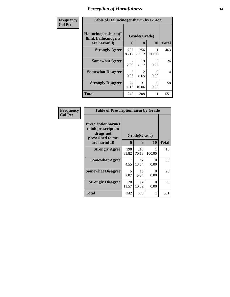| Frequency      | <b>Table of Hallucinogensharm by Grade</b>                 |                       |                       |                  |              |
|----------------|------------------------------------------------------------|-----------------------|-----------------------|------------------|--------------|
| <b>Col Pct</b> | Hallucinogensharm(I<br>think hallucinogens<br>are harmful) | 6                     | Grade(Grade)<br>8     | 10               | <b>Total</b> |
|                | <b>Strongly Agree</b>                                      | 206<br>85.12          | 256<br>83.12          | 100.00           | 463          |
|                | <b>Somewhat Agree</b>                                      | 7<br>2.89             | 19<br>6.17            | 0<br>0.00        | 26           |
|                | <b>Somewhat Disagree</b>                                   | $\mathcal{L}$<br>0.83 | $\mathcal{D}$<br>0.65 | $\Omega$<br>0.00 | 4            |
|                | <b>Strongly Disagree</b>                                   | 27<br>11.16           | 31<br>10.06           | 0<br>0.00        | 58           |
|                | <b>Total</b>                                               | 242                   | 308                   |                  | 551          |

| Frequency      | <b>Table of Prescriptionharm by Grade</b>                                                 |              |                   |           |              |
|----------------|-------------------------------------------------------------------------------------------|--------------|-------------------|-----------|--------------|
| <b>Col Pct</b> | Prescriptionharm(I<br>think prescription<br>drugs not<br>prescribed to me<br>are harmful) | 6            | Grade(Grade)<br>8 | <b>10</b> | <b>Total</b> |
|                | <b>Strongly Agree</b>                                                                     | 198<br>81.82 | 216<br>70.13      | 100.00    | 415          |
|                | <b>Somewhat Agree</b>                                                                     | 11<br>4.55   | 42<br>13.64       | 0<br>0.00 | 53           |
|                | <b>Somewhat Disagree</b>                                                                  | 5<br>2.07    | 18<br>5.84        | 0<br>0.00 | 23           |
|                | <b>Strongly Disagree</b>                                                                  | 28<br>11.57  | 32<br>10.39       | 0<br>0.00 | 60           |
|                | Total                                                                                     | 242          | 308               | 1         | 551          |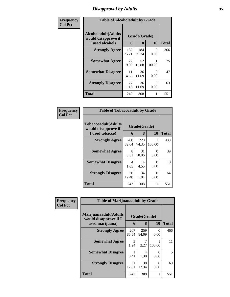### *Disapproval by Adults* **35**

| Frequency      | <b>Table of Alcoholadult by Grade</b>                                 |              |                   |                  |              |  |
|----------------|-----------------------------------------------------------------------|--------------|-------------------|------------------|--------------|--|
| <b>Col Pct</b> | <b>Alcoholadult</b> (Adults<br>would disapprove if<br>I used alcohol) | 6            | Grade(Grade)<br>8 | 10               | <b>Total</b> |  |
|                | <b>Strongly Agree</b>                                                 | 182<br>75.21 | 184<br>59.74      | 0<br>0.00        | 366          |  |
|                | <b>Somewhat Agree</b>                                                 | 22<br>9.09   | 52<br>16.88       | 100.00           | 75           |  |
|                | <b>Somewhat Disagree</b>                                              | 11<br>4.55   | 36<br>11.69       | $\Omega$<br>0.00 | 47           |  |
|                | <b>Strongly Disagree</b>                                              | 27<br>11.16  | 36<br>11.69       | $\Omega$<br>0.00 | 63           |  |
|                | <b>Total</b>                                                          | 242          | 308               | 1                | 551          |  |

| Frequency      | <b>Table of Tobaccoadult by Grade</b>                         |              |                   |           |              |
|----------------|---------------------------------------------------------------|--------------|-------------------|-----------|--------------|
| <b>Col Pct</b> | Tobaccoadult(Adults<br>would disapprove if<br>I used tobacco) | 6            | Grade(Grade)<br>8 | <b>10</b> | <b>Total</b> |
|                | <b>Strongly Agree</b>                                         | 200<br>82.64 | 229<br>74.35      | 100.00    | 430          |
|                | <b>Somewhat Agree</b>                                         | 8<br>3.31    | 31<br>10.06       | 0<br>0.00 | 39           |
|                | <b>Somewhat Disagree</b>                                      | 4<br>1.65    | 14<br>4.55        | 0<br>0.00 | 18           |
|                | <b>Strongly Disagree</b>                                      | 30<br>12.40  | 34<br>11.04       | 0<br>0.00 | 64           |
|                | <b>Total</b>                                                  | 242          | 308               | 1         | 551          |

| Frequency      | <b>Table of Marijuanaadult by Grade</b>        |                       |                   |           |              |  |
|----------------|------------------------------------------------|-----------------------|-------------------|-----------|--------------|--|
| <b>Col Pct</b> | Marijuanaadult(Adults<br>would disapprove if I | 6                     | Grade(Grade)<br>8 | 10        |              |  |
|                | used marijuana)                                |                       |                   |           | <b>Total</b> |  |
|                | <b>Strongly Agree</b>                          | 207<br>85.54          | 259<br>84.09      | 0<br>0.00 | 466          |  |
|                | <b>Somewhat Agree</b>                          | $\mathcal{R}$<br>1.24 | 2.27              | 100.00    | 11           |  |
|                | <b>Somewhat Disagree</b>                       | 0.41                  | 4<br>1.30         | 0<br>0.00 | 5            |  |
|                | <b>Strongly Disagree</b>                       | 31<br>12.81           | 38<br>12.34       | 0<br>0.00 | 69           |  |
|                | <b>Total</b>                                   | 242                   | 308               |           | 551          |  |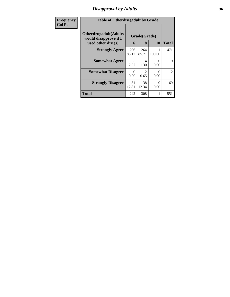### *Disapproval by Adults* **36**

| Frequency      | <b>Table of Otherdrugadult by Grade</b>                                     |                  |                   |                           |                |
|----------------|-----------------------------------------------------------------------------|------------------|-------------------|---------------------------|----------------|
| <b>Col Pct</b> | <b>Otherdrugadult</b> (Adults<br>would disapprove if I<br>used other drugs) | 6                | Grade(Grade)<br>8 | 10                        | <b>Total</b>   |
|                | <b>Strongly Agree</b>                                                       | 206<br>85.12     | 264<br>85.71      | 100.00                    | 471            |
|                | <b>Somewhat Agree</b>                                                       | 5<br>2.07        | 4<br>1.30         | 0<br>0.00                 | 9              |
|                | <b>Somewhat Disagree</b>                                                    | $\Omega$<br>0.00 | 0.65              | $\mathbf{\Omega}$<br>0.00 | $\overline{2}$ |
|                | <b>Strongly Disagree</b>                                                    | 31<br>12.81      | 38<br>12.34       | 0<br>0.00                 | 69             |
|                | <b>Total</b>                                                                | 242              | 308               |                           | 551            |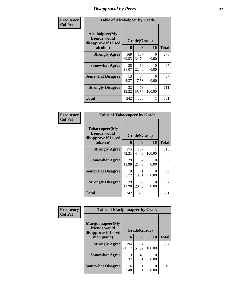# *Disapproval by Peers* **37**

| Frequency      | <b>Table of Alcoholpeer by Grade</b>                    |              |              |           |              |  |  |
|----------------|---------------------------------------------------------|--------------|--------------|-----------|--------------|--|--|
| <b>Col Pct</b> | Alcoholpeer(My<br>friends would<br>disapprove if I used | Grade(Grade) |              |           |              |  |  |
|                | alcohol)                                                |              | 8            | 10        | <b>Total</b> |  |  |
|                | <b>Strongly Agree</b>                                   | 169<br>69.83 | 107<br>34.74 | 0<br>0.00 | 276          |  |  |
|                | <b>Somewhat Agree</b>                                   | 28<br>11.57  | 69<br>22.40  | 0<br>0.00 | 97           |  |  |
|                | <b>Somewhat Disagree</b>                                | 13<br>5.37   | 54<br>17.53  | 0<br>0.00 | 67           |  |  |
|                | <b>Strongly Disagree</b>                                | 32<br>13.22  | 78<br>25.32  | 100.00    | 111          |  |  |
|                | Total                                                   | 242          | 308          | 1         | 551          |  |  |

| Frequency      | <b>Table of Tobaccopeer by Grade</b>                                |                              |              |                           |              |  |  |
|----------------|---------------------------------------------------------------------|------------------------------|--------------|---------------------------|--------------|--|--|
| <b>Col Pct</b> | Tobaccopeer(My<br>friends would<br>disapprove if I used<br>tobacco) | Grade(Grade)<br>10<br>8<br>6 |              |                           | <b>Total</b> |  |  |
|                | <b>Strongly Agree</b>                                               | 175<br>72.31                 | 137<br>44.48 | 100.00                    | 313          |  |  |
|                | <b>Somewhat Agree</b>                                               | 29<br>11.98                  | 67<br>21.75  | 0<br>0.00                 | 96           |  |  |
|                | <b>Somewhat Disagree</b>                                            | 9<br>3.72                    | 41<br>13.31  | $\mathbf{\Omega}$<br>0.00 | 50           |  |  |
|                | <b>Strongly Disagree</b>                                            | 29<br>11.98                  | 63<br>20.45  | 0<br>0.00                 | 92           |  |  |
|                | Total                                                               | 242                          | 308          | 1                         | 551          |  |  |

| Frequency      | <b>Table of Marijuanapeer by Grade</b>                    |              |              |        |              |
|----------------|-----------------------------------------------------------|--------------|--------------|--------|--------------|
| <b>Col Pct</b> | Marijuanapeer(My<br>friends would<br>disapprove if I used | Grade(Grade) |              |        |              |
|                | marijuana)                                                | 6            | 8            | 10     | <b>Total</b> |
|                | <b>Strongly Agree</b>                                     | 194<br>80.17 | 167<br>54.22 | 100.00 | 362          |
|                | <b>Somewhat Agree</b>                                     | 13<br>5.37   | 45<br>14.61  | 0.00   | 58           |
|                | <b>Somewhat Disagree</b>                                  | 6<br>2.48    | 34<br>11.04  | 0.00   | 40           |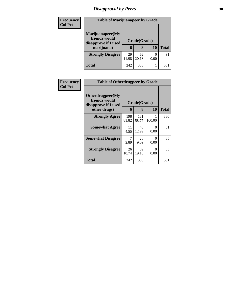# *Disapproval by Peers* **38**

| <b>Frequency</b><br><b>Col Pct</b> | <b>Table of Marijuanapeer by Grade</b>                                  |             |                   |      |              |  |
|------------------------------------|-------------------------------------------------------------------------|-------------|-------------------|------|--------------|--|
|                                    | Marijuanapeer(My<br>friends would<br>disapprove if I used<br>marijuana) | 6           | Grade(Grade)<br>8 | 10   | <b>Total</b> |  |
|                                    | <b>Strongly Disagree</b>                                                | 29<br>11.98 | 62<br>20.13       | 0.00 | 91           |  |
|                                    | Total                                                                   | 242         | 308               |      | 551          |  |

| <b>Frequency</b> | <b>Table of Otherdrugpeer by Grade</b>                                    |             |                   |                  |              |  |  |
|------------------|---------------------------------------------------------------------------|-------------|-------------------|------------------|--------------|--|--|
| <b>Col Pct</b>   | Otherdrugpeer(My<br>friends would<br>disapprove if I used<br>other drugs) | 6           | Grade(Grade)<br>8 | 10               | <b>Total</b> |  |  |
|                  | <b>Strongly Agree</b>                                                     | 198         | 181               |                  | 380          |  |  |
|                  |                                                                           | 81.82       | 58.77             | 100.00           |              |  |  |
|                  | <b>Somewhat Agree</b>                                                     | 11<br>4.55  | 40<br>12.99       | 0<br>0.00        | 51           |  |  |
|                  | <b>Somewhat Disagree</b>                                                  | 7<br>2.89   | 28<br>9.09        | $\Omega$<br>0.00 | 35           |  |  |
|                  | <b>Strongly Disagree</b>                                                  | 26<br>10.74 | 59<br>19.16       | 0<br>0.00        | 85           |  |  |
|                  | <b>Total</b>                                                              | 242         | 308               |                  | 551          |  |  |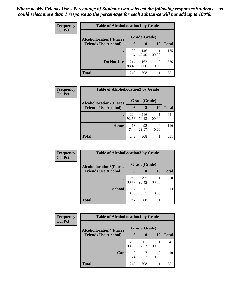| Frequency      | <b>Table of Alcohollocation1 by Grade</b> |              |              |           |              |  |  |  |
|----------------|-------------------------------------------|--------------|--------------|-----------|--------------|--|--|--|
| <b>Col Pct</b> | <b>Alcohollocation1(Places</b>            |              | Grade(Grade) |           |              |  |  |  |
|                | <b>Friends Use Alcohol)</b>               | 6            | 8            | 10        | <b>Total</b> |  |  |  |
|                |                                           | 28<br>11.57  | 146<br>47.40 | 100.00    | 175          |  |  |  |
|                | Do Not Use                                | 214<br>88.43 | 162<br>52.60 | 0<br>0.00 | 376          |  |  |  |
|                | <b>Total</b>                              | 242          | 308          |           | 551          |  |  |  |

| Frequency      | <b>Table of Alcohollocation2 by Grade</b> |              |              |        |              |  |  |  |
|----------------|-------------------------------------------|--------------|--------------|--------|--------------|--|--|--|
| <b>Col Pct</b> | <b>Alcohollocation2(Places</b>            |              | Grade(Grade) |        |              |  |  |  |
|                | <b>Friends Use Alcohol)</b>               | 6            | 8            | 10     | <b>Total</b> |  |  |  |
|                |                                           | 224<br>92.56 | 216<br>70.13 | 100.00 | 441          |  |  |  |
|                | Home                                      | 18<br>7.44   | 92<br>29.87  | 0.00   | 110          |  |  |  |
|                | <b>Total</b>                              | 242          | 308          |        | 551          |  |  |  |

| Frequency<br><b>Col Pct</b> | <b>Table of Alcohollocation 3 by Grade</b> |              |              |           |              |  |
|-----------------------------|--------------------------------------------|--------------|--------------|-----------|--------------|--|
|                             | <b>Alcohollocation3(Places</b>             |              | Grade(Grade) |           |              |  |
|                             | <b>Friends Use Alcohol)</b>                | 6            | 8            | 10        | <b>Total</b> |  |
|                             |                                            | 240<br>99.17 | 297<br>96.43 | 100.00    | 538          |  |
|                             | <b>School</b>                              | 2<br>0.83    | 11<br>3.57   | 0<br>0.00 | 13           |  |
|                             | <b>Total</b>                               | 242          | 308          |           | 551          |  |

| Frequency<br><b>Col Pct</b> | <b>Table of Alcohollocation4 by Grade</b> |              |              |           |              |  |  |
|-----------------------------|-------------------------------------------|--------------|--------------|-----------|--------------|--|--|
|                             | <b>Alcohollocation4(Places</b>            |              | Grade(Grade) |           |              |  |  |
|                             | <b>Friends Use Alcohol)</b>               | $\mathbf b$  | 8            | <b>10</b> | <b>Total</b> |  |  |
|                             |                                           | 239<br>98.76 | 301<br>97.73 | 100.00    | 541          |  |  |
|                             | Car                                       | 3<br>1.24    | 2.27         | 0.00      | 10           |  |  |
|                             | <b>Total</b>                              | 242          | 308          |           | 551          |  |  |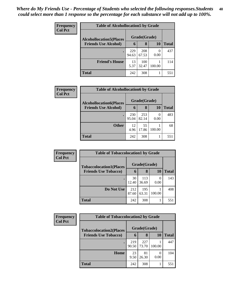| <b>Frequency</b> | <b>Table of Alcohollocation5 by Grade</b> |              |              |                |              |  |
|------------------|-------------------------------------------|--------------|--------------|----------------|--------------|--|
| <b>Col Pct</b>   | <b>Alcohollocation5</b> (Places           | Grade(Grade) |              |                |              |  |
|                  | <b>Friends Use Alcohol)</b>               | 6            | 8            | 10             | <b>Total</b> |  |
|                  |                                           | 229<br>94.63 | 208<br>67.53 | $_{0}$<br>0.00 | 437          |  |
|                  | <b>Friend's House</b>                     | 13<br>5.37   | 100<br>32.47 | 100.00         | 114          |  |
|                  | <b>Total</b>                              | 242          | 308          |                | 551          |  |

| Frequency      | <b>Table of Alcohollocation6 by Grade</b> |              |              |        |              |  |
|----------------|-------------------------------------------|--------------|--------------|--------|--------------|--|
| <b>Col Pct</b> | <b>Alcohollocation6(Places</b>            |              | Grade(Grade) |        |              |  |
|                | <b>Friends Use Alcohol)</b>               | 6            | 8            | 10     | <b>Total</b> |  |
|                |                                           | 230<br>95.04 | 253<br>82.14 | 0.00   | 483          |  |
|                | <b>Other</b>                              | 12<br>4.96   | 55<br>17.86  | 100.00 | 68           |  |
|                | <b>Total</b>                              | 242          | 308          |        | 551          |  |

| <b>Frequency</b> | <b>Table of Tobaccolocation1 by Grade</b>                     |              |              |        |              |  |  |
|------------------|---------------------------------------------------------------|--------------|--------------|--------|--------------|--|--|
| <b>Col Pct</b>   | <b>Tobaccolocation1(Places</b><br><b>Friends Use Tobacco)</b> |              | Grade(Grade) |        |              |  |  |
|                  |                                                               | 6            | 8            | 10     | <b>Total</b> |  |  |
|                  |                                                               | 30<br>12.40  | 113<br>36.69 | 0.00   | 143          |  |  |
|                  | Do Not Use                                                    | 212<br>87.60 | 195<br>63.31 | 100.00 | 408          |  |  |
|                  | <b>Total</b>                                                  | 242          | 308          |        | 551          |  |  |

| <b>Frequency</b> | <b>Table of Tobaccolocation2 by Grade</b> |              |              |        |              |
|------------------|-------------------------------------------|--------------|--------------|--------|--------------|
| <b>Col Pct</b>   | <b>Tobaccolocation2(Places</b>            | Grade(Grade) |              |        |              |
|                  | <b>Friends Use Tobacco)</b>               | 6            | 8            | 10     | <b>Total</b> |
|                  |                                           | 219<br>90.50 | 227<br>73.70 | 100.00 | 447          |
|                  | Home                                      | 23<br>9.50   | 81<br>26.30  | 0.00   | 104          |
|                  | <b>Total</b>                              | 242          | 308          |        | 551          |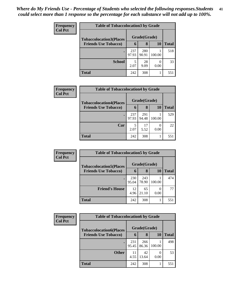| <b>Frequency</b> | <b>Table of Tobaccolocation 3 by Grade</b>                    |              |              |        |              |  |  |  |  |
|------------------|---------------------------------------------------------------|--------------|--------------|--------|--------------|--|--|--|--|
| <b>Col Pct</b>   | <b>Tobaccolocation3(Places</b><br><b>Friends Use Tobacco)</b> | Grade(Grade) |              |        |              |  |  |  |  |
|                  |                                                               | 6            | 8            | 10     | <b>Total</b> |  |  |  |  |
|                  | $\bullet$                                                     | 237<br>97.93 | 280<br>90.91 | 100.00 | 518          |  |  |  |  |
|                  | <b>School</b>                                                 | 5<br>2.07    | 28<br>9.09   | 0.00   | 33           |  |  |  |  |
|                  | <b>Total</b>                                                  | 242          | 308          |        | 551          |  |  |  |  |

I

| Frequency      | <b>Table of Tobaccolocation4 by Grade</b>                     |              |              |        |              |
|----------------|---------------------------------------------------------------|--------------|--------------|--------|--------------|
| <b>Col Pct</b> | <b>Tobaccolocation4(Places</b><br><b>Friends Use Tobacco)</b> | Grade(Grade) |              |        |              |
|                |                                                               | 6            | 8            | 10     | <b>Total</b> |
|                | $\bullet$                                                     | 237<br>97.93 | 291<br>94.48 | 100.00 | 529          |
|                |                                                               |              |              |        |              |
|                | Car                                                           | 5<br>2.07    | 17<br>5.52   | 0.00   | 22           |
|                | <b>Total</b>                                                  | 242          | 308          |        | 551          |

| Frequency<br><b>Col Pct</b> | <b>Table of Tobaccolocation5 by Grade</b> |              |              |        |     |  |
|-----------------------------|-------------------------------------------|--------------|--------------|--------|-----|--|
|                             | <b>Tobaccolocation5(Places</b>            | Grade(Grade) |              |        |     |  |
| <b>Friends Use Tobacco)</b> | 6                                         | 8            | <b>10</b>    | Total  |     |  |
|                             |                                           | 230<br>95.04 | 243<br>78.90 | 100.00 | 474 |  |
|                             | <b>Friend's House</b>                     | 12<br>4.96   | 65<br>21.10  | 0.00   | 77  |  |
|                             | <b>Total</b>                              | 242          | 308          |        | 551 |  |

| <b>Frequency</b>            | <b>Table of Tobaccolocation6 by Grade</b> |              |              |        |     |  |  |  |  |
|-----------------------------|-------------------------------------------|--------------|--------------|--------|-----|--|--|--|--|
| <b>Col Pct</b>              | <b>Tobaccolocation6(Places</b>            | Grade(Grade) |              |        |     |  |  |  |  |
| <b>Friends Use Tobacco)</b> | 6                                         | 8            | 10           | Total  |     |  |  |  |  |
|                             | ٠                                         | 231<br>95.45 | 266<br>86.36 | 100.00 | 498 |  |  |  |  |
|                             | <b>Other</b>                              | 11<br>4.55   | 42<br>13.64  | 0.00   | 53  |  |  |  |  |
|                             | <b>Total</b>                              | 242          | 308          |        | 551 |  |  |  |  |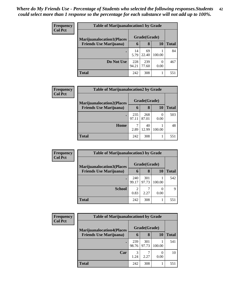| <b>Frequency</b> | <b>Table of Marijuanalocation1 by Grade</b>                        |              |              |                          |              |  |  |  |
|------------------|--------------------------------------------------------------------|--------------|--------------|--------------------------|--------------|--|--|--|
| <b>Col Pct</b>   | <b>Marijuanalocation1(Places</b><br><b>Friends Use Marijuana</b> ) |              | Grade(Grade) |                          |              |  |  |  |
|                  |                                                                    | 6            | 8            | 10                       | <b>Total</b> |  |  |  |
|                  |                                                                    | 14<br>5.79   | 69<br>22.40  | 100.00                   | 84           |  |  |  |
|                  | Do Not Use                                                         | 228<br>94.21 | 239<br>77.60 | $\left( \right)$<br>0.00 | 467          |  |  |  |
|                  | <b>Total</b>                                                       | 242          | 308          |                          | 551          |  |  |  |

| <b>Frequency</b> | <b>Table of Marijuanalocation2 by Grade</b>                        |              |              |        |       |  |
|------------------|--------------------------------------------------------------------|--------------|--------------|--------|-------|--|
| <b>Col Pct</b>   | <b>Marijuanalocation2(Places</b><br><b>Friends Use Marijuana</b> ) |              | Grade(Grade) |        |       |  |
|                  |                                                                    | 6            | 8            | 10     | Total |  |
|                  |                                                                    | 235<br>97.11 | 268<br>87.01 | 0.00   | 503   |  |
|                  | Home                                                               | 2.89         | 40<br>12.99  | 100.00 | 48    |  |
|                  | <b>Total</b>                                                       | 242          | 308          |        | 551   |  |

| Frequency      | <b>Table of Marijuanalocation3 by Grade</b>                         |              |              |           |       |  |  |
|----------------|---------------------------------------------------------------------|--------------|--------------|-----------|-------|--|--|
| <b>Col Pct</b> | <b>Marijuanalocation3</b> (Places<br><b>Friends Use Marijuana</b> ) |              | Grade(Grade) |           |       |  |  |
|                |                                                                     | 6            | 8            | <b>10</b> | Total |  |  |
|                |                                                                     | 240<br>99.17 | 301<br>97.73 | 100.00    | 542   |  |  |
|                | <b>School</b>                                                       | 2<br>0.83    | 2.27         | 0.00      | q     |  |  |
|                | <b>Total</b>                                                        | 242          | 308          |           | 551   |  |  |

| <b>Frequency</b> | <b>Table of Marijuanalocation4 by Grade</b>                        |              |              |        |       |  |  |  |
|------------------|--------------------------------------------------------------------|--------------|--------------|--------|-------|--|--|--|
| <b>Col Pct</b>   | <b>Marijuanalocation4(Places</b><br><b>Friends Use Marijuana</b> ) |              | Grade(Grade) |        |       |  |  |  |
|                  |                                                                    | $\mathbf b$  | 8            | 10     | Total |  |  |  |
|                  |                                                                    | 239<br>98.76 | 301<br>97.73 | 100.00 | 541   |  |  |  |
|                  | Car                                                                | 3<br>1.24    | 2.27         | 0.00   | 10    |  |  |  |
|                  | Total                                                              | 242          | 308          |        | 551   |  |  |  |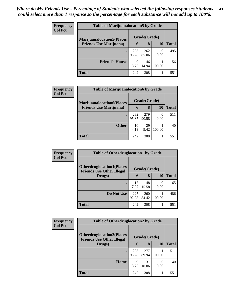| <b>Frequency</b> | <b>Table of Marijuanalocation5 by Grade</b> |              |              |        |       |  |
|------------------|---------------------------------------------|--------------|--------------|--------|-------|--|
| <b>Col Pct</b>   | <b>Marijuanalocation5</b> (Places           |              | Grade(Grade) |        |       |  |
|                  | <b>Friends Use Marijuana</b> )              | $\mathbf b$  | 8            | 10     | Total |  |
|                  |                                             | 233<br>96.28 | 262<br>85.06 | 0.00   | 495   |  |
|                  | <b>Friend's House</b>                       | 9<br>3.72    | 46<br>14.94  | 100.00 | 56    |  |
|                  | <b>Total</b>                                | 242          | 308          |        | 551   |  |

| <b>Frequency</b> | <b>Table of Marijuanalocation6 by Grade</b>                         |              |              |                          |       |  |
|------------------|---------------------------------------------------------------------|--------------|--------------|--------------------------|-------|--|
| <b>Col Pct</b>   | <b>Marijuanalocation6(Places)</b><br><b>Friends Use Marijuana</b> ) | Grade(Grade) |              |                          |       |  |
|                  |                                                                     | 6            | 8            | 10                       | Total |  |
|                  |                                                                     | 232<br>95.87 | 279<br>90.58 | $\left( \right)$<br>0.00 | 511   |  |
|                  | <b>Other</b>                                                        | 10<br>4.13   | 29<br>9.42   | 100.00                   | 40    |  |
|                  | <b>Total</b>                                                        | 242          | 308          |                          | 551   |  |

| Frequency      | <b>Table of Otherdruglocation1 by Grade</b>                          |              |              |                  |              |  |
|----------------|----------------------------------------------------------------------|--------------|--------------|------------------|--------------|--|
| <b>Col Pct</b> | <b>Otherdruglocation1(Places</b><br><b>Friends Use Other Illegal</b> | Grade(Grade) |              |                  |              |  |
|                | Drugs)                                                               | 6            | 8            | 10               | <b>Total</b> |  |
|                |                                                                      | 17<br>7.02   | 48<br>15.58  | $\Omega$<br>0.00 | 65           |  |
|                | Do Not Use                                                           | 225<br>92.98 | 260<br>84.42 | 100.00           | 486          |  |
|                | <b>Total</b>                                                         | 242          | 308          |                  | 551          |  |

| <b>Frequency</b> | <b>Table of Otherdruglocation2 by Grade</b>                          |              |              |        |              |
|------------------|----------------------------------------------------------------------|--------------|--------------|--------|--------------|
| <b>Col Pct</b>   | <b>Otherdruglocation2(Places</b><br><b>Friends Use Other Illegal</b> |              | Grade(Grade) |        |              |
|                  | Drugs)                                                               | 6            | 8            | 10     | <b>Total</b> |
|                  |                                                                      | 233<br>96.28 | 277<br>89.94 | 100.00 | 511          |
|                  | Home                                                                 | 9<br>3.72    | 31<br>10.06  | 0.00   | 40           |
|                  | <b>Total</b>                                                         | 242          | 308          |        | 551          |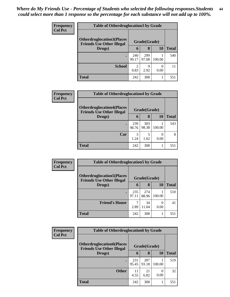| <b>Frequency</b> | <b>Table of Otherdruglocation 3 by Grade</b>                          |              |              |           |       |  |  |  |
|------------------|-----------------------------------------------------------------------|--------------|--------------|-----------|-------|--|--|--|
| <b>Col Pct</b>   | <b>Otherdruglocation3(Places)</b><br><b>Friends Use Other Illegal</b> |              | Grade(Grade) |           |       |  |  |  |
|                  | Drugs)                                                                | 6            | 8            | 10        | Total |  |  |  |
|                  | $\bullet$                                                             | 240<br>99.17 | 299<br>97.08 | 100.00    | 540   |  |  |  |
|                  | <b>School</b>                                                         | 2<br>0.83    | Q<br>2.92    | 0<br>0.00 | 11    |  |  |  |
|                  | <b>Total</b>                                                          | 242          | 308          |           | 551   |  |  |  |

| <b>Frequency</b> | <b>Table of Otherdruglocation4 by Grade</b>                           |              |              |        |              |  |  |
|------------------|-----------------------------------------------------------------------|--------------|--------------|--------|--------------|--|--|
| <b>Col Pct</b>   | <b>Otherdruglocation4(Places)</b><br><b>Friends Use Other Illegal</b> | Grade(Grade) |              |        |              |  |  |
|                  | Drugs)                                                                | 6            | 8            | 10     | <b>Total</b> |  |  |
|                  |                                                                       | 239<br>98.76 | 303<br>98.38 | 100.00 | 543          |  |  |
|                  | Car                                                                   | 3<br>1.24    | 1.62         | 0.00   | 8            |  |  |
|                  | <b>Total</b>                                                          | 242          | 308          |        | 551          |  |  |

| <b>Frequency</b> | <b>Table of Otherdruglocation5 by Grade</b>                          |              |              |        |              |  |
|------------------|----------------------------------------------------------------------|--------------|--------------|--------|--------------|--|
| <b>Col Pct</b>   | <b>Otherdruglocation5(Places</b><br><b>Friends Use Other Illegal</b> |              | Grade(Grade) |        |              |  |
|                  | Drugs)                                                               | 6            | 8            | 10     | <b>Total</b> |  |
|                  |                                                                      | 235<br>97.11 | 274<br>88.96 | 100.00 | 510          |  |
|                  | <b>Friend's House</b>                                                | 7<br>2.89    | 34<br>11.04  | 0.00   | 41           |  |
|                  | <b>Total</b>                                                         | 242          | 308          |        | 551          |  |

| <b>Frequency</b> | <b>Table of Otherdruglocation6 by Grade</b>                           |              |              |                  |              |  |
|------------------|-----------------------------------------------------------------------|--------------|--------------|------------------|--------------|--|
| <b>Col Pct</b>   | <b>Otherdruglocation6(Places)</b><br><b>Friends Use Other Illegal</b> |              | Grade(Grade) |                  |              |  |
|                  | Drugs)                                                                | 6            | 8            | 10               | <b>Total</b> |  |
|                  |                                                                       | 231<br>95.45 | 287<br>93.18 | 100.00           | 519          |  |
|                  | <b>Other</b>                                                          | 11<br>4.55   | 21<br>6.82   | $\Omega$<br>0.00 | 32           |  |
|                  | <b>Total</b>                                                          | 242          | 308          |                  | 551          |  |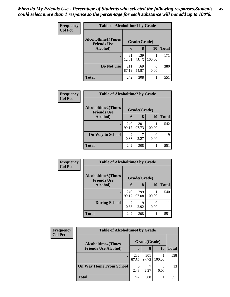| Frequency      | <b>Table of Alcoholtime1 by Grade</b>           |              |              |           |              |  |
|----------------|-------------------------------------------------|--------------|--------------|-----------|--------------|--|
| <b>Col Pct</b> | <b>Alcoholtime1(Times</b><br><b>Friends Use</b> | Grade(Grade) |              |           |              |  |
|                | Alcohol)                                        | 6            | 8            | <b>10</b> | <b>Total</b> |  |
|                | ٠                                               | 31<br>12.81  | 139<br>45.13 | 100.00    | 171          |  |
|                | Do Not Use                                      | 211<br>87.19 | 169<br>54.87 | 0<br>0.00 | 380          |  |
|                | <b>Total</b>                                    | 242          | 308          |           | 551          |  |

| <b>Frequency</b> | <b>Table of Alcoholtime2 by Grade</b>           |              |              |        |              |  |  |
|------------------|-------------------------------------------------|--------------|--------------|--------|--------------|--|--|
| <b>Col Pct</b>   | <b>Alcoholtime2(Times</b><br><b>Friends Use</b> | Grade(Grade) |              |        |              |  |  |
|                  | Alcohol)                                        | 6            | 8            | 10     | <b>Total</b> |  |  |
|                  | $\bullet$                                       | 240<br>99.17 | 301<br>97.73 | 100.00 | 542          |  |  |
|                  | <b>On Way to School</b>                         | 2<br>0.83    | 2.27         | 0.00   | Q            |  |  |
|                  | <b>Total</b>                                    | 242          | 308          |        | 551          |  |  |

| Frequency<br><b>Col Pct</b> | <b>Table of Alcoholtime3 by Grade</b>           |              |              |        |              |  |
|-----------------------------|-------------------------------------------------|--------------|--------------|--------|--------------|--|
|                             | <b>Alcoholtime3(Times</b><br><b>Friends Use</b> |              | Grade(Grade) |        |              |  |
|                             | Alcohol)                                        | 6            | 8            | 10     | <b>Total</b> |  |
|                             |                                                 | 240<br>99.17 | 299<br>97.08 | 100.00 | 540          |  |
|                             | <b>During School</b>                            | 2<br>0.83    | 9<br>2.92    | 0.00   | 11           |  |
|                             | <b>Total</b>                                    | 242          | 308          |        | 551          |  |

| Frequency<br><b>Col Pct</b> | <b>Table of Alcoholtime4 by Grade</b> |              |              |              |     |  |  |
|-----------------------------|---------------------------------------|--------------|--------------|--------------|-----|--|--|
|                             | <b>Alcoholtime4(Times</b>             |              | Grade(Grade) |              |     |  |  |
| <b>Friends Use Alcohol)</b> | 6                                     | 8            | 10           | <b>Total</b> |     |  |  |
|                             |                                       | 236<br>97.52 | 301<br>97.73 | 100.00       | 538 |  |  |
|                             | <b>On Way Home From School</b>        | 6<br>2.48    | 2.27         | 0.00         | 13  |  |  |
|                             | <b>Total</b>                          | 242          | 308          |              | 551 |  |  |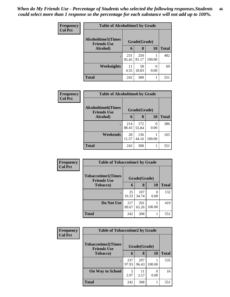| Frequency<br><b>Col Pct</b> | <b>Table of Alcoholtime5 by Grade</b>           |              |              |        |              |  |  |
|-----------------------------|-------------------------------------------------|--------------|--------------|--------|--------------|--|--|
|                             | <b>Alcoholtime5(Times</b><br><b>Friends Use</b> |              | Grade(Grade) |        |              |  |  |
|                             | Alcohol)                                        | 6            | 8            | 10     | <b>Total</b> |  |  |
|                             | $\bullet$                                       | 231<br>95.45 | 250<br>81.17 | 100.00 | 482          |  |  |
|                             | <b>Weeknights</b>                               | 11<br>4.55   | 58<br>18.83  | 0.00   | 69           |  |  |
|                             | <b>Total</b>                                    | 242          | 308          | 1      | 551          |  |  |

| Frequency      | <b>Table of Alcoholtime6 by Grade</b>           |              |              |           |              |  |  |
|----------------|-------------------------------------------------|--------------|--------------|-----------|--------------|--|--|
| <b>Col Pct</b> | <b>Alcoholtime6(Times</b><br><b>Friends Use</b> |              | Grade(Grade) |           |              |  |  |
|                | Alcohol)                                        | 6            | 8            | 10        | <b>Total</b> |  |  |
|                | ٠                                               | 214<br>88.43 | 172<br>55.84 | 0<br>0.00 | 386          |  |  |
|                | Weekends                                        | 28<br>11.57  | 136<br>44.16 | 100.00    | 165          |  |  |
|                | <b>Total</b>                                    | 242          | 308          |           | 551          |  |  |

| Frequency      | <b>Table of Tobaccotime1 by Grade</b>           |              |              |           |              |  |
|----------------|-------------------------------------------------|--------------|--------------|-----------|--------------|--|
| <b>Col Pct</b> | <b>Tobaccotime1(Times</b><br><b>Friends Use</b> |              | Grade(Grade) |           |              |  |
|                | <b>Tobacco</b> )                                | 6            | 8            | <b>10</b> | <b>Total</b> |  |
|                |                                                 | 25<br>10.33  | 107<br>34.74 | 0<br>0.00 | 132          |  |
|                | Do Not Use                                      | 217<br>89.67 | 201<br>65.26 | 100.00    | 419          |  |
|                | <b>Total</b>                                    | 242          | 308          |           | 551          |  |

| Frequency      | <b>Table of Tobaccotime2 by Grade</b>           |              |              |        |              |
|----------------|-------------------------------------------------|--------------|--------------|--------|--------------|
| <b>Col Pct</b> | <b>Tobaccotime2(Times</b><br><b>Friends Use</b> |              | Grade(Grade) |        |              |
|                | <b>Tobacco</b> )                                | 6            | 8            | 10     | <b>Total</b> |
|                | $\bullet$                                       | 237<br>97.93 | 297<br>96.43 | 100.00 | 535          |
|                | <b>On Way to School</b>                         | 5<br>2.07    | 11<br>3.57   | 0.00   | 16           |
|                | <b>Total</b>                                    | 242          | 308          |        | 551          |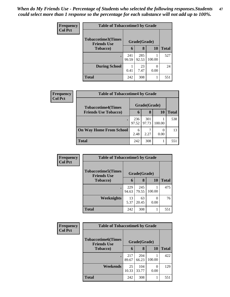| Frequency<br><b>Col Pct</b> | <b>Table of Tobaccotime3 by Grade</b>           |              |              |        |              |  |
|-----------------------------|-------------------------------------------------|--------------|--------------|--------|--------------|--|
|                             | <b>Tobaccotime3(Times</b><br><b>Friends Use</b> |              | Grade(Grade) |        |              |  |
|                             | <b>Tobacco</b> )                                | 6            | 8            | 10     | <b>Total</b> |  |
|                             | $\bullet$                                       | 241<br>99.59 | 285<br>92.53 | 100.00 | 527          |  |
|                             | <b>During School</b>                            | 0.41         | 23<br>7.47   | 0.00   | 24           |  |
|                             | <b>Total</b>                                    | 242          | 308          | 1      | 551          |  |

| <b>Frequency</b> | <b>Table of Tobaccotime4 by Grade</b> |              |              |        |       |
|------------------|---------------------------------------|--------------|--------------|--------|-------|
| <b>Col Pct</b>   | <b>Tobaccotime4(Times</b>             |              | Grade(Grade) |        |       |
|                  | <b>Friends Use Tobacco)</b>           | 6            | 8            | 10     | Total |
|                  |                                       | 236<br>97.52 | 301<br>97.73 | 100.00 | 538   |
|                  | <b>On Way Home From School</b>        | 6<br>2.48    | 2.27         | 0.00   | 13    |
|                  | <b>Total</b>                          | 242          | 308          |        | 551   |

| <b>Frequency</b> | <b>Table of Tobaccotime5 by Grade</b>           |              |              |        |              |  |
|------------------|-------------------------------------------------|--------------|--------------|--------|--------------|--|
| <b>Col Pct</b>   | <b>Tobaccotime5(Times</b><br><b>Friends Use</b> | Grade(Grade) |              |        |              |  |
|                  | <b>Tobacco</b> )                                | 6            | 8            | 10     | <b>Total</b> |  |
|                  | $\bullet$                                       | 229<br>94.63 | 245<br>79.55 | 100.00 | 475          |  |
|                  | Weeknights                                      | 13<br>5.37   | 63<br>20.45  | 0.00   | 76           |  |
|                  | <b>Total</b>                                    | 242          | 308          | 1      | 551          |  |

| Frequency      | <b>Table of Tobaccotime6 by Grade</b>           |              |              |        |              |
|----------------|-------------------------------------------------|--------------|--------------|--------|--------------|
| <b>Col Pct</b> | <b>Tobaccotime6(Times</b><br><b>Friends Use</b> |              | Grade(Grade) |        |              |
|                | <b>Tobacco</b> )                                | 6            | 8            | 10     | <b>Total</b> |
|                | ٠                                               | 217<br>89.67 | 204<br>66.23 | 100.00 | 422          |
|                | Weekends                                        | 25<br>10.33  | 104<br>33.77 | 0.00   | 129          |
|                | <b>Total</b>                                    | 242          | 308          |        | 551          |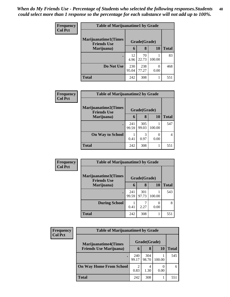| <b>Frequency</b> | <b>Table of Marijuanatime1 by Grade</b>           |              |              |        |              |
|------------------|---------------------------------------------------|--------------|--------------|--------|--------------|
| <b>Col Pct</b>   | <b>Marijuanatime1(Times</b><br><b>Friends Use</b> |              | Grade(Grade) |        |              |
|                  | Marijuana)                                        | 6            | 8            | 10     | <b>Total</b> |
|                  |                                                   | 12<br>4.96   | 70<br>22.73  | 100.00 | 83           |
|                  | Do Not Use                                        | 230<br>95.04 | 238<br>77.27 | 0.00   | 468          |
|                  | <b>Total</b>                                      | 242          | 308          |        | 551          |

| Frequency      | <b>Table of Marijuanatime2 by Grade</b>    |              |              |        |              |
|----------------|--------------------------------------------|--------------|--------------|--------|--------------|
| <b>Col Pct</b> | Marijuanatime2(Times<br><b>Friends Use</b> |              | Grade(Grade) |        |              |
|                | Marijuana)                                 | 6            | 8            | 10     | <b>Total</b> |
|                | $\bullet$                                  | 241<br>99.59 | 305<br>99.03 | 100.00 | 547          |
|                | <b>On Way to School</b>                    | 0.41         | 3<br>0.97    | 0.00   | 4            |
|                | <b>Total</b>                               | 242          | 308          |        | 551          |

| Frequency      | <b>Table of Marijuanatime3 by Grade</b>    |              |              |        |              |
|----------------|--------------------------------------------|--------------|--------------|--------|--------------|
| <b>Col Pct</b> | Marijuanatime3(Times<br><b>Friends Use</b> |              | Grade(Grade) |        |              |
|                | Marijuana)                                 | 6            | 8            | 10     | <b>Total</b> |
|                |                                            | 241<br>99.59 | 301<br>97.73 | 100.00 | 543          |
|                | <b>During School</b>                       | 0.41         | 2.27         | 0.00   | 8            |
|                | <b>Total</b>                               | 242          | 308          |        | 551          |

| Frequency      | <b>Table of Marijuanatime4 by Grade</b> |                        |              |           |              |
|----------------|-----------------------------------------|------------------------|--------------|-----------|--------------|
| <b>Col Pct</b> | <b>Marijuanatime4(Times</b>             |                        | Grade(Grade) |           |              |
|                | <b>Friends Use Marijuana</b> )          | 6                      | 8            | <b>10</b> | <b>Total</b> |
|                |                                         | 240<br>99.17           | 304<br>98.70 | 100.00    | 545          |
|                | <b>On Way Home From School</b>          | $\overline{2}$<br>0.83 | 4<br>1.30    | 0.00      | 6            |
|                | <b>Total</b>                            | 242                    | 308          |           | 551          |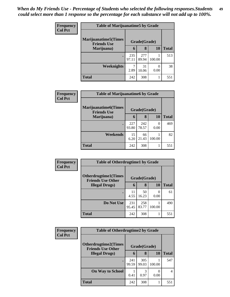| <b>Frequency</b> | <b>Table of Marijuanatime5 by Grade</b>            |              |              |                       |              |
|------------------|----------------------------------------------------|--------------|--------------|-----------------------|--------------|
| <b>Col Pct</b>   | <b>Marijuanatime5</b> (Times<br><b>Friends Use</b> |              | Grade(Grade) |                       |              |
|                  | Marijuana)                                         | 6            | 8            | 10                    | <b>Total</b> |
|                  |                                                    | 235<br>97.11 | 277<br>89.94 | 100.00                | 513          |
|                  | Weeknights                                         | 2.89         | 31<br>10.06  | $\mathcal{O}$<br>0.00 | 38           |
|                  | <b>Total</b>                                       | 242          | 308          |                       | 551          |

| Frequency      | <b>Table of Marijuanatime6 by Grade</b>            |              |              |                           |              |
|----------------|----------------------------------------------------|--------------|--------------|---------------------------|--------------|
| <b>Col Pct</b> | <b>Marijuanatime6</b> (Times<br><b>Friends Use</b> |              | Grade(Grade) |                           |              |
|                | Marijuana)                                         | 6            | 8            | 10                        | <b>Total</b> |
|                |                                                    | 227<br>93.80 | 242<br>78.57 | $\mathbf{\Omega}$<br>0.00 | 469          |
|                | Weekends                                           | 15<br>6.20   | 66<br>21.43  | 100.00                    | 82           |
|                | <b>Total</b>                                       | 242          | 308          |                           | 551          |

| Frequency<br><b>Col Pct</b> | <b>Table of Otherdrugtime1 by Grade</b>                  |              |              |        |              |  |
|-----------------------------|----------------------------------------------------------|--------------|--------------|--------|--------------|--|
|                             | <b>Otherdrugtime1</b> (Times<br><b>Friends Use Other</b> |              | Grade(Grade) |        |              |  |
|                             | <b>Illegal Drugs</b> )                                   | 6            | 8            | 10     | <b>Total</b> |  |
|                             |                                                          | 11<br>4.55   | 50<br>16.23  | 0.00   | 61           |  |
|                             | Do Not Use                                               | 231<br>95.45 | 258<br>83.77 | 100.00 | 490          |  |
|                             | <b>Total</b>                                             | 242          | 308          |        | 551          |  |

| <b>Frequency</b> | <b>Table of Otherdrugtime2 by Grade</b>                 |              |              |        |              |  |  |
|------------------|---------------------------------------------------------|--------------|--------------|--------|--------------|--|--|
| <b>Col Pct</b>   | <b>Otherdrugtime2(Times</b><br><b>Friends Use Other</b> |              | Grade(Grade) |        |              |  |  |
|                  | <b>Illegal Drugs)</b>                                   | 6            | 8            | 10     | <b>Total</b> |  |  |
|                  | $\bullet$                                               | 241<br>99.59 | 305<br>99.03 | 100.00 | 547          |  |  |
|                  | <b>On Way to School</b>                                 | 0.41         | 3<br>0.97    | 0.00   | 4            |  |  |
|                  | <b>Total</b>                                            | 242          | 308          |        | 551          |  |  |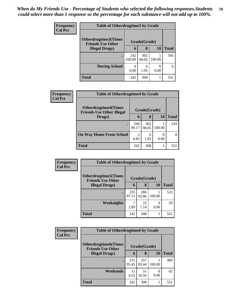| <b>Frequency</b> | <b>Table of Otherdrugtime3 by Grade</b>          |               |              |           |              |  |  |
|------------------|--------------------------------------------------|---------------|--------------|-----------|--------------|--|--|
| <b>Col Pct</b>   | Otherdrugtime3(Times<br><b>Friends Use Other</b> | Grade(Grade)  |              |           |              |  |  |
|                  | <b>Illegal Drugs</b> )                           | 6             | 8            | 10        | <b>Total</b> |  |  |
|                  |                                                  | 242<br>100.00 | 302<br>98.05 | 100.00    | 545          |  |  |
|                  | <b>During School</b>                             | 0.00          | 6<br>1.95    | 0<br>0.00 | 6            |  |  |
|                  | <b>Total</b>                                     | 242           | 308          |           | 551          |  |  |

| <b>Frequency</b> | <b>Table of Otherdrugtime4 by Grade</b>                         |                                     |              |        |              |  |
|------------------|-----------------------------------------------------------------|-------------------------------------|--------------|--------|--------------|--|
| <b>Col Pct</b>   | <b>Otherdrugtime4(Times</b><br><b>Friends Use Other Illegal</b> |                                     | Grade(Grade) |        |              |  |
|                  | Drugs)                                                          | 6                                   | 8            | 10     | <b>Total</b> |  |
|                  |                                                                 | 240<br>99.17                        | 302<br>98.05 | 100.00 | 543          |  |
|                  | <b>On Way Home From School</b>                                  | $\mathcal{D}_{\mathcal{A}}$<br>0.83 | 6<br>1.95    | 0.00   | 8            |  |
|                  | <b>Total</b>                                                    | 242                                 | 308          |        | 551          |  |

| Frequency<br><b>Col Pct</b> | <b>Table of Otherdrugtime5 by Grade</b>                  |              |              |           |              |  |  |
|-----------------------------|----------------------------------------------------------|--------------|--------------|-----------|--------------|--|--|
|                             | <b>Otherdrugtime5</b> (Times<br><b>Friends Use Other</b> |              | Grade(Grade) |           |              |  |  |
|                             | <b>Illegal Drugs</b> )                                   | 6            | 8            | 10        | <b>Total</b> |  |  |
|                             |                                                          | 235<br>97.11 | 286<br>92.86 | 100.00    | 522          |  |  |
|                             | Weeknights                                               | 7<br>2.89    | 22<br>7.14   | 0<br>0.00 | 29           |  |  |
|                             | <b>Total</b>                                             | 242          | 308          |           | 551          |  |  |

| Frequency      | <b>Table of Otherdrugtime6 by Grade</b>                  |              |              |        |              |  |  |
|----------------|----------------------------------------------------------|--------------|--------------|--------|--------------|--|--|
| <b>Col Pct</b> | <b>Otherdrugtime6</b> (Times<br><b>Friends Use Other</b> |              | Grade(Grade) |        |              |  |  |
|                | <b>Illegal Drugs</b> )                                   | 6            | 8            | 10     | <b>Total</b> |  |  |
|                |                                                          | 231<br>95.45 | 257<br>83.44 | 100.00 | 489          |  |  |
|                | Weekends                                                 | 11<br>4.55   | 51<br>16.56  | 0.00   | 62           |  |  |
|                | <b>Total</b>                                             | 242          | 308          |        | 551          |  |  |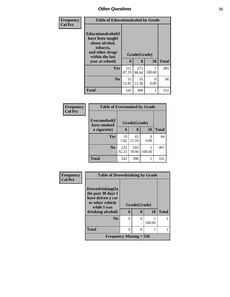| Frequency      | <b>Table of Educationalcohol by Grade</b>                                                                  |              |              |           |              |  |  |
|----------------|------------------------------------------------------------------------------------------------------------|--------------|--------------|-----------|--------------|--|--|
| <b>Col Pct</b> | Educationalcohol(I<br>have been taught<br>about alcohol,<br>tobacco,<br>and other drugs<br>within the last | Grade(Grade) |              |           |              |  |  |
|                | year at school)                                                                                            | 6            | 8            | <b>10</b> | <b>Total</b> |  |  |
|                | Yes                                                                                                        | 211<br>87.19 | 273<br>88.64 | 100.00    | 485          |  |  |
|                | N <sub>0</sub>                                                                                             | 31<br>12.81  | 35<br>11.36  | 0<br>0.00 | 66           |  |  |
|                | <b>Total</b>                                                                                               | 242          | 308          | 1         | 551          |  |  |

| Frequency<br><b>Col Pct</b> | <b>Table of Eversmoked by Grade</b> |              |              |        |              |  |  |  |  |
|-----------------------------|-------------------------------------|--------------|--------------|--------|--------------|--|--|--|--|
|                             | Eversmoked(I<br>have smoked         |              | Grade(Grade) |        |              |  |  |  |  |
|                             | a cigarette)                        | 6            | 8            | 10     | <b>Total</b> |  |  |  |  |
|                             | <b>Yes</b>                          | 19<br>7.85   | 65<br>21.10  | 0.00   | 84           |  |  |  |  |
|                             | N <sub>0</sub>                      | 223<br>92.15 | 243<br>78.90 | 100.00 | 467          |  |  |  |  |
|                             | <b>Total</b>                        | 242          | 308          |        | 551          |  |  |  |  |

| Frequency      | <b>Table of Drovedrinking by Grade</b>               |          |               |        |              |
|----------------|------------------------------------------------------|----------|---------------|--------|--------------|
| <b>Col Pct</b> |                                                      |          |               |        |              |
|                | Drovedrinking(In                                     |          |               |        |              |
|                | the past 30 days I                                   |          |               |        |              |
|                | have driven a car<br>or other vehicle<br>while I was |          | Grade(Grade)  |        |              |
|                | drinking alcohol)                                    | 6        | 8             | 10     | <b>Total</b> |
|                | N <sub>0</sub>                                       | $\theta$ | $\theta$      |        |              |
|                |                                                      |          |               | 100.00 |              |
|                | <b>Total</b>                                         | 0        | $\mathcal{O}$ |        |              |
|                | <b>Frequency Missing = <math>550</math></b>          |          |               |        |              |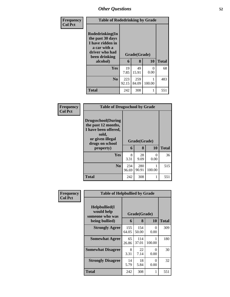| Frequency      | <b>Table of Rodedrinking by Grade</b>                                                                                  |              |                   |                  |              |
|----------------|------------------------------------------------------------------------------------------------------------------------|--------------|-------------------|------------------|--------------|
| <b>Col Pct</b> | Rodedrinking(In<br>the past 30 days<br>I have ridden in<br>a car with a<br>driver who had<br>been drinking<br>alcohol) | 6            | Grade(Grade)<br>8 | 10               | <b>Total</b> |
|                | <b>Yes</b>                                                                                                             | 19<br>7.85   | 49<br>15.91       | $\Omega$<br>0.00 | 68           |
|                | N <sub>o</sub>                                                                                                         | 223<br>92.15 | 259<br>84.09      | 100.00           | 483          |
|                | <b>Total</b>                                                                                                           | 242          | 308               |                  | 551          |

| Frequency      | <b>Table of Drugsschool by Grade</b>                                                                                                   |              |                   |        |              |
|----------------|----------------------------------------------------------------------------------------------------------------------------------------|--------------|-------------------|--------|--------------|
| <b>Col Pct</b> | <b>Drugsschool</b> (During<br>the past 12 months,<br>I have been offered,<br>sold,<br>or given illegal<br>drugs on school<br>property) | 6            | Grade(Grade)<br>8 | 10     | <b>Total</b> |
|                | <b>Yes</b>                                                                                                                             | 8            | 28                | 0      | 36           |
|                |                                                                                                                                        | 3.31         | 9.09              | 0.00   |              |
|                | N <sub>0</sub>                                                                                                                         | 234<br>96.69 | 280<br>90.91      | 100.00 | 515          |
|                | <b>Total</b>                                                                                                                           | 242          | 308               | 1      | 551          |

| Frequency      | <b>Table of Helpbullied by Grade</b>                              |                              |              |                  |              |  |  |
|----------------|-------------------------------------------------------------------|------------------------------|--------------|------------------|--------------|--|--|
| <b>Col Pct</b> | Helpbullied(I)<br>would help<br>someone who was<br>being bullied) | Grade(Grade)<br>10<br>8<br>6 |              |                  | <b>Total</b> |  |  |
|                | <b>Strongly Agree</b>                                             | 155<br>64.05                 | 154<br>50.00 | $\Omega$<br>0.00 | 309          |  |  |
|                | <b>Somewhat Agree</b>                                             | 65<br>26.86                  | 114<br>37.01 | 100.00           | 180          |  |  |
|                | <b>Somewhat Disagree</b>                                          | 8<br>3.31                    | 22<br>7.14   | 0<br>0.00        | 30           |  |  |
|                | <b>Strongly Disagree</b>                                          | 14<br>5.79                   | 18<br>5.84   | 0<br>0.00        | 32           |  |  |
|                | Total                                                             | 242                          | 308          | 1                | 551          |  |  |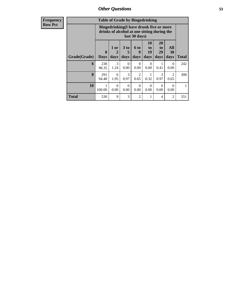| <b>Table of Grade by Bingedrinking</b> |              |                                                                                                                                                                                                                                                                                                                         |           |                        |                  |           |                        |     |
|----------------------------------------|--------------|-------------------------------------------------------------------------------------------------------------------------------------------------------------------------------------------------------------------------------------------------------------------------------------------------------------------------|-----------|------------------------|------------------|-----------|------------------------|-----|
|                                        |              | Bingedrinking(I have drunk five or more<br>drinks of alcohol at one sitting during the<br>last 30 days)<br>20<br><b>10</b><br>All<br>3 <sub>to</sub><br>1 or<br><b>6 to</b><br>to<br>to<br>29<br>9<br>30<br>19<br>$\mathbf{0}$<br>2<br>5<br>days<br><b>Total</b><br>days<br>days<br>days<br><b>Days</b><br>days<br>days |           |                        |                  |           |                        |     |
| Grade(Grade)                           |              |                                                                                                                                                                                                                                                                                                                         |           |                        |                  |           |                        |     |
| 6                                      | 238<br>98.35 | 3<br>1.24                                                                                                                                                                                                                                                                                                               | 0<br>0.00 | $\Omega$<br>0.00       | $\Omega$<br>0.00 | 1<br>0.41 | 0<br>0.00              | 242 |
| 8                                      | 291<br>94.48 | 6<br>1.95                                                                                                                                                                                                                                                                                                               | 3<br>0.97 | $\overline{2}$<br>0.65 | 0.32             | 3<br>0.97 | $\overline{2}$<br>0.65 | 308 |
| 10                                     | 100.00       | $\Omega$<br>0.00                                                                                                                                                                                                                                                                                                        | 0<br>0.00 | $\Omega$<br>0.00       | $\Omega$<br>0.00 | ∩<br>0.00 | 0<br>0.00              | 1   |
| <b>Total</b>                           | 530          | 9                                                                                                                                                                                                                                                                                                                       | 3         | $\overline{2}$         |                  | 4         | 2                      | 551 |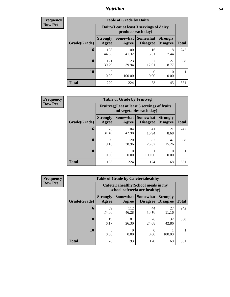#### *Nutrition* **54**

**Frequency Row Pct**

| <b>Table of Grade by Dairy</b> |                                                                                                                                                  |                                                                 |             |            |     |  |  |
|--------------------------------|--------------------------------------------------------------------------------------------------------------------------------------------------|-----------------------------------------------------------------|-------------|------------|-----|--|--|
|                                |                                                                                                                                                  | Dairy (I eat at least 3 servings of dairy<br>products each day) |             |            |     |  |  |
| Grade(Grade)                   | <b>Somewhat</b><br><b>Strongly</b><br><b>Somewhat</b><br><b>Strongly</b><br><b>Disagree</b><br><b>Total</b><br>Agree<br><b>Disagree</b><br>Agree |                                                                 |             |            |     |  |  |
| 6                              | 108<br>44.63                                                                                                                                     | 100<br>41.32                                                    | 16<br>6.61  | 18<br>7.44 | 242 |  |  |
| 8                              | 121<br>39.29                                                                                                                                     | 123<br>39.94                                                    | 37<br>12.01 | 27<br>8.77 | 308 |  |  |
| 10                             | $\mathbf{0}$<br>0.00                                                                                                                             | 100.00                                                          | 0<br>0.00   | 0<br>0.00  |     |  |  |
| <b>Total</b>                   | 229                                                                                                                                              | 224                                                             | 53          | 45         | 551 |  |  |

**Frequency Row Pct**

| <b>Table of Grade by Fruitveg</b> |                          |                                                                          |                             |                                    |              |  |  |
|-----------------------------------|--------------------------|--------------------------------------------------------------------------|-----------------------------|------------------------------------|--------------|--|--|
|                                   |                          | Fruitveg(I eat at least 5 servings of fruits<br>and vegetables each day) |                             |                                    |              |  |  |
| Grade(Grade)                      | <b>Strongly</b><br>Agree | Somewhat<br>Agree                                                        | <b>Somewhat</b><br>Disagree | <b>Strongly</b><br><b>Disagree</b> | <b>Total</b> |  |  |
| 6                                 | 76<br>31.40              | 104<br>42.98                                                             | 41<br>16.94                 | 21<br>8.68                         | 242          |  |  |
| 8                                 | 59<br>19.16              | 120<br>38.96                                                             | 82<br>26.62                 | 47<br>15.26                        | 308          |  |  |
| 10                                | 0.00                     | 0.00                                                                     | 100.00                      | 0.00                               |              |  |  |
| <b>Total</b>                      | 135                      | 224                                                                      | 124                         | 68                                 | 551          |  |  |

| <b>Table of Grade by Cafeteriahealthy</b> |                                                                       |                          |                                    |                                    |              |  |  |
|-------------------------------------------|-----------------------------------------------------------------------|--------------------------|------------------------------------|------------------------------------|--------------|--|--|
|                                           | Cafeteriahealthy (School meals in my<br>school cafeteria are healthy) |                          |                                    |                                    |              |  |  |
| Grade(Grade)                              | <b>Strongly</b><br>Agree                                              | <b>Somewhat</b><br>Agree | <b>Somewhat</b><br><b>Disagree</b> | <b>Strongly</b><br><b>Disagree</b> | <b>Total</b> |  |  |
| 6                                         | 59<br>24.38                                                           | 112<br>46.28             | 44<br>18.18                        | 27<br>11.16                        | 242          |  |  |
| 8                                         | 19<br>6.17                                                            | 81<br>26.30              | 76<br>24.68                        | 132<br>42.86                       | 308          |  |  |
| 10                                        | 0<br>0.00                                                             | 0.00                     | $\mathcal{O}$<br>0.00              | 100.00                             |              |  |  |
| <b>Total</b>                              | 78                                                                    | 193                      | 120                                | 160                                | 551          |  |  |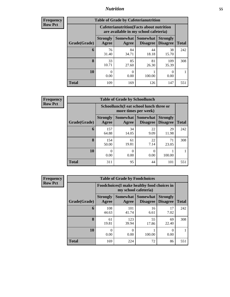### *Nutrition* **55**

| <b>Frequency</b> |
|------------------|
| Row Pct          |

| <b>Table of Grade by Cafeterianutrition</b> |                          |                                                                                           |                                        |                                    |              |  |  |
|---------------------------------------------|--------------------------|-------------------------------------------------------------------------------------------|----------------------------------------|------------------------------------|--------------|--|--|
|                                             |                          | <b>Cafeterianutrition</b> (Facts about nutrition<br>are available in my school cafeteria) |                                        |                                    |              |  |  |
| Grade(Grade)                                | <b>Strongly</b><br>Agree | Agree                                                                                     | Somewhat   Somewhat<br><b>Disagree</b> | <b>Strongly</b><br><b>Disagree</b> | <b>Total</b> |  |  |
| 6                                           | 76<br>31.40              | 84<br>34.71                                                                               | 44<br>18.18                            | 38<br>15.70                        | 242          |  |  |
| 8                                           | 33<br>10.71              | 85<br>27.60                                                                               | 81<br>26.30                            | 109<br>35.39                       | 308          |  |  |
| 10                                          | 0.00                     | 0.00                                                                                      | 100.00                                 | 0.00                               |              |  |  |
| <b>Total</b>                                | 109                      | 169                                                                                       | 126                                    | 147                                | 551          |  |  |

**Frequency Row Pct**

| <b>Table of Grade by Schoollunch</b> |                          |                                                                 |                                        |                                    |              |  |  |  |
|--------------------------------------|--------------------------|-----------------------------------------------------------------|----------------------------------------|------------------------------------|--------------|--|--|--|
|                                      |                          | Schoollunch(I eat school lunch three or<br>more times per week) |                                        |                                    |              |  |  |  |
| Grade(Grade)                         | <b>Strongly</b><br>Agree | Agree                                                           | <b>Somewhat   Somewhat</b><br>Disagree | <b>Strongly</b><br><b>Disagree</b> | <b>Total</b> |  |  |  |
| 6                                    | 157<br>64.88             | 34<br>14.05                                                     | 22<br>9.09                             | 29<br>11.98                        | 242          |  |  |  |
| 8                                    | 154<br>50.00             | 61<br>19.81                                                     | 22<br>7.14                             | 71<br>23.05                        | 308          |  |  |  |
| 10                                   | 0.00                     | $\theta$<br>0.00                                                | 0<br>0.00                              | 100.00                             |              |  |  |  |
| <b>Total</b>                         | 311                      | 95                                                              | 44                                     | 101                                | 551          |  |  |  |

| <b>Table of Grade by Foodchoices</b> |                                                                            |                   |                                    |                                    |              |  |  |
|--------------------------------------|----------------------------------------------------------------------------|-------------------|------------------------------------|------------------------------------|--------------|--|--|
|                                      | <b>Foodchoices</b> (I make healthy food choices in<br>my school cafeteria) |                   |                                    |                                    |              |  |  |
| Grade(Grade)                         | <b>Strongly</b><br>Agree                                                   | Somewhat<br>Agree | <b>Somewhat</b><br><b>Disagree</b> | <b>Strongly</b><br><b>Disagree</b> | <b>Total</b> |  |  |
| 6                                    | 108<br>44.63                                                               | 101<br>41.74      | 16<br>6.61                         | 17<br>7.02                         | 242          |  |  |
| 8                                    | 61<br>19.81                                                                | 123<br>39.94      | 55<br>17.86                        | 69<br>22.40                        | 308          |  |  |
| 10                                   | 0<br>0.00                                                                  | 0<br>0.00         | 100.00                             | O<br>0.00                          |              |  |  |
| <b>Total</b>                         | 169                                                                        | 224               | 72                                 | 86                                 | 551          |  |  |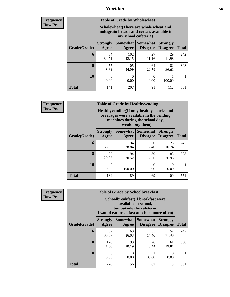### *Nutrition* **56**

| <b>Frequency</b><br>Row Pct |
|-----------------------------|
|                             |

| <b>Table of Grade by Wholewheat</b> |                                                                                                                                    |              |             |             |     |  |  |
|-------------------------------------|------------------------------------------------------------------------------------------------------------------------------------|--------------|-------------|-------------|-----|--|--|
|                                     | Wholewheat (There are whole wheat and<br>multigrain breads and cereals available in<br>my school cafeteria)                        |              |             |             |     |  |  |
| Grade(Grade)                        | Somewhat<br><b>Strongly</b><br>Somewhat<br><b>Strongly</b><br><b>Disagree</b><br>Agree<br><b>Disagree</b><br><b>Total</b><br>Agree |              |             |             |     |  |  |
| 6                                   | 84<br>34.71                                                                                                                        | 102<br>42.15 | 27<br>11.16 | 29<br>11.98 | 242 |  |  |
| 8                                   | 57<br>18.51                                                                                                                        | 105<br>34.09 | 64<br>20.78 | 82<br>26.62 | 308 |  |  |
| 10                                  | $\mathbf{\Omega}$<br>0.00                                                                                                          | 0<br>0.00    | 0<br>0.00   | 100.00      |     |  |  |
| <b>Total</b>                        | 141                                                                                                                                | 207          | 91          | 112         | 551 |  |  |

**Frequency Row Pct**

| V | <b>Table of Grade by Healthyvending</b> |                                                                                                                                               |             |                                             |                                    |              |  |
|---|-----------------------------------------|-----------------------------------------------------------------------------------------------------------------------------------------------|-------------|---------------------------------------------|------------------------------------|--------------|--|
|   |                                         | Healthyvending (If only healthy snacks and<br>beverages were available in the vending<br>machines during the school day,<br>I would buy them) |             |                                             |                                    |              |  |
|   | Grade(Grade)                            | <b>Strongly</b><br>Agree                                                                                                                      | Agree       | <b>Somewhat</b> Somewhat<br><b>Disagree</b> | <b>Strongly</b><br><b>Disagree</b> | <b>Total</b> |  |
|   | 6                                       | 92<br>38.02                                                                                                                                   | 94<br>38.84 | 30<br>12.40                                 | 26<br>10.74                        | 242          |  |
|   | 8                                       | 92<br>29.87                                                                                                                                   | 94<br>30.52 | 39<br>12.66                                 | 83<br>26.95                        | 308          |  |
|   | 10                                      | $\mathbf{\Omega}$<br>0.00                                                                                                                     | 100.00      | $\Omega$<br>0.00                            | 0<br>0.00                          |              |  |
|   | <b>Total</b>                            | 184                                                                                                                                           | 189         | 69                                          | 109                                | 551          |  |

| <b>Table of Grade by Schoolbreakfast</b> |                                                                                                                                             |             |             |             |     |  |  |
|------------------------------------------|---------------------------------------------------------------------------------------------------------------------------------------------|-------------|-------------|-------------|-----|--|--|
|                                          | Schoolbreakfast (If breakfast were<br>available at school,<br>but outside the cafeteria,<br>I would eat breakfast at school more often)     |             |             |             |     |  |  |
| Grade(Grade)                             | Somewhat  <br><b>Somewhat</b><br><b>Strongly</b><br><b>Strongly</b><br><b>Disagree</b><br><b>Disagree</b><br><b>Total</b><br>Agree<br>Agree |             |             |             |     |  |  |
| 6                                        | 92<br>38.02                                                                                                                                 | 63<br>26.03 | 35<br>14.46 | 52<br>21.49 | 242 |  |  |
| 8                                        | 128<br>41.56                                                                                                                                | 93<br>30.19 | 26<br>8.44  | 61<br>19.81 | 308 |  |  |
| 10                                       | 0<br>0.00                                                                                                                                   | 0<br>0.00   | 100.00      | 0<br>0.00   |     |  |  |
| <b>Total</b>                             | 220                                                                                                                                         | 156         | 62          | 113         | 551 |  |  |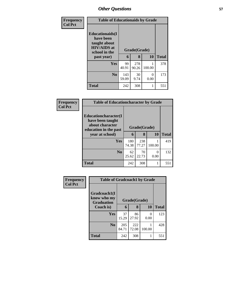| Frequency      | <b>Table of Educationaids by Grade</b>                                                                    |                   |              |           |     |
|----------------|-----------------------------------------------------------------------------------------------------------|-------------------|--------------|-----------|-----|
| <b>Col Pct</b> | <b>Educationaids</b> (I<br>have been<br>taught about<br><b>HIV/AIDS</b> at<br>school in the<br>past year) | Grade(Grade)<br>6 | <b>Total</b> |           |     |
|                | Yes                                                                                                       | 99<br>40.91       | 278<br>90.26 | 100.00    | 378 |
|                | N <sub>0</sub>                                                                                            | 143<br>59.09      | 30<br>9.74   | 0<br>0.00 | 173 |
|                | <b>Total</b>                                                                                              | 242               | 308          |           | 551 |

| <b>Frequency</b> | <b>Table of Educationcharacter by Grade</b>                                          |              |              |                           |              |  |  |
|------------------|--------------------------------------------------------------------------------------|--------------|--------------|---------------------------|--------------|--|--|
| <b>Col Pct</b>   | Educationcharacter(I<br>have been taught<br>about character<br>education in the past | Grade(Grade) |              |                           |              |  |  |
|                  | year at school)                                                                      | 6            | 8            | 10                        | <b>Total</b> |  |  |
|                  | <b>Yes</b>                                                                           | 180<br>74.38 | 238<br>77.27 | 100.00                    | 419          |  |  |
|                  | No                                                                                   | 62<br>25.62  | 70<br>22.73  | $\mathbf{\Omega}$<br>0.00 | 132          |  |  |
|                  | <b>Total</b>                                                                         | 242          | 308          |                           | 551          |  |  |

| Frequency<br><b>Col Pct</b> |                                                  | <b>Table of Gradcoach1 by Grade</b> |              |           |              |  |  |  |
|-----------------------------|--------------------------------------------------|-------------------------------------|--------------|-----------|--------------|--|--|--|
|                             | Gradcoach1(I<br>know who my<br><b>Graduation</b> | Grade(Grade)                        |              |           |              |  |  |  |
|                             | Coach is)                                        | 6                                   | 8            | <b>10</b> | <b>Total</b> |  |  |  |
|                             | Yes                                              | 37<br>15.29                         | 86<br>27.92  | 0<br>0.00 | 123          |  |  |  |
|                             | N <sub>0</sub>                                   | 205<br>84.71                        | 222<br>72.08 | 100.00    | 428          |  |  |  |
|                             | <b>Total</b>                                     | 242                                 | 308          |           | 551          |  |  |  |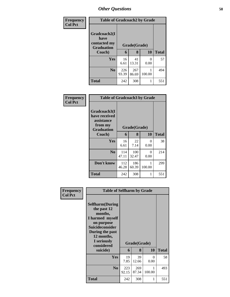| <b>Frequency</b> | <b>Table of Gradcoach2 by Grade</b>                       |              |              |           |              |
|------------------|-----------------------------------------------------------|--------------|--------------|-----------|--------------|
| <b>Col Pct</b>   | Gradcoach2(I<br>have<br>contacted my<br><b>Graduation</b> | Grade(Grade) |              |           |              |
|                  | Coach)                                                    | 6            | 8            | 10        | <b>Total</b> |
|                  | Yes                                                       | 16<br>6.61   | 41<br>13.31  | 0<br>0.00 | 57           |
|                  | N <sub>0</sub>                                            | 226<br>93.39 | 267<br>86.69 | 100.00    | 494          |
|                  | Total                                                     | 242          | 308          |           | 551          |

| Frequency<br><b>Col Pct</b> | <b>Table of Gradcoach3 by Grade</b>                                         |              |              |                  |              |
|-----------------------------|-----------------------------------------------------------------------------|--------------|--------------|------------------|--------------|
|                             | Gradcoach3(I<br>have received<br>assistance<br>from my<br><b>Graduation</b> | Grade(Grade) |              |                  |              |
|                             | Coach)                                                                      | 6            | 8            | 10               | <b>Total</b> |
|                             | Yes                                                                         | 16<br>6.61   | 22<br>7.14   | $\Omega$<br>0.00 | 38           |
|                             | N <sub>0</sub>                                                              | 114<br>47.11 | 100<br>32.47 | 0<br>0.00        | 214          |
|                             | Don't know                                                                  | 112<br>46.28 | 186<br>60.39 | 100.00           | 299          |
|                             | <b>Total</b>                                                                | 242          | 308          |                  | 551          |

| Frequency<br><b>Col Pct</b> | <b>Table of Selfharm by Grade</b>                                                                                                                                          |              |              |           |              |  |
|-----------------------------|----------------------------------------------------------------------------------------------------------------------------------------------------------------------------|--------------|--------------|-----------|--------------|--|
|                             | <b>Selfharm</b> (During<br>the past 12<br>months,<br>I harmed myself<br>on purpose<br><b>Suicideconsider</b><br>During the past<br>12 months,<br>I seriously<br>considered |              | Grade(Grade) |           |              |  |
|                             | suicide)                                                                                                                                                                   | 6            | 8            | 10        | <b>Total</b> |  |
|                             | Yes                                                                                                                                                                        | 19<br>7.85   | 39<br>12.66  | 0<br>0.00 | 58           |  |
|                             | N <sub>0</sub>                                                                                                                                                             | 223<br>92.15 | 269<br>87.34 | 100.00    | 493          |  |
|                             | Total                                                                                                                                                                      | 242          | 308          | 1         | 551          |  |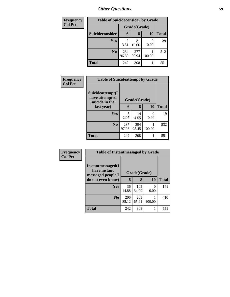| <b>Frequency</b> | <b>Table of Suicideconsider by Grade</b> |              |              |        |              |  |
|------------------|------------------------------------------|--------------|--------------|--------|--------------|--|
| <b>Col Pct</b>   |                                          |              | Grade(Grade) |        |              |  |
|                  | Suicideconsider                          | 6            | 8            | 10     | <b>Total</b> |  |
|                  | Yes                                      | 3.31         | 31<br>10.06  | 0.00   | 39           |  |
|                  | N <sub>0</sub>                           | 234<br>96.69 | 277<br>89.94 | 100.00 | 512          |  |
|                  | <b>Total</b>                             | 242          | 308          |        | 551          |  |

| Frequency      | <b>Table of Suicideattempt by Grade</b>              |              |              |           |              |  |
|----------------|------------------------------------------------------|--------------|--------------|-----------|--------------|--|
| <b>Col Pct</b> | Suicideattempt(I<br>have attempted<br>suicide in the |              | Grade(Grade) |           |              |  |
|                | last year)                                           | 6            | 8            | 10        | <b>Total</b> |  |
|                | Yes                                                  | 5<br>2.07    | 14<br>4.55   | 0<br>0.00 | 19           |  |
|                | N <sub>0</sub>                                       | 237<br>97.93 | 294<br>95.45 | 100.00    | 532          |  |
|                | <b>Total</b>                                         | 242          | 308          | 1         | 551          |  |

| Frequency      | <b>Table of Instantmessaged by Grade</b>               |              |              |           |              |  |
|----------------|--------------------------------------------------------|--------------|--------------|-----------|--------------|--|
| <b>Col Pct</b> | Instantmessaged(I<br>have instant<br>messaged people I | Grade(Grade) |              |           |              |  |
|                | do not even know)                                      |              | 8            | 10        | <b>Total</b> |  |
|                | <b>Yes</b>                                             | 36<br>14.88  | 105<br>34.09 | 0<br>0.00 | 141          |  |
|                | N <sub>0</sub>                                         | 206<br>85.12 | 203<br>65.91 | 100.00    | 410          |  |
|                | <b>Total</b>                                           | 242          | 308          |           | 551          |  |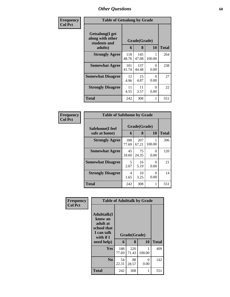| Frequency      | <b>Table of Getsalong by Grade</b>                             |              |                   |           |              |  |
|----------------|----------------------------------------------------------------|--------------|-------------------|-----------|--------------|--|
| <b>Col Pct</b> | Getsalong(I get<br>along with other<br>students and<br>adults) | 6            | Grade(Grade)<br>8 | 10        | <b>Total</b> |  |
|                | <b>Strongly Agree</b>                                          | 118<br>48.76 | 145<br>47.08      | 100.00    | 264          |  |
|                | <b>Somewhat Agree</b>                                          | 101<br>41.74 | 137<br>44.48      | 0<br>0.00 | 238          |  |
|                | <b>Somewhat Disagree</b>                                       | 12<br>4.96   | 15<br>4.87        | 0<br>0.00 | 27           |  |
|                | <b>Strongly Disagree</b>                                       | 11<br>4.55   | 11<br>3.57        | 0<br>0.00 | 22           |  |
|                | <b>Total</b>                                                   | 242          | 308               | 1         | 551          |  |

| Frequency      | <b>Table of Safehome by Grade</b> |              |                   |                           |              |
|----------------|-----------------------------------|--------------|-------------------|---------------------------|--------------|
| <b>Col Pct</b> | Safehome(I feel<br>safe at home)  | 6            | Grade(Grade)<br>8 | <b>10</b>                 | <b>Total</b> |
|                | <b>Strongly Agree</b>             | 188<br>77.69 | 207<br>67.21      | 100.00                    | 396          |
|                | <b>Somewhat Agree</b>             | 45<br>18.60  | 75<br>24.35       | $\mathbf{\Omega}$<br>0.00 | 120          |
|                | <b>Somewhat Disagree</b>          | 5<br>2.07    | 16<br>5.19        | 0<br>0.00                 | 21           |
|                | <b>Strongly Disagree</b>          | 4<br>1.65    | 10<br>3.25        | 0<br>0.00                 | 14           |
|                | <b>Total</b>                      | 242          | 308               | 1                         | 551          |

| Frequency      | <b>Table of Adulttalk by Grade</b>                                                                |              |                   |           |              |  |  |  |
|----------------|---------------------------------------------------------------------------------------------------|--------------|-------------------|-----------|--------------|--|--|--|
| <b>Col Pct</b> | <b>Adulttalk(I</b><br>know an<br>adult at<br>school that<br>I can talk<br>with if I<br>need help) | 6            | Grade(Grade)<br>8 | 10        | <b>Total</b> |  |  |  |
|                | <b>Yes</b>                                                                                        | 188<br>77.69 | 220<br>71.43      | 100.00    | 409          |  |  |  |
|                | N <sub>0</sub>                                                                                    | 54<br>22.31  | 88<br>28.57       | 0<br>0.00 | 142          |  |  |  |
|                | <b>Total</b>                                                                                      | 242          | 308               |           | 551          |  |  |  |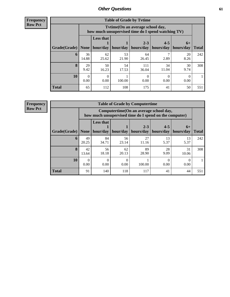**Frequency Row Pct**

| <b>Table of Grade by Tytime</b> |             |                                                                                         |             |                      |                      |                   |              |  |
|---------------------------------|-------------|-----------------------------------------------------------------------------------------|-------------|----------------------|----------------------|-------------------|--------------|--|
|                                 |             | Tvtime (On an average school day,<br>how much unsupervised time do I spend watching TV) |             |                      |                      |                   |              |  |
| Grade(Grade)                    | None $ $    | <b>Less that</b><br>hour/day                                                            | hour/day    | $2 - 3$<br>hours/day | $4 - 5$<br>hours/day | $6+$<br>hours/day | <b>Total</b> |  |
| 6                               | 36<br>14.88 | 62<br>25.62                                                                             | 53<br>21.90 | 64<br>26.45          | 2.89                 | 20<br>8.26        | 242          |  |
| 8                               | 29<br>9.42  | 50<br>16.23                                                                             | 54<br>17.53 | 111<br>36.04         | 34<br>11.04          | 30<br>9.74        | 308          |  |
| 10                              | 0.00        | 0.00                                                                                    | 100.00      | 0.00                 | 0.00                 | 0.00              |              |  |
| <b>Total</b>                    | 65          | 112                                                                                     | 108         | 175                  | 41                   | 50                | 551          |  |

**Frequency**

**Row Pct**

| <b>Table of Grade by Computertime</b> |             |                                                                                                  |             |                      |                      |                   |              |
|---------------------------------------|-------------|--------------------------------------------------------------------------------------------------|-------------|----------------------|----------------------|-------------------|--------------|
|                                       |             | Computertime(On an average school day,<br>how much unsupervised time do I spend on the computer) |             |                      |                      |                   |              |
| Grade(Grade)                          | None        | <b>Less that</b><br>hour/day                                                                     | hour/day    | $2 - 3$<br>hours/day | $4 - 5$<br>hours/day | $6+$<br>hours/day | <b>Total</b> |
| 6                                     | 49<br>20.25 | 84<br>34.71                                                                                      | 56<br>23.14 | 27<br>11.16          | 13<br>5.37           | 13<br>5.37        | 242          |
| 8                                     | 42<br>13.64 | 56<br>18.18                                                                                      | 62<br>20.13 | 89<br>28.90          | 28<br>9.09           | 31<br>10.06       | 308          |
| 10                                    | 0<br>0.00   | 0.00                                                                                             | 0<br>0.00   | 100.00               | 0.00                 | 0.00              |              |
| <b>Total</b>                          | 91          | 140                                                                                              | 118         | 117                  | 41                   | 44                | 551          |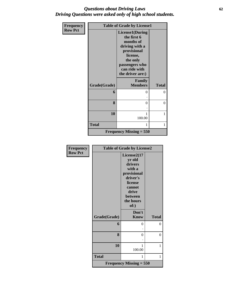### *Questions about Driving Laws* **62** *Driving Questions were asked only of high school students.*

| Frequency      |              | <b>Table of Grade by License1</b>                                                                                                                                  |                |
|----------------|--------------|--------------------------------------------------------------------------------------------------------------------------------------------------------------------|----------------|
| <b>Row Pct</b> |              | <b>License1(During</b><br>the first 6<br>months of<br>driving with a<br>provisional<br>license,<br>the only<br>passengers who<br>can ride with<br>the driver are:) |                |
|                | Grade(Grade) | Family<br><b>Members</b>                                                                                                                                           | <b>Total</b>   |
|                | 6            | 0                                                                                                                                                                  | $\theta$       |
|                | 8            | 0                                                                                                                                                                  | $\overline{0}$ |
|                | 10           | 1<br>100.00                                                                                                                                                        | 1              |
|                | <b>Total</b> | 1                                                                                                                                                                  | 1              |
|                |              | Frequency Missing $= 550$                                                                                                                                          |                |

| Frequency      | <b>Table of Grade by License2</b> |                                             |                |  |  |
|----------------|-----------------------------------|---------------------------------------------|----------------|--|--|
| <b>Row Pct</b> |                                   | License2(17                                 |                |  |  |
|                |                                   | yr old                                      |                |  |  |
|                |                                   | drivers                                     |                |  |  |
|                |                                   | with a                                      |                |  |  |
|                |                                   | provisional                                 |                |  |  |
|                |                                   | driver's                                    |                |  |  |
|                |                                   | license                                     |                |  |  |
|                |                                   | cannot                                      |                |  |  |
|                |                                   | drive                                       |                |  |  |
|                |                                   | <b>between</b>                              |                |  |  |
|                |                                   | the hours                                   |                |  |  |
|                |                                   | of:)                                        |                |  |  |
|                |                                   | Don't                                       |                |  |  |
|                | Grade(Grade)                      | <b>Know</b>                                 | <b>Total</b>   |  |  |
|                | 6                                 | 0                                           | $\theta$       |  |  |
|                |                                   |                                             |                |  |  |
|                | 8                                 | 0                                           | $\overline{0}$ |  |  |
|                |                                   |                                             |                |  |  |
|                | 10                                | 1                                           | 1              |  |  |
|                |                                   | 100.00                                      |                |  |  |
|                | <b>Total</b>                      | 1                                           | 1              |  |  |
|                |                                   | <b>Frequency Missing = <math>550</math></b> |                |  |  |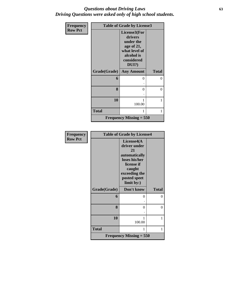### *Questions about Driving Laws* **63** *Driving Questions were asked only of high school students.*

| <b>Frequency</b> | <b>Table of Grade by License3</b> |                                                                                                             |              |  |
|------------------|-----------------------------------|-------------------------------------------------------------------------------------------------------------|--------------|--|
| <b>Row Pct</b>   |                                   | License3(For<br>drivers<br>under the<br>age of 21,<br>what level of<br>alcohol is<br>considered<br>$DUI$ ?) |              |  |
|                  | Grade(Grade)                      | <b>Any Amount</b>                                                                                           | <b>Total</b> |  |
|                  | 6                                 | 0                                                                                                           | 0            |  |
|                  |                                   |                                                                                                             |              |  |
|                  | 8                                 | $\theta$                                                                                                    | $\Omega$     |  |
|                  |                                   |                                                                                                             |              |  |
|                  | 10                                | 100.00                                                                                                      | 1            |  |
|                  | <b>Total</b>                      | 1                                                                                                           | 1            |  |
|                  |                                   | Frequency Missing $= 550$                                                                                   |              |  |

| Frequency      |              | <b>Table of Grade by License4</b>                                                                                                         |              |
|----------------|--------------|-------------------------------------------------------------------------------------------------------------------------------------------|--------------|
| <b>Row Pct</b> |              | License4(A<br>driver under<br>21<br>automatically<br>loses his/her<br>license if<br>caught<br>exceeding the<br>posted speet<br>limit by:) |              |
|                | Grade(Grade) | Don't know                                                                                                                                | <b>Total</b> |
|                | 6            | 0                                                                                                                                         | 0            |
|                |              |                                                                                                                                           |              |
|                | 8            | 0                                                                                                                                         | 0            |
|                |              |                                                                                                                                           |              |
|                | 10           | 1                                                                                                                                         | 1            |
|                |              | 100.00                                                                                                                                    |              |
|                | <b>Total</b> | 1                                                                                                                                         | 1            |
|                |              | <b>Frequency Missing = <math>550</math></b>                                                                                               |              |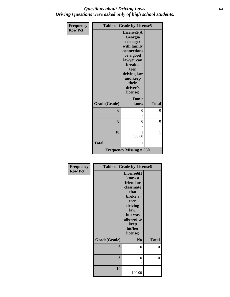### *Questions about Driving Laws* **64** *Driving Questions were asked only of high school students.*

| <b>Frequency</b> |              | <b>Table of Grade by License5</b>                                           |              |
|------------------|--------------|-----------------------------------------------------------------------------|--------------|
| <b>Row Pct</b>   |              | License5(A<br>Georgia                                                       |              |
|                  |              | teenager<br>with family                                                     |              |
|                  |              | connections<br>or a good<br>lawyer can                                      |              |
|                  |              | break a<br>teen<br>driving law<br>and keep<br>their<br>driver's<br>license) |              |
|                  | Grade(Grade) | Don't<br>know                                                               | <b>Total</b> |
|                  | 6            | 0                                                                           | 0            |
|                  | 8            | $\theta$                                                                    | $\theta$     |
|                  | 10           | 1<br>100.00                                                                 | 1            |
|                  | <b>Total</b> | 1                                                                           | 1            |
|                  |              | <b>Frequency Missing = <math>550</math></b>                                 |              |

| Frequency      |              | <b>Table of Grade by License6</b>                                                                                                                                 |                |
|----------------|--------------|-------------------------------------------------------------------------------------------------------------------------------------------------------------------|----------------|
| <b>Row Pct</b> |              | License <sub>6</sub> (I<br>know a<br>friend or<br>classmate<br>that<br>broke a<br>teen<br>driving<br>law,<br>but was<br>allowed to<br>keep<br>his/her<br>license) |                |
|                | Grade(Grade) | N <sub>o</sub>                                                                                                                                                    | <b>Total</b>   |
|                | 6            | 0                                                                                                                                                                 | $\overline{0}$ |
|                | 8            | 0                                                                                                                                                                 | $\overline{0}$ |
|                | 10           | 1<br>100.00                                                                                                                                                       | 1              |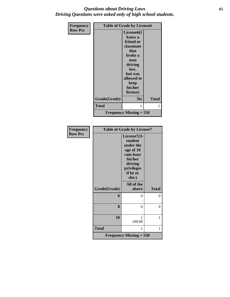### *Questions about Driving Laws* **65** *Driving Questions were asked only of high school students.*

| <b>Frequency</b> | <b>Table of Grade by License6</b> |                                                                                                                                                       |              |  |  |
|------------------|-----------------------------------|-------------------------------------------------------------------------------------------------------------------------------------------------------|--------------|--|--|
| <b>Row Pct</b>   |                                   | License <sub>6</sub> (I<br>know a<br>friend or<br>classmate<br>that<br>broke a<br>teen<br>driving<br>law,<br>but was<br>allowed to<br>keep<br>his/her |              |  |  |
|                  |                                   | license)                                                                                                                                              |              |  |  |
|                  | Grade(Grade)                      | N <sub>0</sub>                                                                                                                                        | <b>Total</b> |  |  |
|                  | Total                             | 1                                                                                                                                                     | 1            |  |  |
|                  |                                   | Frequency Missing $= 550$                                                                                                                             |              |  |  |

| Frequency      | <b>Table of Grade by License7</b> |                                                                                                                       |              |  |
|----------------|-----------------------------------|-----------------------------------------------------------------------------------------------------------------------|--------------|--|
| <b>Row Pct</b> |                                   | License7(A<br>student<br>under the<br>age of 18<br>cam loser<br>his/her<br>driving<br>privileges<br>if he or<br>she:) |              |  |
|                | Grade(Grade)                      | All of the<br>above                                                                                                   | <b>Total</b> |  |
|                | 6                                 | 0                                                                                                                     | 0            |  |
|                | 8                                 | $\theta$                                                                                                              | $\mathbf{0}$ |  |
|                | 10                                | 1<br>100.00                                                                                                           | 1            |  |
|                | <b>Total</b>                      | 1                                                                                                                     | 1            |  |
|                |                                   | <b>Frequency Missing = 550</b>                                                                                        |              |  |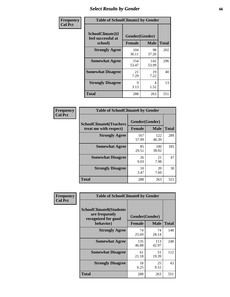# *Select Results by Gender* **66**

| Frequency      | <b>Table of SchoolClimate2 by Gender</b>          |                                 |              |              |  |
|----------------|---------------------------------------------------|---------------------------------|--------------|--------------|--|
| <b>Col Pct</b> | SchoolClimate2(I<br>feel successful at<br>school) | Gender(Gender)<br><b>Female</b> | <b>Male</b>  | <b>Total</b> |  |
|                | <b>Strongly Agree</b>                             | 104<br>36.11                    | 98<br>37.26  | 202          |  |
|                | <b>Somewhat Agree</b>                             | 154<br>53.47                    | 142<br>53.99 | 296          |  |
|                | <b>Somewhat Disagree</b>                          | 21<br>7.29                      | 19<br>7.22   | 40           |  |
|                | <b>Strongly Disagree</b>                          | 9<br>3.13                       | 4<br>1.52    | 13           |  |
|                | <b>Total</b>                                      | 288                             | 263          | 551          |  |

| Frequency      | <b>Table of SchoolClimate6 by Gender</b>                 |                                 |              |              |  |
|----------------|----------------------------------------------------------|---------------------------------|--------------|--------------|--|
| <b>Col Pct</b> | <b>SchoolClimate6(Teachers</b><br>treat me with respect) | Gender(Gender)<br><b>Female</b> | <b>Male</b>  | <b>Total</b> |  |
|                | <b>Strongly Agree</b>                                    | 167<br>57.99                    | 122<br>46.39 | 289          |  |
|                | <b>Somewhat Agree</b>                                    | 85<br>29.51                     | 100<br>38.02 | 185          |  |
|                | <b>Somewhat Disagree</b>                                 | 26<br>9.03                      | 21<br>7.98   | 47           |  |
|                | <b>Strongly Disagree</b>                                 | 10<br>3.47                      | 20<br>7.60   | 30           |  |
|                | <b>Total</b>                                             | 288                             | 263          | 551          |  |

| Frequency      | <b>Table of SchoolClimate8 by Gender</b>                                             |                                 |              |              |
|----------------|--------------------------------------------------------------------------------------|---------------------------------|--------------|--------------|
| <b>Col Pct</b> | <b>SchoolClimate8(Students</b><br>are frequently<br>recognized for good<br>behavior) | Gender(Gender)<br><b>Female</b> | <b>Male</b>  | <b>Total</b> |
|                |                                                                                      |                                 |              |              |
|                | <b>Strongly Agree</b>                                                                | 74<br>25.69                     | 74<br>28.14  | 148          |
|                | <b>Somewhat Agree</b>                                                                | 135<br>46.88                    | 113<br>42.97 | 248          |
|                | <b>Somewhat Disagree</b>                                                             | 61<br>21.18                     | 51<br>19.39  | 112          |
|                | <b>Strongly Disagree</b>                                                             | 18<br>6.25                      | 25<br>9.51   | 43           |
|                | Total                                                                                | 288                             | 263          | 551          |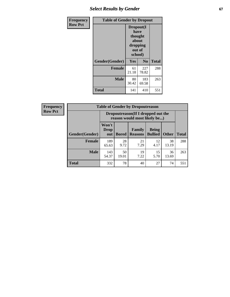# **Select Results by Gender 67**

| <b>Frequency</b> | <b>Table of Gender by Dropout</b> |                                                                        |              |              |
|------------------|-----------------------------------|------------------------------------------------------------------------|--------------|--------------|
| <b>Row Pct</b>   |                                   | Dropout(I<br>have<br>thought<br>about<br>dropping<br>out of<br>school) |              |              |
|                  | Gender(Gender)                    | Yes                                                                    | No           | <b>Total</b> |
|                  | <b>Female</b>                     | 61<br>21.18                                                            | 227<br>78.82 | 288          |
|                  | <b>Male</b>                       | 80<br>30.42                                                            | 183<br>69.58 | 263          |
|                  | <b>Total</b>                      | 141                                                                    | 410          | 551          |

| <b>Frequency</b> |                | <b>Table of Gender by Dropoutreason</b>                            |              |                          |                                |              |              |
|------------------|----------------|--------------------------------------------------------------------|--------------|--------------------------|--------------------------------|--------------|--------------|
| <b>Row Pct</b>   |                | Dropoutreason(If I dropped out the<br>reason would most likely be) |              |                          |                                |              |              |
|                  | Gender(Gender) | Won't<br><b>Drop</b><br>out                                        | <b>Bored</b> | Family<br><b>Reasons</b> | <b>Being</b><br><b>Bullied</b> | <b>Other</b> | <b>Total</b> |
|                  | <b>Female</b>  | 189<br>65.63                                                       | 28<br>9.72   | 21<br>7.29               | 12<br>4.17                     | 38<br>13.19  | 288          |
|                  | <b>Male</b>    | 143<br>54.37                                                       | 50<br>19.01  | 19<br>7.22               | 15<br>5.70                     | 36<br>13.69  | 263          |
|                  | <b>Total</b>   | 332                                                                | 78           | 40                       | 27                             | 74           | 551          |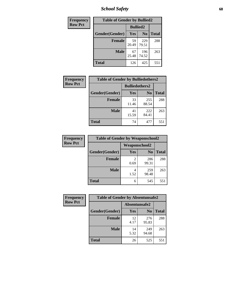*School Safety* **68**

| Frequency      | <b>Table of Gender by Bullied2</b> |                 |                |              |
|----------------|------------------------------------|-----------------|----------------|--------------|
| <b>Row Pct</b> |                                    | <b>Bullied2</b> |                |              |
|                | Gender(Gender)                     | <b>Yes</b>      | N <sub>0</sub> | <b>Total</b> |
|                | <b>Female</b>                      | 59<br>20.49     | 229<br>79.51   | 288          |
|                | <b>Male</b>                        | 67<br>25.48     | 196<br>74.52   | 263          |
|                | <b>Total</b>                       | 126             | 425            | 551          |

| <b>Frequency</b> | <b>Table of Gender by Bulliedothers2</b> |                       |                |              |
|------------------|------------------------------------------|-----------------------|----------------|--------------|
| <b>Row Pct</b>   |                                          | <b>Bulliedothers2</b> |                |              |
|                  | Gender(Gender)                           | Yes                   | N <sub>0</sub> | <b>Total</b> |
|                  | <b>Female</b>                            | 33<br>11.46           | 255<br>88.54   | 288          |
|                  | <b>Male</b>                              | 41<br>15.59           | 222<br>84.41   | 263          |
|                  | <b>Total</b>                             | 74                    | 477            | 551          |

| Frequency      | <b>Table of Gender by Weaponschool2</b> |                      |                |              |
|----------------|-----------------------------------------|----------------------|----------------|--------------|
| <b>Row Pct</b> |                                         | <b>Weaponschool2</b> |                |              |
|                | Gender(Gender)                          | Yes                  | N <sub>0</sub> | <b>Total</b> |
|                | <b>Female</b>                           | 0.69                 | 286<br>99.31   | 288          |
|                | <b>Male</b>                             | 1.52                 | 259<br>98.48   | 263          |
|                | <b>Total</b>                            | 6                    | 545            | 551          |

| Frequency      | <b>Table of Gender by Absentunsafe2</b> |               |                |              |
|----------------|-----------------------------------------|---------------|----------------|--------------|
| <b>Row Pct</b> |                                         | Absentunsafe2 |                |              |
|                | Gender(Gender)                          | <b>Yes</b>    | N <sub>0</sub> | <b>Total</b> |
|                | <b>Female</b>                           | 12<br>4.17    | 276<br>95.83   | 288          |
|                | <b>Male</b>                             | 14<br>5.32    | 249<br>94.68   | 263          |
|                | <b>Total</b>                            | 26            | 525            | 551          |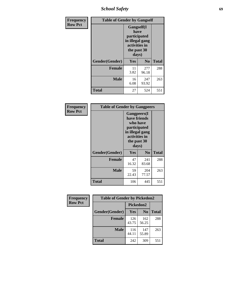*School Safety* **69**

| Frequency      | <b>Table of Gender by Gangself</b> |                                                                                                |                |              |
|----------------|------------------------------------|------------------------------------------------------------------------------------------------|----------------|--------------|
| <b>Row Pct</b> |                                    | Gangself(I<br>have<br>participated<br>in illegal gang<br>activities in<br>the past 30<br>days) |                |              |
|                | Gender(Gender)                     | Yes                                                                                            | N <sub>0</sub> | <b>Total</b> |
|                | <b>Female</b>                      | 11<br>3.82                                                                                     | 277<br>96.18   | 288          |
|                | <b>Male</b>                        | 16<br>6.08                                                                                     | 247<br>93.92   | 263          |
|                | <b>Total</b>                       | 27                                                                                             | 524            | 551          |

| Frequency      | <b>Table of Gender by Gangpeers</b> |                                                                                                                             |                |              |
|----------------|-------------------------------------|-----------------------------------------------------------------------------------------------------------------------------|----------------|--------------|
| <b>Row Pct</b> |                                     | <b>Gangpeers</b> (I<br>have friends<br>who have<br>participated<br>in illegal gang<br>activities in<br>the past 30<br>days) |                |              |
|                | Gender(Gender)                      | Yes                                                                                                                         | N <sub>0</sub> | <b>Total</b> |
|                | <b>Female</b>                       | 47<br>16.32                                                                                                                 | 241<br>83.68   | 288          |
|                | <b>Male</b>                         | 59<br>22.43                                                                                                                 | 204<br>77.57   | 263          |
|                | Total                               | 106                                                                                                                         | 445            | 551          |

| <b>Frequency</b> | <b>Table of Gender by Pickedon2</b> |              |                |              |
|------------------|-------------------------------------|--------------|----------------|--------------|
| <b>Row Pct</b>   |                                     | Pickedon2    |                |              |
|                  | Gender(Gender)                      | Yes          | N <sub>0</sub> | <b>Total</b> |
|                  | <b>Female</b>                       | 126<br>43.75 | 162<br>56.25   | 288          |
|                  | <b>Male</b>                         | 116<br>44.11 | 147<br>55.89   | 263          |
|                  | <b>Total</b>                        | 309<br>242   |                | 551          |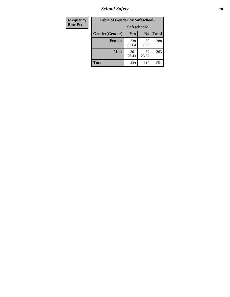*School Safety* **70**

| Frequency      | <b>Table of Gender by Safeschool2</b> |              |                |              |
|----------------|---------------------------------------|--------------|----------------|--------------|
| <b>Row Pct</b> |                                       | Safeschool2  |                |              |
|                | Gender(Gender)                        | Yes          | N <sub>0</sub> | <b>Total</b> |
|                | <b>Female</b>                         | 238<br>82.64 | 50<br>17.36    | 288          |
|                | <b>Male</b>                           | 201<br>76.43 | 62<br>23.57    | 263          |
|                | <b>Total</b>                          | 439          | 112            | 551          |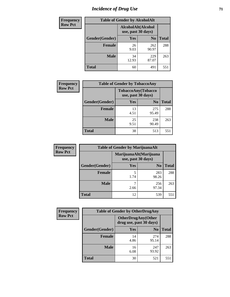# *Incidence of Drug Use* <sup>71</sup>

| <b>Frequency</b> | <b>Table of Gender by AlcoholAlt</b> |                                          |                |              |  |
|------------------|--------------------------------------|------------------------------------------|----------------|--------------|--|
| <b>Row Pct</b>   |                                      | AlcoholAlt(Alcohol<br>use, past 30 days) |                |              |  |
|                  | Gender(Gender)                       | <b>Yes</b>                               | N <sub>0</sub> | <b>Total</b> |  |
|                  | <b>Female</b>                        | 26<br>9.03                               | 262<br>90.97   | 288          |  |
|                  | <b>Male</b>                          | 34<br>12.93                              | 229<br>87.07   | 263          |  |
|                  | <b>Total</b>                         | 60                                       | 491            | 551          |  |

| <b>Frequency</b> | <b>Table of Gender by TobaccoAny</b> |                                          |                |              |  |
|------------------|--------------------------------------|------------------------------------------|----------------|--------------|--|
| <b>Row Pct</b>   |                                      | TobaccoAny(Tobacco<br>use, past 30 days) |                |              |  |
|                  | Gender(Gender)                       | Yes                                      | N <sub>0</sub> | <b>Total</b> |  |
|                  | <b>Female</b>                        | 13<br>4.51                               | 275<br>95.49   | 288          |  |
|                  | <b>Male</b>                          | 25<br>9.51                               | 238<br>90.49   | 263          |  |
|                  | <b>Total</b>                         | 38                                       | 513            | 551          |  |

| <b>Frequency</b> | <b>Table of Gender by MarijuanaAlt</b> |                                              |                |              |
|------------------|----------------------------------------|----------------------------------------------|----------------|--------------|
| <b>Row Pct</b>   |                                        | MarijuanaAlt(Marijuana<br>use, past 30 days) |                |              |
|                  | Gender(Gender)                         | <b>Yes</b>                                   | N <sub>0</sub> | <b>Total</b> |
|                  | <b>Female</b>                          | 5<br>1.74                                    | 283<br>98.26   | 288          |
|                  | <b>Male</b>                            | 2.66                                         | 256<br>97.34   | 263          |
|                  | <b>Total</b>                           | 12                                           | 539            | 551          |

| <b>Frequency</b> | <b>Table of Gender by OtherDrugAny</b> |            |                                                      |              |
|------------------|----------------------------------------|------------|------------------------------------------------------|--------------|
| <b>Row Pct</b>   |                                        |            | <b>OtherDrugAny(Other</b><br>drug use, past 30 days) |              |
|                  | <b>Gender</b> (Gender)                 | <b>Yes</b> | N <sub>0</sub>                                       | <b>Total</b> |
|                  | <b>Female</b>                          | 14<br>4.86 | 274<br>95.14                                         | 288          |
|                  | <b>Male</b>                            | 16<br>6.08 | 247<br>93.92                                         | 263          |
|                  | <b>Total</b>                           | 30         | 521                                                  | 551          |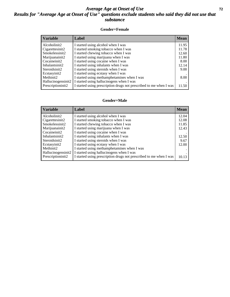### *Average Age at Onset of Use* **72** *Results for "Average Age at Onset of Use" questions exclude students who said they did not use that substance*

#### **Gender=Female**

| <b>Variable</b>                 | Label                                                              | <b>Mean</b> |
|---------------------------------|--------------------------------------------------------------------|-------------|
| Alcoholinit2                    | I started using alcohol when I was                                 | 11.95       |
| Cigarettesinit2                 | I started smoking tobacco when I was                               | 11.78       |
| Smokelessinit2                  | I started chewing tobacco when I was                               | 12.60       |
| Marijuanainit2                  | I started using marijuana when I was                               | 11.80       |
| Cocaineinit2                    | I started using cocaine when I was                                 | 8.00        |
| Inhalantsinit2                  | I started using inhalants when I was                               | 12.14       |
| Steroidsinit2                   | I started using steroids when I was                                | 9.00        |
| Ecstasyinit2                    | I started using ecstasy when I was                                 |             |
| Methinit2                       | I started using methamphetamines when I was                        | 8.00        |
| Hallucinogensinit2              | I started using hallucinogens when I was                           |             |
| Prescription in it <sub>2</sub> | I started using prescription drugs not prescribed to me when I was | 11.50       |

#### **Gender=Male**

| <b>Variable</b>                 | Label                                                              | <b>Mean</b> |
|---------------------------------|--------------------------------------------------------------------|-------------|
| Alcoholinit2                    | I started using alcohol when I was                                 | 12.04       |
| Cigarettesinit2                 | I started smoking tobacco when I was                               | 12.08       |
| Smokelessinit2                  | I started chewing tobacco when I was                               | 11.85       |
| Marijuanainit2                  | I started using marijuana when I was                               | 12.43       |
| Cocaineinit2                    | I started using cocaine when I was                                 |             |
| Inhalantsinit2                  | I started using inhalants when I was                               | 12.50       |
| Steroidsinit2                   | I started using steroids when I was                                | 9.67        |
| Ecstasyinit2                    | I started using ecstasy when I was                                 | 12.00       |
| Methinit2                       | I started using methamphetamines when I was                        |             |
| Hallucinogensinit2              | I started using hallucinogens when I was                           |             |
| Prescription in it <sub>2</sub> | I started using prescription drugs not prescribed to me when I was | 10.13       |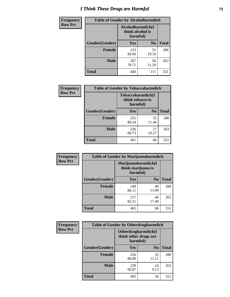# *I Think These Drugs are Harmful* **73**

| <b>Frequency</b> | <b>Table of Gender by Alcoholharmdich</b> |                                                   |                |              |
|------------------|-------------------------------------------|---------------------------------------------------|----------------|--------------|
| <b>Row Pct</b>   |                                           | Alcoholharmdich(I<br>think alcohol is<br>harmful) |                |              |
|                  | Gender(Gender)                            | <b>Yes</b>                                        | N <sub>0</sub> | <b>Total</b> |
|                  | <b>Female</b>                             | 233<br>80.90                                      | 55<br>19.10    | 288          |
|                  | <b>Male</b>                               | 207<br>78.71                                      | 56<br>21.29    | 263          |
|                  | Total                                     | 440                                               | 111            | 551          |

| Frequency      | <b>Table of Gender by Tobaccoharmdich</b> |                                                   |                |              |
|----------------|-------------------------------------------|---------------------------------------------------|----------------|--------------|
| <b>Row Pct</b> |                                           | Tobaccoharmdich(I<br>think tobacco is<br>harmful) |                |              |
|                | Gender(Gender)                            | <b>Yes</b>                                        | N <sub>0</sub> | <b>Total</b> |
|                | <b>Female</b>                             | 255<br>88.54                                      | 33<br>11.46    | 288          |
|                | <b>Male</b>                               | 236<br>89.73                                      | 27<br>10.27    | 263          |
|                | <b>Total</b>                              | 491                                               | 60             | 551          |

| Frequency      | <b>Table of Gender by Marijuanaharmdich</b> |                                                       |                |              |  |
|----------------|---------------------------------------------|-------------------------------------------------------|----------------|--------------|--|
| <b>Row Pct</b> |                                             | Marijuanaharmdich(I<br>think marijuana is<br>harmful) |                |              |  |
|                | Gender(Gender)                              | <b>Yes</b>                                            | N <sub>0</sub> | <b>Total</b> |  |
|                | <b>Female</b>                               | 248<br>86.11                                          | 40<br>13.89    | 288          |  |
|                | <b>Male</b>                                 | 217<br>82.51                                          | 46<br>17.49    | 263          |  |
|                | <b>Total</b>                                | 465                                                   | 86             | 551          |  |

| Frequency      | <b>Table of Gender by Otherdrugharmdich</b> |                                                          |                |              |
|----------------|---------------------------------------------|----------------------------------------------------------|----------------|--------------|
| <b>Row Pct</b> |                                             | Otherdrugharmdich(I<br>think other drugs are<br>harmful) |                |              |
|                | Gender(Gender)                              | Yes                                                      | N <sub>0</sub> | <b>Total</b> |
|                | <b>Female</b>                               | 256<br>88.89                                             | 32<br>11.11    | 288          |
|                | <b>Male</b>                                 | 239<br>90.87                                             | 24<br>9.13     | 263          |
|                | <b>Total</b>                                | 495                                                      | 56             | 551          |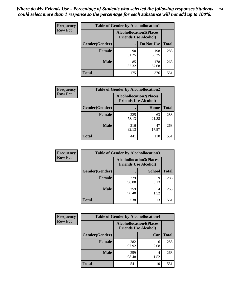| <b>Frequency</b> | <b>Table of Gender by Alcohollocation1</b> |             |                                                               |              |
|------------------|--------------------------------------------|-------------|---------------------------------------------------------------|--------------|
| <b>Row Pct</b>   |                                            |             | <b>Alcohollocation1(Places</b><br><b>Friends Use Alcohol)</b> |              |
|                  | Gender(Gender)                             |             | Do Not Use                                                    | <b>Total</b> |
|                  | <b>Female</b>                              | 90<br>31.25 | 198<br>68.75                                                  | 288          |
|                  | <b>Male</b>                                | 85<br>32.32 | 178<br>67.68                                                  | 263          |
|                  | <b>Total</b>                               | 175         | 376                                                           | 551          |

| <b>Frequency</b> | <b>Table of Gender by Alcohollocation2</b> |                                                               |             |              |
|------------------|--------------------------------------------|---------------------------------------------------------------|-------------|--------------|
| <b>Row Pct</b>   |                                            | <b>Alcohollocation2(Places</b><br><b>Friends Use Alcohol)</b> |             |              |
|                  | Gender(Gender)                             |                                                               | Home        | <b>Total</b> |
|                  | <b>Female</b>                              | 225<br>78.13                                                  | 63<br>21.88 | 288          |
|                  | <b>Male</b>                                | 216<br>82.13                                                  | 47<br>17.87 | 263          |
|                  | <b>Total</b>                               | 441                                                           | 110         | 551          |

| Frequency      | <b>Table of Gender by Alcohollocation3</b> |              |                                                               |              |
|----------------|--------------------------------------------|--------------|---------------------------------------------------------------|--------------|
| <b>Row Pct</b> |                                            |              | <b>Alcohollocation3(Places</b><br><b>Friends Use Alcohol)</b> |              |
|                | Gender(Gender)                             |              | <b>School</b>                                                 | <b>Total</b> |
|                | <b>Female</b>                              | 279<br>96.88 | q<br>3.13                                                     | 288          |
|                | <b>Male</b>                                | 259<br>98.48 | 1.52                                                          | 263          |
|                | <b>Total</b>                               | 538          | 13                                                            | 551          |

| Frequency      | <b>Table of Gender by Alcohollocation4</b> |                                                               |           |              |
|----------------|--------------------------------------------|---------------------------------------------------------------|-----------|--------------|
| <b>Row Pct</b> |                                            | <b>Alcohollocation4(Places</b><br><b>Friends Use Alcohol)</b> |           |              |
|                | Gender(Gender)                             |                                                               | Car       | <b>Total</b> |
|                | <b>Female</b>                              | 282<br>97.92                                                  | 6<br>2.08 | 288          |
|                | <b>Male</b>                                | 259<br>98.48                                                  | 1.52      | 263          |
|                | <b>Total</b>                               | 541                                                           | 10        | 551          |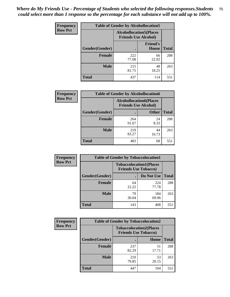| <b>Frequency</b> | <b>Table of Gender by Alcohollocation5</b> |                                                                |                                 |              |
|------------------|--------------------------------------------|----------------------------------------------------------------|---------------------------------|--------------|
| <b>Row Pct</b>   |                                            | <b>Alcohollocation5</b> (Places<br><b>Friends Use Alcohol)</b> |                                 |              |
|                  | Gender(Gender)                             |                                                                | <b>Friend's</b><br><b>House</b> | <b>Total</b> |
|                  | <b>Female</b>                              | 222<br>77.08                                                   | 66<br>22.92                     | 288          |
|                  | <b>Male</b>                                | 215<br>81.75                                                   | 48<br>18.25                     | 263          |
|                  | <b>Total</b>                               | 437                                                            | 114                             | 551          |

| <b>Frequency</b> | <b>Table of Gender by Alcohollocation6</b> |                                                               |              |              |
|------------------|--------------------------------------------|---------------------------------------------------------------|--------------|--------------|
| <b>Row Pct</b>   |                                            | <b>Alcohollocation6(Places</b><br><b>Friends Use Alcohol)</b> |              |              |
|                  | Gender(Gender)                             |                                                               | <b>Other</b> | <b>Total</b> |
|                  | Female                                     | 264<br>91.67                                                  | 24<br>8.33   | 288          |
|                  | <b>Male</b>                                | 219<br>83.27                                                  | 44<br>16.73  | 263          |
|                  | <b>Total</b>                               | 483                                                           | 68           | 551          |

| Frequency      | <b>Table of Gender by Tobaccolocation1</b> |                                                               |              |              |  |
|----------------|--------------------------------------------|---------------------------------------------------------------|--------------|--------------|--|
| <b>Row Pct</b> |                                            | <b>Tobaccolocation1(Places</b><br><b>Friends Use Tobacco)</b> |              |              |  |
|                | Gender(Gender)                             |                                                               | Do Not Use   | <b>Total</b> |  |
|                | Female                                     | 64<br>22.22                                                   | 224<br>77.78 | 288          |  |
|                | <b>Male</b>                                | 79<br>30.04                                                   | 184<br>69.96 | 263          |  |
|                | <b>Total</b>                               | 143                                                           | 408          | 551          |  |

| <b>Frequency</b> | <b>Table of Gender by Tobaccolocation2</b> |                                                               |             |              |
|------------------|--------------------------------------------|---------------------------------------------------------------|-------------|--------------|
| <b>Row Pct</b>   |                                            | <b>Tobaccolocation2(Places</b><br><b>Friends Use Tobacco)</b> |             |              |
|                  | Gender(Gender)                             |                                                               | <b>Home</b> | <b>Total</b> |
|                  | Female                                     | 237<br>82.29                                                  | 51<br>17.71 | 288          |
|                  | <b>Male</b>                                | 210<br>79.85                                                  | 53<br>20.15 | 263          |
|                  | <b>Total</b>                               | 447                                                           | 104         | 551          |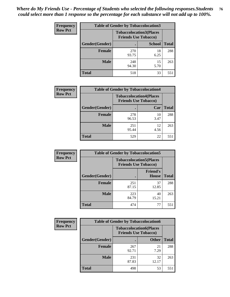| <b>Frequency</b> | <b>Table of Gender by Tobaccolocation3</b> |                             |                                |              |  |
|------------------|--------------------------------------------|-----------------------------|--------------------------------|--------------|--|
| <b>Row Pct</b>   |                                            | <b>Friends Use Tobacco)</b> | <b>Tobaccolocation3(Places</b> |              |  |
|                  | Gender(Gender)                             |                             | <b>School</b>                  | <b>Total</b> |  |
|                  | <b>Female</b>                              | 270<br>93.75                | 18<br>6.25                     | 288          |  |
|                  | <b>Male</b>                                | 248<br>94.30                | 15<br>5.70                     | 263          |  |
|                  | <b>Total</b>                               | 518                         | 33                             | 551          |  |

| <b>Frequency</b> | <b>Table of Gender by Tobaccolocation4</b> |              |                                                               |              |
|------------------|--------------------------------------------|--------------|---------------------------------------------------------------|--------------|
| <b>Row Pct</b>   |                                            |              | <b>Tobaccolocation4(Places</b><br><b>Friends Use Tobacco)</b> |              |
|                  | Gender(Gender)                             |              | Car                                                           | <b>Total</b> |
|                  | Female                                     | 278<br>96.53 | 10<br>3.47                                                    | 288          |
|                  | <b>Male</b>                                | 251<br>95.44 | 12<br>4.56                                                    | 263          |
|                  | <b>Total</b>                               | 529          | 22                                                            | 551          |

| <b>Frequency</b> | <b>Table of Gender by Tobaccolocation5</b> |                             |                                 |              |
|------------------|--------------------------------------------|-----------------------------|---------------------------------|--------------|
| <b>Row Pct</b>   |                                            | <b>Friends Use Tobacco)</b> | <b>Tobaccolocation5(Places</b>  |              |
|                  | Gender(Gender)                             |                             | <b>Friend's</b><br><b>House</b> | <b>Total</b> |
|                  | <b>Female</b>                              | 251<br>87.15                | 37<br>12.85                     | 288          |
|                  | <b>Male</b>                                | 223<br>84.79                | 40<br>15.21                     | 263          |
|                  | <b>Total</b>                               | 474                         | 77                              | 551          |

| <b>Frequency</b> | <b>Table of Gender by Tobaccolocation6</b> |                                                               |              |              |
|------------------|--------------------------------------------|---------------------------------------------------------------|--------------|--------------|
| <b>Row Pct</b>   |                                            | <b>Tobaccolocation6(Places</b><br><b>Friends Use Tobacco)</b> |              |              |
|                  | Gender(Gender)                             |                                                               | <b>Other</b> | <b>Total</b> |
|                  | Female                                     | 267<br>92.71                                                  | 21<br>7.29   | 288          |
|                  | <b>Male</b>                                | 231<br>87.83                                                  | 32<br>12.17  | 263          |
|                  | <b>Total</b>                               | 498                                                           | 53           | 551          |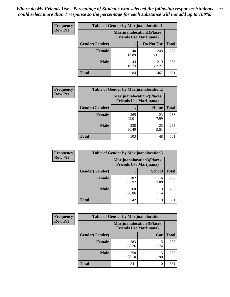| <b>Frequency</b> | <b>Table of Gender by Marijuanalocation1</b> |                                                                    |              |              |  |
|------------------|----------------------------------------------|--------------------------------------------------------------------|--------------|--------------|--|
| <b>Row Pct</b>   |                                              | <b>Marijuanalocation1(Places</b><br><b>Friends Use Marijuana</b> ) |              |              |  |
|                  | Gender(Gender)                               |                                                                    | Do Not Use   | <b>Total</b> |  |
|                  | <b>Female</b>                                | 40<br>13.89                                                        | 248<br>86.11 | 288          |  |
|                  | <b>Male</b>                                  | 44<br>16.73                                                        | 219<br>83.27 | 263          |  |
|                  | <b>Total</b>                                 | 84                                                                 | 467          | 551          |  |

| <b>Frequency</b> | <b>Table of Gender by Marijuanalocation2</b> |                                                                    |            |              |
|------------------|----------------------------------------------|--------------------------------------------------------------------|------------|--------------|
| <b>Row Pct</b>   |                                              | <b>Marijuanalocation2(Places</b><br><b>Friends Use Marijuana</b> ) |            |              |
|                  | Gender(Gender)                               |                                                                    | Home       | <b>Total</b> |
|                  | <b>Female</b>                                | 265<br>92.01                                                       | 23<br>7.99 | 288          |
|                  | <b>Male</b>                                  | 238<br>90.49                                                       | 25<br>9.51 | 263          |
|                  | <b>Total</b>                                 | 503                                                                | 48         | 551          |

| Frequency      | <b>Table of Gender by Marijuanalocation3</b> |                                                                    |               |              |
|----------------|----------------------------------------------|--------------------------------------------------------------------|---------------|--------------|
| <b>Row Pct</b> |                                              | <b>Marijuanalocation3(Places</b><br><b>Friends Use Marijuana</b> ) |               |              |
|                | Gender(Gender)                               |                                                                    | <b>School</b> | <b>Total</b> |
|                | Female                                       | 282<br>97.92                                                       | 6<br>2.08     | 288          |
|                | <b>Male</b>                                  | 260<br>98.86                                                       | 3<br>1.14     | 263          |
|                | <b>Total</b>                                 | 542                                                                | Q             | 551          |

| Frequency      | <b>Table of Gender by Marijuanalocation4</b> |                                |                                  |              |
|----------------|----------------------------------------------|--------------------------------|----------------------------------|--------------|
| <b>Row Pct</b> |                                              | <b>Friends Use Marijuana</b> ) | <b>Marijuanalocation4(Places</b> |              |
|                | Gender(Gender)                               |                                | Car                              | <b>Total</b> |
|                | <b>Female</b>                                | 283<br>98.26                   | 1.74                             | 288          |
|                | <b>Male</b>                                  | 258<br>98.10                   | 1.90                             | 263          |
|                | <b>Total</b>                                 | 541                            | 10                               | 551          |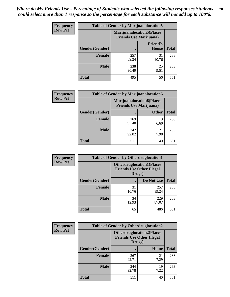| <b>Frequency</b> | <b>Table of Gender by Marijuanalocation5</b> |                                                                     |                                 |              |
|------------------|----------------------------------------------|---------------------------------------------------------------------|---------------------------------|--------------|
| <b>Row Pct</b>   |                                              | <b>Marijuanalocation5</b> (Places<br><b>Friends Use Marijuana</b> ) |                                 |              |
|                  | Gender(Gender)                               |                                                                     | <b>Friend's</b><br><b>House</b> | <b>Total</b> |
|                  | <b>Female</b>                                | 257<br>89.24                                                        | 31<br>10.76                     | 288          |
|                  | <b>Male</b>                                  | 238<br>90.49                                                        | 25<br>9.51                      | 263          |
|                  | <b>Total</b>                                 | 495                                                                 | 56                              | 551          |

| <b>Frequency</b> | <b>Table of Gender by Marijuanalocation6</b> |                                |                                  |              |  |
|------------------|----------------------------------------------|--------------------------------|----------------------------------|--------------|--|
| <b>Row Pct</b>   |                                              | <b>Friends Use Marijuana</b> ) | <b>Marijuanalocation6(Places</b> |              |  |
|                  | Gender(Gender)                               |                                | <b>Other</b>                     | <b>Total</b> |  |
|                  | <b>Female</b>                                | 269<br>93.40                   | 19<br>6.60                       | 288          |  |
|                  | <b>Male</b>                                  | 242<br>92.02                   | 21<br>7.98                       | 263          |  |
|                  | <b>Total</b>                                 | 511                            | 40                               | 551          |  |

| <b>Frequency</b> | <b>Table of Gender by Otherdruglocation1</b> |                                                                                |              |              |
|------------------|----------------------------------------------|--------------------------------------------------------------------------------|--------------|--------------|
| <b>Row Pct</b>   |                                              | <b>Otherdruglocation1(Places</b><br><b>Friends Use Other Illegal</b><br>Drugs) |              |              |
|                  | <b>Gender</b> (Gender)                       |                                                                                | Do Not Use   | <b>Total</b> |
|                  | <b>Female</b>                                | 31<br>10.76                                                                    | 257<br>89.24 | 288          |
|                  | <b>Male</b>                                  | 34<br>12.93                                                                    | 229<br>87.07 | 263          |
|                  | <b>Total</b>                                 | 65                                                                             | 486          | 551          |

| Frequency      | <b>Table of Gender by Otherdruglocation2</b> |                                                                                |            |              |
|----------------|----------------------------------------------|--------------------------------------------------------------------------------|------------|--------------|
| <b>Row Pct</b> |                                              | <b>Otherdruglocation2(Places</b><br><b>Friends Use Other Illegal</b><br>Drugs) |            |              |
|                | Gender(Gender)                               |                                                                                | Home       | <b>Total</b> |
|                | <b>Female</b>                                | 267<br>92.71                                                                   | 21<br>7.29 | 288          |
|                | <b>Male</b>                                  | 244<br>92.78                                                                   | 19<br>7.22 | 263          |
|                | <b>Total</b>                                 | 511                                                                            | 40         | 551          |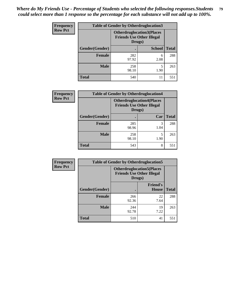| Frequency      | <b>Table of Gender by Otherdruglocation3</b> |                                                                                |               |              |
|----------------|----------------------------------------------|--------------------------------------------------------------------------------|---------------|--------------|
| <b>Row Pct</b> |                                              | <b>Otherdruglocation3(Places</b><br><b>Friends Use Other Illegal</b><br>Drugs) |               |              |
|                | Gender(Gender)                               |                                                                                | <b>School</b> | <b>Total</b> |
|                | Female                                       | 282<br>97.92                                                                   | 6<br>2.08     | 288          |
|                | <b>Male</b>                                  | 258<br>98.10                                                                   | 1.90          | 263          |
|                | <b>Total</b>                                 | 540                                                                            | 11            | 551          |

| Frequency      | <b>Table of Gender by Otherdruglocation4</b> |                                            |                                  |              |
|----------------|----------------------------------------------|--------------------------------------------|----------------------------------|--------------|
| <b>Row Pct</b> |                                              | <b>Friends Use Other Illegal</b><br>Drugs) | <b>Otherdruglocation4(Places</b> |              |
|                | Gender(Gender)                               |                                            | Car                              | <b>Total</b> |
|                | <b>Female</b>                                | 285<br>98.96                               | 3<br>1.04                        | 288          |
|                | <b>Male</b>                                  | 258<br>98.10                               | 5<br>1.90                        | 263          |
|                | <b>Total</b>                                 | 543                                        | 8                                | 551          |

| Frequency      | <b>Table of Gender by Otherdruglocation5</b> |                                                                                |                                 |              |
|----------------|----------------------------------------------|--------------------------------------------------------------------------------|---------------------------------|--------------|
| <b>Row Pct</b> |                                              | <b>Otherdruglocation5(Places</b><br><b>Friends Use Other Illegal</b><br>Drugs) |                                 |              |
|                | Gender(Gender)                               |                                                                                | <b>Friend's</b><br><b>House</b> | <b>Total</b> |
|                | <b>Female</b>                                | 266<br>92.36                                                                   | 22<br>7.64                      | 288          |
|                | <b>Male</b>                                  | 244<br>92.78                                                                   | 19<br>7.22                      | 263          |
|                | <b>Total</b>                                 | 510                                                                            | 41                              | 551          |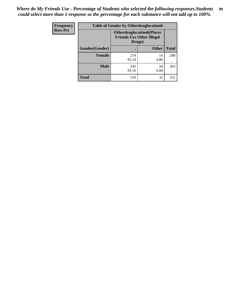| Frequency      | <b>Table of Gender by Otherdruglocation6</b> |                                                                                |              |              |
|----------------|----------------------------------------------|--------------------------------------------------------------------------------|--------------|--------------|
| <b>Row Pct</b> |                                              | <b>Otherdruglocation6(Places</b><br><b>Friends Use Other Illegal</b><br>Drugs) |              |              |
|                | Gender(Gender)                               |                                                                                | <b>Other</b> | <b>Total</b> |
|                | <b>Female</b>                                | 274<br>95.14                                                                   | 14<br>4.86   | 288          |
|                | <b>Male</b>                                  | 245<br>93.16                                                                   | 18<br>6.84   | 263          |
|                | <b>Total</b>                                 | 519                                                                            | 32           | 551          |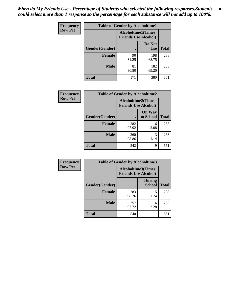| <b>Frequency</b> | <b>Table of Gender by Alcoholtime1</b> |                                                          |                      |              |
|------------------|----------------------------------------|----------------------------------------------------------|----------------------|--------------|
| <b>Row Pct</b>   |                                        | <b>Alcoholtime1(Times</b><br><b>Friends Use Alcohol)</b> |                      |              |
|                  | <b>Gender</b> (Gender)                 |                                                          | Do Not<br><b>Use</b> | <b>Total</b> |
|                  | <b>Female</b>                          | 90<br>31.25                                              | 198<br>68.75         | 288          |
|                  | <b>Male</b>                            | 81<br>30.80                                              | 182<br>69.20         | 263          |
|                  | <b>Total</b>                           | 171                                                      | 380                  | 551          |

| <b>Frequency</b> | <b>Table of Gender by Alcoholtime2</b> |                                                          |                            |              |
|------------------|----------------------------------------|----------------------------------------------------------|----------------------------|--------------|
| <b>Row Pct</b>   |                                        | <b>Alcoholtime2(Times</b><br><b>Friends Use Alcohol)</b> |                            |              |
|                  | Gender(Gender)                         |                                                          | <b>On Way</b><br>to School | <b>Total</b> |
|                  | <b>Female</b>                          | 282<br>97.92                                             | 6<br>2.08                  | 288          |
|                  | <b>Male</b>                            | 260<br>98.86                                             | 3<br>1.14                  | 263          |
|                  | <b>Total</b>                           | 542                                                      | 9                          | 551          |

| Frequency      | <b>Table of Gender by Alcoholtime3</b> |                                                          |                                |              |
|----------------|----------------------------------------|----------------------------------------------------------|--------------------------------|--------------|
| <b>Row Pct</b> |                                        | <b>Alcoholtime3(Times</b><br><b>Friends Use Alcohol)</b> |                                |              |
|                | Gender(Gender)                         |                                                          | <b>During</b><br><b>School</b> | <b>Total</b> |
|                | <b>Female</b>                          | 283<br>98.26                                             | 5<br>1.74                      | 288          |
|                | <b>Male</b>                            | 257<br>97.72                                             | 6<br>2.28                      | 263          |
|                | <b>Total</b>                           | 540                                                      | 11                             | 551          |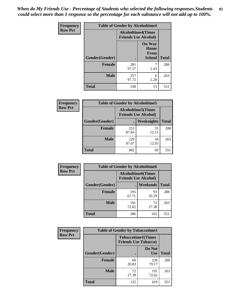*When do My Friends Use - Percentage of Students who selected the following responses.Students could select more than 1 response so the percentage for each substance will not add up to 100%.* **82**

| Frequency      | <b>Table of Gender by Alcoholtime4</b> |                                                          |                                         |              |
|----------------|----------------------------------------|----------------------------------------------------------|-----------------------------------------|--------------|
| <b>Row Pct</b> |                                        | <b>Alcoholtime4(Times</b><br><b>Friends Use Alcohol)</b> |                                         |              |
|                | Gender(Gender)                         |                                                          | <b>On Way</b><br>Home<br>From<br>School | <b>Total</b> |
|                | <b>Female</b>                          | 281<br>97.57                                             | 7<br>2.43                               | 288          |
|                | <b>Male</b>                            | 257<br>97.72                                             | 6<br>2.28                               | 263          |
|                | <b>Total</b>                           | 538                                                      | 13                                      | 551          |

| <b>Frequency</b> | <b>Table of Gender by Alcoholtime5</b>                    |              |             |              |  |
|------------------|-----------------------------------------------------------|--------------|-------------|--------------|--|
| <b>Row Pct</b>   | <b>Alcoholtime5</b> (Times<br><b>Friends Use Alcohol)</b> |              |             |              |  |
|                  | Gender(Gender)                                            |              | Weeknights  | <b>Total</b> |  |
|                  | <b>Female</b>                                             | 253<br>87.85 | 35<br>12.15 | 288          |  |
|                  | <b>Male</b>                                               | 229<br>87.07 | 34<br>12.93 | 263          |  |
|                  | <b>Total</b>                                              | 482          | 69          | 551          |  |

| <b>Frequency</b> |                | <b>Table of Gender by Alcoholtime6</b>                    |             |              |
|------------------|----------------|-----------------------------------------------------------|-------------|--------------|
| <b>Row Pct</b>   |                | <b>Alcoholtime6</b> (Times<br><b>Friends Use Alcohol)</b> |             |              |
|                  | Gender(Gender) |                                                           | Weekends    | <b>Total</b> |
|                  | Female         | 195<br>67.71                                              | 93<br>32.29 | 288          |
|                  | <b>Male</b>    | 191<br>72.62                                              | 72<br>27.38 | 263          |
|                  | <b>Total</b>   | 386                                                       | 165         | 551          |

| Frequency      | <b>Table of Gender by Tobaccotime1</b> |                                                          |                      |              |
|----------------|----------------------------------------|----------------------------------------------------------|----------------------|--------------|
| <b>Row Pct</b> |                                        | <b>Tobaccotime1(Times</b><br><b>Friends Use Tobacco)</b> |                      |              |
|                | Gender(Gender)                         |                                                          | Do Not<br><b>Use</b> | <b>Total</b> |
|                | <b>Female</b>                          | 60<br>20.83                                              | 228<br>79.17         | 288          |
|                | <b>Male</b>                            | 72<br>27.38                                              | 191<br>72.62         | 263          |
|                | <b>Total</b>                           | 132                                                      | 419                  | 551          |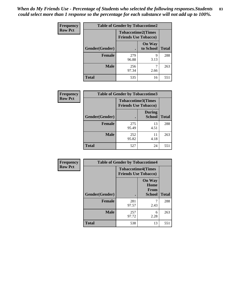| <b>Frequency</b> | <b>Table of Gender by Tobaccotime2</b> |                                                          |                            |              |
|------------------|----------------------------------------|----------------------------------------------------------|----------------------------|--------------|
| <b>Row Pct</b>   |                                        | <b>Tobaccotime2(Times</b><br><b>Friends Use Tobacco)</b> |                            |              |
|                  | Gender(Gender)                         | $\bullet$                                                | <b>On Way</b><br>to School | <b>Total</b> |
|                  | Female                                 | 279<br>96.88                                             | 9<br>3.13                  | 288          |
|                  | <b>Male</b>                            | 256<br>97.34                                             | 2.66                       | 263          |
|                  | <b>Total</b>                           | 535                                                      | 16                         | 551          |

| <b>Frequency</b> | <b>Table of Gender by Tobaccotime3</b> |                                                          |                                |              |
|------------------|----------------------------------------|----------------------------------------------------------|--------------------------------|--------------|
| <b>Row Pct</b>   |                                        | <b>Tobaccotime3(Times</b><br><b>Friends Use Tobacco)</b> |                                |              |
|                  | Gender(Gender)                         |                                                          | <b>During</b><br><b>School</b> | <b>Total</b> |
|                  | <b>Female</b>                          | 275<br>95.49                                             | 13<br>4.51                     | 288          |
|                  | <b>Male</b>                            | 252<br>95.82                                             | 11<br>4.18                     | 263          |
|                  | <b>Total</b>                           | 527                                                      | 24                             | 551          |

| <b>Frequency</b> | <b>Table of Gender by Tobaccotime4</b> |                                                          |                                                |              |
|------------------|----------------------------------------|----------------------------------------------------------|------------------------------------------------|--------------|
| <b>Row Pct</b>   |                                        | <b>Tobaccotime4(Times</b><br><b>Friends Use Tobacco)</b> |                                                |              |
|                  | Gender(Gender)                         |                                                          | <b>On Way</b><br>Home<br>From<br><b>School</b> | <b>Total</b> |
|                  | <b>Female</b>                          | 281<br>97.57                                             | 2.43                                           | 288          |
|                  | <b>Male</b>                            | 257<br>97.72                                             | 6<br>2.28                                      | 263          |
|                  | <b>Total</b>                           | 538                                                      | 13                                             | 551          |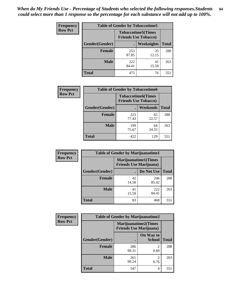| <b>Frequency</b> | <b>Table of Gender by Tobaccotime5</b> |                                                          |             |              |  |
|------------------|----------------------------------------|----------------------------------------------------------|-------------|--------------|--|
| <b>Row Pct</b>   |                                        | <b>Tobaccotime5(Times</b><br><b>Friends Use Tobacco)</b> |             |              |  |
|                  | <b>Gender</b> (Gender)                 |                                                          | Weeknights  | <b>Total</b> |  |
|                  | Female                                 | 253<br>87.85                                             | 35<br>12.15 | 288          |  |
|                  | <b>Male</b>                            | 222<br>84.41                                             | 41<br>15.59 | 263          |  |
|                  | <b>Total</b>                           | 475                                                      | 76          | 551          |  |

| <b>Frequency</b> | <b>Table of Gender by Tobaccotime6</b> |                                                          |             |              |
|------------------|----------------------------------------|----------------------------------------------------------|-------------|--------------|
| <b>Row Pct</b>   |                                        | <b>Tobaccotime6(Times</b><br><b>Friends Use Tobacco)</b> |             |              |
|                  | Gender(Gender)                         |                                                          | Weekends    | <b>Total</b> |
|                  | <b>Female</b>                          | 223<br>77.43                                             | 65<br>22.57 | 288          |
|                  | <b>Male</b>                            | 199<br>75.67                                             | 64<br>24.33 | 263          |
|                  | <b>Total</b>                           | 422                                                      | 129         | 551          |

| <b>Frequency</b> | <b>Table of Gender by Marijuanatime1</b> |                                |                      |              |
|------------------|------------------------------------------|--------------------------------|----------------------|--------------|
| <b>Row Pct</b>   |                                          | <b>Friends Use Marijuana</b> ) | Marijuanatime1(Times |              |
|                  | Gender(Gender)                           |                                | Do Not Use           | <b>Total</b> |
|                  | <b>Female</b>                            | 42<br>14.58                    | 246<br>85.42         | 288          |
|                  | <b>Male</b>                              | 41<br>15.59                    | 222<br>84.41         | 263          |
|                  | <b>Total</b>                             | 83                             | 468                  | 551          |

| <b>Frequency</b> | <b>Table of Gender by Marijuanatime2</b>                      |              |                            |              |
|------------------|---------------------------------------------------------------|--------------|----------------------------|--------------|
| <b>Row Pct</b>   | <b>Marijuanatime2(Times</b><br><b>Friends Use Marijuana</b> ) |              |                            |              |
|                  | Gender(Gender)                                                |              | On Way to<br><b>School</b> | <b>Total</b> |
|                  | Female                                                        | 286<br>99.31 | $\mathfrak{D}$<br>0.69     | 288          |
|                  | <b>Male</b>                                                   | 261<br>99.24 | 2<br>0.76                  | 263          |
|                  | <b>Total</b>                                                  | 547          | 4                          | 551          |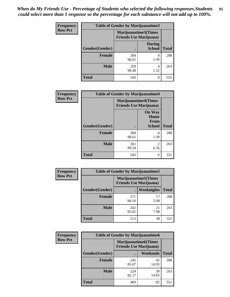| <b>Frequency</b> | <b>Table of Gender by Marijuanatime3</b> |                                                        |                                |              |
|------------------|------------------------------------------|--------------------------------------------------------|--------------------------------|--------------|
| <b>Row Pct</b>   |                                          | Marijuanatime3(Times<br><b>Friends Use Marijuana</b> ) |                                |              |
|                  | Gender(Gender)                           |                                                        | <b>During</b><br><b>School</b> | <b>Total</b> |
|                  | <b>Female</b>                            | 284<br>98.61                                           | 4<br>1.39                      | 288          |
|                  | <b>Male</b>                              | 259<br>98.48                                           | 4<br>1.52                      | 263          |
|                  | <b>Total</b>                             | 543                                                    | 8                              | 551          |

| Frequency      | <b>Table of Gender by Marijuanatime4</b> |                                |                                                       |              |
|----------------|------------------------------------------|--------------------------------|-------------------------------------------------------|--------------|
| <b>Row Pct</b> |                                          | <b>Friends Use Marijuana</b> ) | <b>Marijuanatime4</b> (Times                          |              |
|                | Gender(Gender)                           |                                | <b>On Way</b><br>Home<br><b>From</b><br><b>School</b> | <b>Total</b> |
|                | <b>Female</b>                            | 284<br>98.61                   | 4<br>1.39                                             | 288          |
|                | <b>Male</b>                              | 261<br>99.24                   | 2<br>0.76                                             | 263          |
|                | <b>Total</b>                             | 545                            | 6                                                     | 551          |

| Frequency      | <b>Table of Gender by Marijuanatime5</b> |              |                                                                |              |  |
|----------------|------------------------------------------|--------------|----------------------------------------------------------------|--------------|--|
| <b>Row Pct</b> |                                          |              | <b>Marijuanatime5</b> (Times<br><b>Friends Use Marijuana</b> ) |              |  |
|                | Gender(Gender)                           | ٠            | Weeknights                                                     | <b>Total</b> |  |
|                | <b>Female</b>                            | 271<br>94.10 | 17<br>5.90                                                     | 288          |  |
|                | <b>Male</b>                              | 242<br>92.02 | 21<br>7.98                                                     | 263          |  |
|                | <b>Total</b>                             | 513          | 38                                                             | 551          |  |

| Frequency      | <b>Table of Gender by Marijuanatime6</b> |                                                               |                 |              |
|----------------|------------------------------------------|---------------------------------------------------------------|-----------------|--------------|
| <b>Row Pct</b> |                                          | <b>Marijuanatime6(Times</b><br><b>Friends Use Marijuana</b> ) |                 |              |
|                | Gender(Gender)                           |                                                               | <b>Weekends</b> | <b>Total</b> |
|                | <b>Female</b>                            | 245<br>85.07                                                  | 43<br>14.93     | 288          |
|                | <b>Male</b>                              | 224<br>85.17                                                  | 39<br>14.83     | 263          |
|                | <b>Total</b>                             | 469                                                           | 82              | 551          |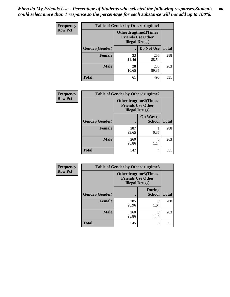| <b>Frequency</b> | <b>Table of Gender by Otherdrugtime1</b> |                                                                                    |              |              |
|------------------|------------------------------------------|------------------------------------------------------------------------------------|--------------|--------------|
| <b>Row Pct</b>   |                                          | <b>Otherdrugtime1</b> (Times<br><b>Friends Use Other</b><br><b>Illegal Drugs</b> ) |              |              |
|                  | Gender(Gender)                           |                                                                                    | Do Not Use   | <b>Total</b> |
|                  | <b>Female</b>                            | 33<br>11.46                                                                        | 255<br>88.54 | 288          |
|                  | <b>Male</b>                              | 28<br>10.65                                                                        | 235<br>89.35 | 263          |
|                  | <b>Total</b>                             | 61                                                                                 | 490          | 551          |

| Frequency      | <b>Table of Gender by Otherdrugtime2</b> |                                                                                   |                            |              |  |
|----------------|------------------------------------------|-----------------------------------------------------------------------------------|----------------------------|--------------|--|
| <b>Row Pct</b> |                                          | <b>Otherdrugtime2(Times</b><br><b>Friends Use Other</b><br><b>Illegal Drugs</b> ) |                            |              |  |
|                | Gender(Gender)                           |                                                                                   | On Way to<br><b>School</b> | <b>Total</b> |  |
|                | <b>Female</b>                            | 287<br>99.65                                                                      | 0.35                       | 288          |  |
|                | <b>Male</b>                              | 260<br>98.86                                                                      | 3<br>1.14                  | 263          |  |
|                | <b>Total</b>                             | 547                                                                               | 4                          | 551          |  |

| Frequency      | <b>Table of Gender by Otherdrugtime3</b> |                                                                                   |                                |              |  |
|----------------|------------------------------------------|-----------------------------------------------------------------------------------|--------------------------------|--------------|--|
| <b>Row Pct</b> |                                          | <b>Otherdrugtime3(Times</b><br><b>Friends Use Other</b><br><b>Illegal Drugs</b> ) |                                |              |  |
|                | Gender(Gender)                           |                                                                                   | <b>During</b><br><b>School</b> | <b>Total</b> |  |
|                | <b>Female</b>                            | 285<br>98.96                                                                      | 3<br>1.04                      | 288          |  |
|                | <b>Male</b>                              | 260<br>98.86                                                                      | 3<br>1.14                      | 263          |  |
|                | <b>Total</b>                             | 545                                                                               | 6                              | 551          |  |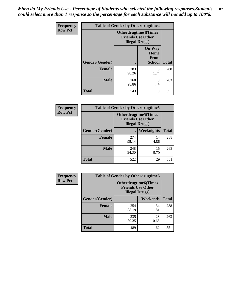*When do My Friends Use - Percentage of Students who selected the following responses.Students could select more than 1 response so the percentage for each substance will not add up to 100%.* **87**

| Frequency      |                |                        | <b>Table of Gender by Otherdrugtime4</b>                |              |  |
|----------------|----------------|------------------------|---------------------------------------------------------|--------------|--|
| <b>Row Pct</b> |                | <b>Illegal Drugs</b> ) | <b>Otherdrugtime4(Times</b><br><b>Friends Use Other</b> |              |  |
|                | Gender(Gender) |                        | <b>On Way</b><br>Home<br><b>From</b><br><b>School</b>   | <b>Total</b> |  |
|                | <b>Female</b>  | 283<br>98.26           | 5<br>1.74                                               | 288          |  |
|                | <b>Male</b>    | 260<br>98.86           | 3<br>1.14                                               | 263          |  |
|                | <b>Total</b>   | 543                    | 8                                                       | 551          |  |

| <b>Frequency</b> | <b>Table of Gender by Otherdrugtime5</b> |                                                                                    |            |              |
|------------------|------------------------------------------|------------------------------------------------------------------------------------|------------|--------------|
| <b>Row Pct</b>   |                                          | <b>Otherdrugtime5</b> (Times<br><b>Friends Use Other</b><br><b>Illegal Drugs</b> ) |            |              |
|                  | Gender(Gender)                           |                                                                                    | Weeknights | <b>Total</b> |
|                  | <b>Female</b>                            | 274<br>95.14                                                                       | 14<br>4.86 | 288          |
|                  | <b>Male</b>                              | 248<br>94.30                                                                       | 15<br>5.70 | 263          |
|                  | Total                                    | 522                                                                                | 29         | 551          |

| <b>Frequency</b> | <b>Table of Gender by Otherdrugtime6</b> |                                                                                   |             |              |  |
|------------------|------------------------------------------|-----------------------------------------------------------------------------------|-------------|--------------|--|
| <b>Row Pct</b>   |                                          | <b>Otherdrugtime6(Times</b><br><b>Friends Use Other</b><br><b>Illegal Drugs</b> ) |             |              |  |
|                  | Gender(Gender)                           |                                                                                   | Weekends    | <b>Total</b> |  |
|                  | <b>Female</b>                            | 254<br>88.19                                                                      | 34<br>11.81 | 288          |  |
|                  | <b>Male</b>                              | 235<br>89.35                                                                      | 28<br>10.65 | 263          |  |
|                  | <b>Total</b>                             | 489                                                                               | 62          | 551          |  |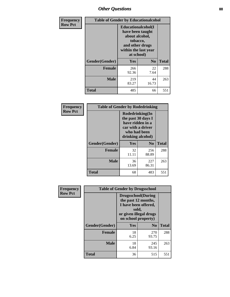## *Other Questions* **88**

| <b>Frequency</b> | <b>Table of Gender by Educationalcohol</b> |                                                                                                                               |                |              |
|------------------|--------------------------------------------|-------------------------------------------------------------------------------------------------------------------------------|----------------|--------------|
| <b>Row Pct</b>   |                                            | Educationalcohol(I<br>have been taught<br>about alcohol,<br>tobacco,<br>and other drugs<br>within the last year<br>at school) |                |              |
|                  | Gender(Gender)                             | <b>Yes</b>                                                                                                                    | N <sub>0</sub> | <b>Total</b> |
|                  | <b>Female</b>                              | 266<br>92.36                                                                                                                  | 22<br>7.64     | 288          |
|                  | <b>Male</b>                                | 219<br>83.27                                                                                                                  | 44<br>16.73    | 263          |
|                  | <b>Total</b>                               | 485                                                                                                                           | 66             | 551          |

| Frequency      | <b>Table of Gender by Rodedrinking</b> |                                                                                                                     |                |              |
|----------------|----------------------------------------|---------------------------------------------------------------------------------------------------------------------|----------------|--------------|
| <b>Row Pct</b> |                                        | Rodedrinking(In<br>the past 30 days I<br>have ridden in a<br>car with a driver<br>who had been<br>drinking alcohol) |                |              |
|                | Gender(Gender)                         | Yes                                                                                                                 | N <sub>0</sub> | <b>Total</b> |
|                | <b>Female</b>                          | 32<br>11.11                                                                                                         | 256<br>88.89   | 288          |
|                | <b>Male</b>                            | 36<br>13.69                                                                                                         | 227<br>86.31   | 263          |
|                | <b>Total</b>                           | 68                                                                                                                  | 483            | 551          |

| Frequency      | <b>Table of Gender by Drugsschool</b> |                                                                                                                                     |                |              |
|----------------|---------------------------------------|-------------------------------------------------------------------------------------------------------------------------------------|----------------|--------------|
| <b>Row Pct</b> |                                       | <b>Drugsschool</b> (During<br>the past 12 months,<br>I have been offered,<br>sold,<br>or given illegal drugs<br>on school property) |                |              |
|                | Gender(Gender)                        | <b>Yes</b>                                                                                                                          | N <sub>0</sub> | <b>Total</b> |
|                | <b>Female</b>                         | 18<br>6.25                                                                                                                          | 270<br>93.75   | 288          |
|                | <b>Male</b>                           | 18<br>6.84                                                                                                                          | 245<br>93.16   | 263          |
|                | <b>Total</b>                          | 36                                                                                                                                  | 515            | 551          |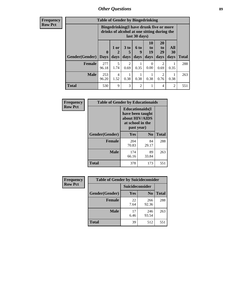## *Other Questions* **89**

**Frequency Row Pct**

| <b>Table of Gender by Bingedrinking</b> |                         |                                                                                                         |                        |                          |                        |                               |                   |              |
|-----------------------------------------|-------------------------|---------------------------------------------------------------------------------------------------------|------------------------|--------------------------|------------------------|-------------------------------|-------------------|--------------|
|                                         |                         | Bingedrinking(I have drunk five or more<br>drinks of alcohol at one sitting during the<br>last 30 days) |                        |                          |                        |                               |                   |              |
| <b>Gender</b> (Gender)                  | $\bf{0}$<br><b>Days</b> | $1$ or<br>days                                                                                          | 3 to<br>5<br>days      | <b>6 to</b><br>9<br>days | 10<br>to<br>19<br>days | <b>20</b><br>to<br>29<br>days | All<br>30<br>days | <b>Total</b> |
|                                         |                         |                                                                                                         |                        |                          |                        |                               |                   |              |
| <b>Female</b>                           | 277<br>96.18            | 5<br>1.74                                                                                               | $\overline{2}$<br>0.69 | 0.35                     | $\Omega$<br>0.00       | 2<br>0.69                     | 0.35              | 288          |
| <b>Male</b>                             | 253<br>96.20            | 4<br>1.52                                                                                               | 0.38                   | 0.38                     | 0.38                   | 2<br>0.76                     | 0.38              | 263          |

| Frequency      | <b>Table of Gender by Educationaids</b> |                                                                                                 |             |              |
|----------------|-----------------------------------------|-------------------------------------------------------------------------------------------------|-------------|--------------|
| <b>Row Pct</b> |                                         | <b>Educationaids</b> (I<br>have been taught<br>about HIV/AIDS<br>at school in the<br>past year) |             |              |
|                | Gender(Gender)                          | Yes                                                                                             | $\bf N_0$   | <b>Total</b> |
|                | <b>Female</b>                           | 204<br>70.83                                                                                    | 84<br>29.17 | 288          |
|                | <b>Male</b>                             | 174<br>66.16                                                                                    | 89<br>33.84 | 263          |
|                | <b>Total</b>                            | 378                                                                                             | 173         | 551          |

| Frequency      | <b>Table of Gender by Suicideconsider</b> |                        |                |       |
|----------------|-------------------------------------------|------------------------|----------------|-------|
| <b>Row Pct</b> |                                           | <b>Suicideconsider</b> |                |       |
|                | Gender(Gender)                            | Yes                    | N <sub>0</sub> | Total |
|                | <b>Female</b>                             | 22<br>7.64             | 266<br>92.36   | 288   |
|                | <b>Male</b>                               | 17<br>6.46             | 246<br>93.54   | 263   |
|                | <b>Total</b>                              | 39                     | 512            | 551   |